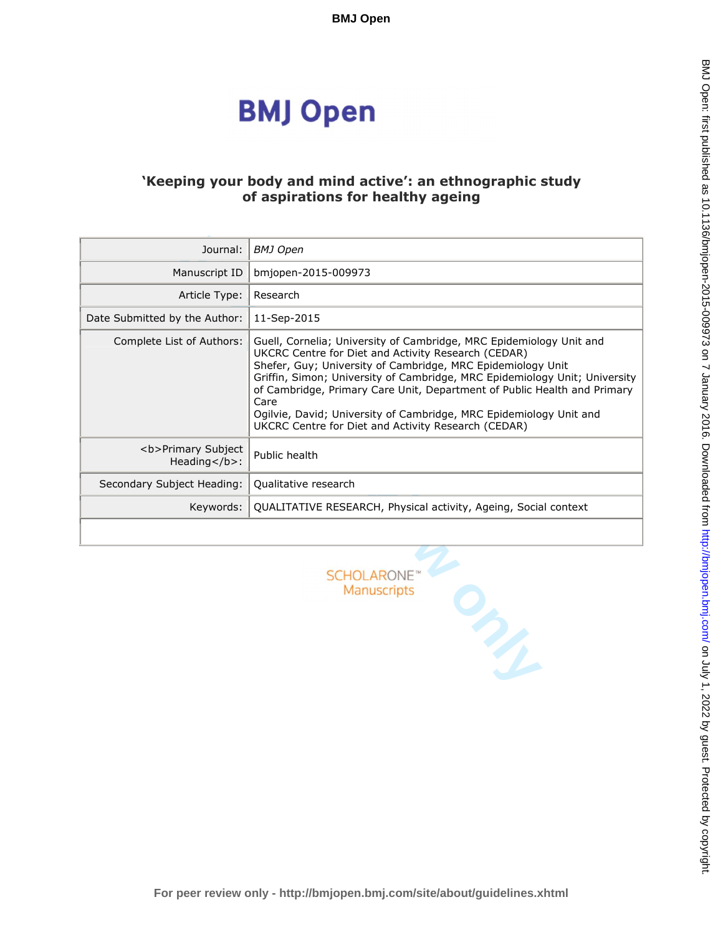# **BMJ Open**

# **'Keeping your body and mind active': an ethnographic study of aspirations for healthy ageing**

| Journal:                             | <b>BMJ Open</b>                                                                                                                                                                                                                                                                                                                                                                                                                                                                          |
|--------------------------------------|------------------------------------------------------------------------------------------------------------------------------------------------------------------------------------------------------------------------------------------------------------------------------------------------------------------------------------------------------------------------------------------------------------------------------------------------------------------------------------------|
| Manuscript ID                        | bmjopen-2015-009973                                                                                                                                                                                                                                                                                                                                                                                                                                                                      |
| Article Type:                        | Research                                                                                                                                                                                                                                                                                                                                                                                                                                                                                 |
| Date Submitted by the Author:        | 11-Sep-2015                                                                                                                                                                                                                                                                                                                                                                                                                                                                              |
| Complete List of Authors:            | Guell, Cornelia; University of Cambridge, MRC Epidemiology Unit and<br>UKCRC Centre for Diet and Activity Research (CEDAR)<br>Shefer, Guy; University of Cambridge, MRC Epidemiology Unit<br>Griffin, Simon; University of Cambridge, MRC Epidemiology Unit; University<br>of Cambridge, Primary Care Unit, Department of Public Health and Primary<br>Care<br>Ogilvie, David; University of Cambridge, MRC Epidemiology Unit and<br>UKCRC Centre for Diet and Activity Research (CEDAR) |
| <b>Primary Subject<br/>Heading</b> : | Public health                                                                                                                                                                                                                                                                                                                                                                                                                                                                            |
| Secondary Subject Heading:           | Qualitative research                                                                                                                                                                                                                                                                                                                                                                                                                                                                     |
| Keywords:                            | QUALITATIVE RESEARCH, Physical activity, Ageing, Social context                                                                                                                                                                                                                                                                                                                                                                                                                          |
|                                      |                                                                                                                                                                                                                                                                                                                                                                                                                                                                                          |
|                                      | <b>SCHOLARONE</b><br>Manuscripts<br>$\mathcal{P}_{\mathcal{P}_{\mathcal{P}}}$                                                                                                                                                                                                                                                                                                                                                                                                            |

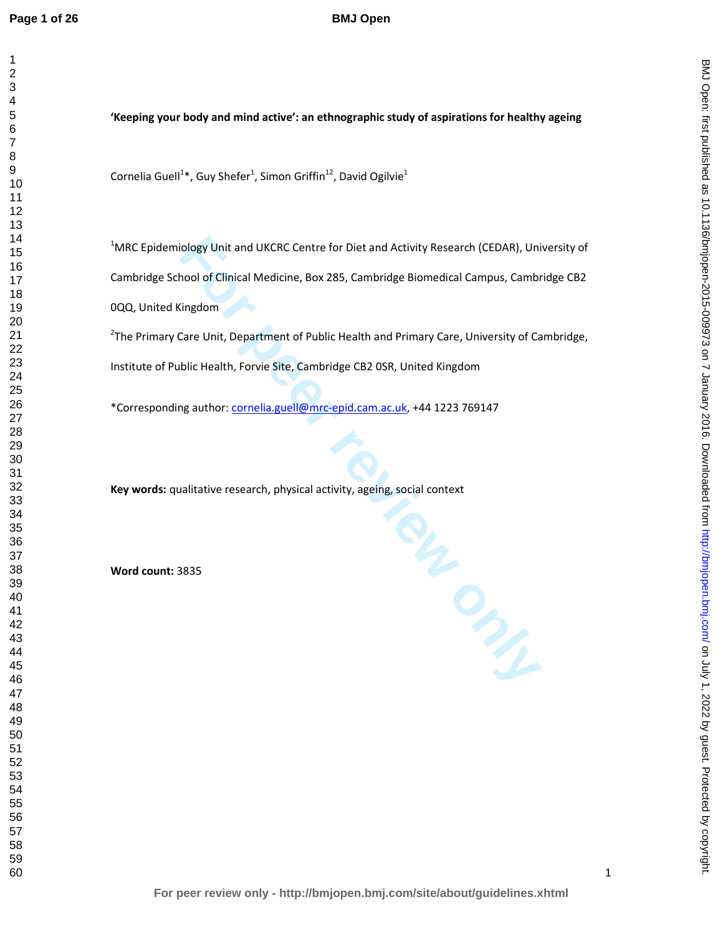# **BMJ Open**

BMJ Open: first published as 10.1136/bmjopen-2015-009973 on 7 January 2016. Downloaded from http://bmjopen.bmj.com/ on July 1, 2022 by guest. Protected by copyright BMJ Septem State as 10.11192 by 1, 2020 by copyright. Http://bmj.com/ BMJ Open-Bublished as 10.1136/bmjopen-2015-009973 by 1, 2020 by 1, 2020 by 1, 2020 by 1, 2020 by 1, 2020 by 1, 2020 by 1, 2020 by 1, 2020 by 1, 2020 by

**'Keeping your body and mind active': an ethnographic study of aspirations for healthy ageing** 

Cornelia Guell<sup>1\*</sup>, Guy Shefer<sup>1</sup>, Simon Griffin<sup>12</sup>, David Ogilvie<sup>1</sup>

MRC Epidemiology Unit and UKCRC Centre for Diet and Activity Research (CEDAR), University of Cambridge School of Clinical Medicine, Box 285, Cambridge Biomedical Campus, Cambridge CB2 0QQ, United Kingdom

<sup>2</sup>The Primary Care Unit, Department of Public Health and Primary Care, University of Cambridge, Institute of Public Health, Forvie Site, Cambridge CB2 0SR, United Kingdom

\*Corresponding author: cornelia.guell@mrc-epid.cam.ac.uk, +44 1223 769147

**Key words:** qualitative research, physical activity, ageing, social context

**Word count:** 3835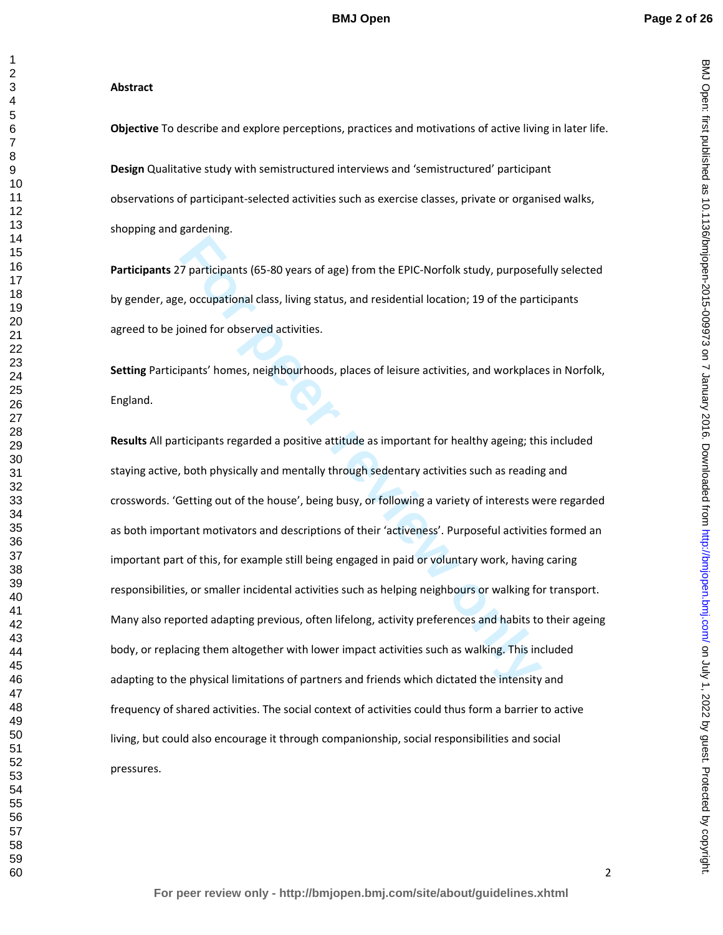BMJ Open: first published as 10.1136/bmjopen-2015-009973 on 7 January 2016. Downloaded from http://bmjopen.bmj.com/ on July 1, 2022 by guest. Protected by copyright BMJ Septem State as 10.11192 by 1, 2020 by copyright. Http://bmj.com/ BMJ Open-Bublished as 10.1136/bmjopen-2015-009973 by 1, 2020 by 1, 2020 by 1, 2020 by 1, 2020 by 1, 2020 by 1, 2020 by 1, 2020 by 1, 2020 by 1, 2020 by

#### **Abstract**

**Objective** To describe and explore perceptions, practices and motivations of active living in later life.

**Design** Qualitative study with semistructured interviews and 'semistructured' participant observations of participant-selected activities such as exercise classes, private or organised walks, shopping and gardening.

**Participants** 27 participants (65-80 years of age) from the EPIC-Norfolk study, purposefully selected by gender, age, occupational class, living status, and residential location; 19 of the participants agreed to be joined for observed activities.

**Setting** Participants' homes, neighbourhoods, places of leisure activities, and workplaces in Norfolk, England.

**Follogy 12**<br> **Follogy 12**<br> **Follogy American Exercutary Settima in the EPIC-Norfolk study, purpose<br>
<b>Follogy American Exercutary Settims**<br> **For periodic only and the pertical study**<br> **For periodic Settims**, and **residenti Results** All participants regarded a positive attitude as important for healthy ageing; this included staying active, both physically and mentally through sedentary activities such as reading and crosswords. 'Getting out of the house', being busy, or following a variety of interests were regarded as both important motivators and descriptions of their 'activeness'. Purposeful activities formed an important part of this, for example still being engaged in paid or voluntary work, having caring responsibilities, or smaller incidental activities such as helping neighbours or walking for transport. Many also reported adapting previous, often lifelong, activity preferences and habits to their ageing body, or replacing them altogether with lower impact activities such as walking. This included adapting to the physical limitations of partners and friends which dictated the intensity and frequency of shared activities. The social context of activities could thus form a barrier to active living, but could also encourage it through companionship, social responsibilities and social pressures.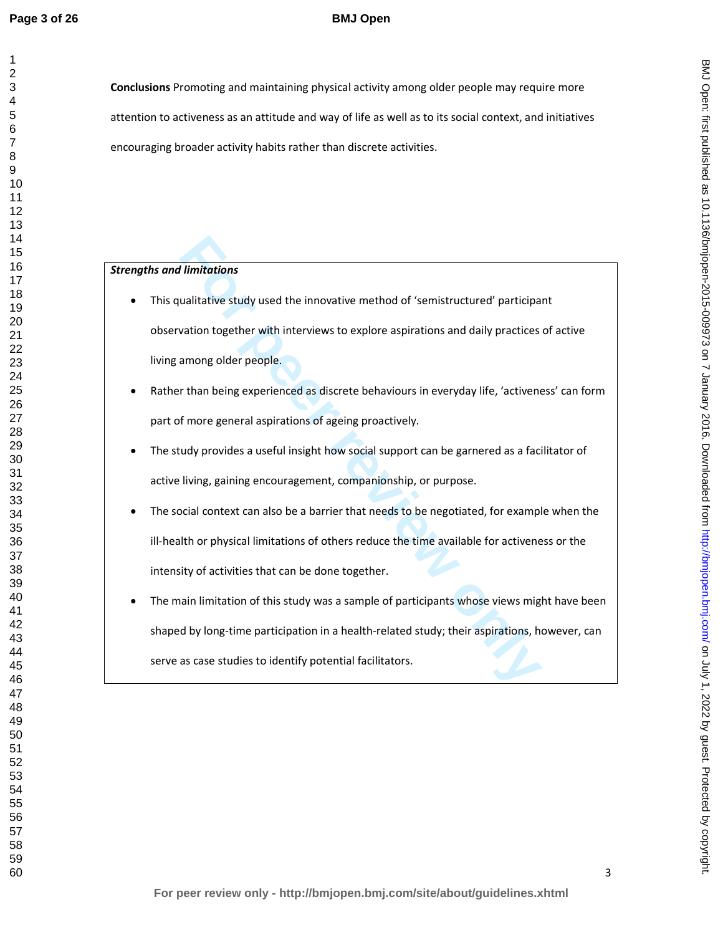# **BMJ Open**

**Conclusions** Promoting and maintaining physical activity among older people may require more attention to activeness as an attitude and way of life as well as to its social context, and initiatives encouraging broader activity habits rather than discrete activities.

## *Strengths and limitations*

- **Funitations**<br> **Funitative** study used the innovative method of 'semistructured' participal<br>
vation together with interviews to explore aspirations and daily practices<br>
among older people.<br>
For than being experienced as di • This qualitative study used the innovative method of 'semistructured' participant observation together with interviews to explore aspirations and daily practices of active living among older people.
- Rather than being experienced as discrete behaviours in everyday life, 'activeness' can form part of more general aspirations of ageing proactively.
- The study provides a useful insight how social support can be garnered as a facilitator of active living, gaining encouragement, companionship, or purpose.
- The social context can also be a barrier that needs to be negotiated, for example when the ill-health or physical limitations of others reduce the time available for activeness or the intensity of activities that can be done together.
- The main limitation of this study was a sample of participants whose views might have been shaped by long-time participation in a health-related study; their aspirations, however, can serve as case studies to identify potential facilitators.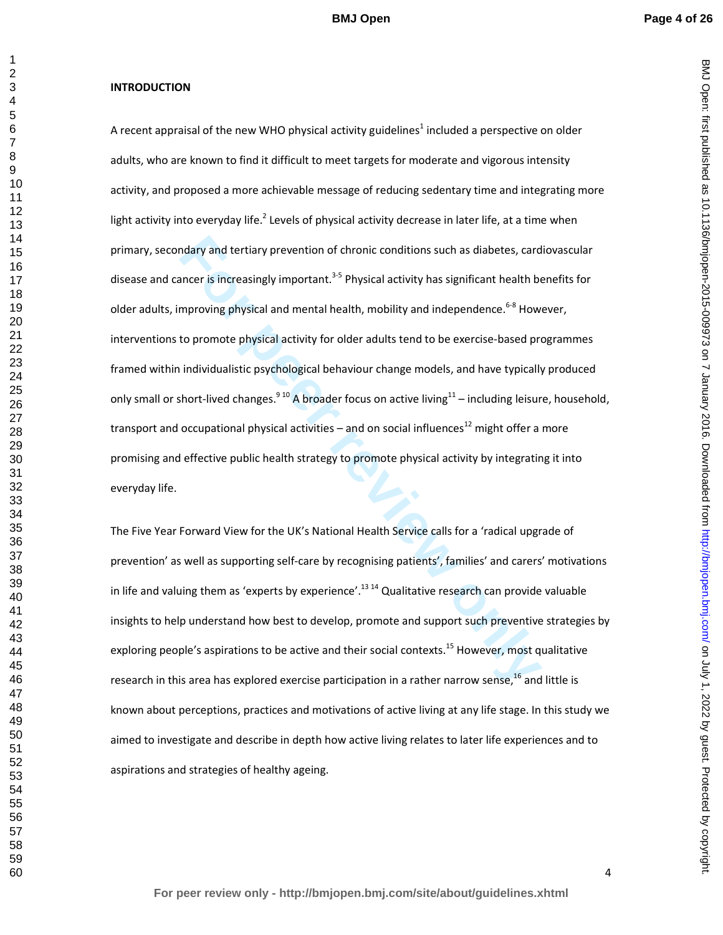#### **INTRODUCTION**

ndary and tertiary prevention of chronic conditions such as diabetes, card<br>ancer is increasingly important.<sup>3,5</sup> Physical activity has significant health be<br>mproving physical and mental health, mobility and independence.<sup>6</sup> A recent appraisal of the new WHO physical activity guidelines<sup>1</sup> included a perspective on older adults, who are known to find it difficult to meet targets for moderate and vigorous intensity activity, and proposed a more achievable message of reducing sedentary time and integrating more light activity into everyday life.<sup>2</sup> Levels of physical activity decrease in later life, at a time when primary, secondary and tertiary prevention of chronic conditions such as diabetes, cardiovascular disease and cancer is increasingly important.<sup>3-5</sup> Physical activity has significant health benefits for older adults, improving physical and mental health, mobility and independence.<sup>6-8</sup> However, interventions to promote physical activity for older adults tend to be exercise-based programmes framed within individualistic psychological behaviour change models, and have typically produced only small or short-lived changes.<sup>910</sup> A broader focus on active living<sup>11</sup> – including leisure, household, transport and occupational physical activities – and on social influences<sup>12</sup> might offer a more promising and effective public health strategy to promote physical activity by integrating it into everyday life.

The Five Year Forward View for the UK's National Health Service calls for a 'radical upgrade of prevention' as well as supporting self-care by recognising patients', families' and carers' motivations in life and valuing them as 'experts by experience'.<sup>13 14</sup> Qualitative research can provide valuable insights to help understand how best to develop, promote and support such preventive strategies by exploring people's aspirations to be active and their social contexts.<sup>15</sup> However, most qualitative research in this area has explored exercise participation in a rather narrow sense,  $^{16}$  and little is known about perceptions, practices and motivations of active living at any life stage. In this study we aimed to investigate and describe in depth how active living relates to later life experiences and to aspirations and strategies of healthy ageing.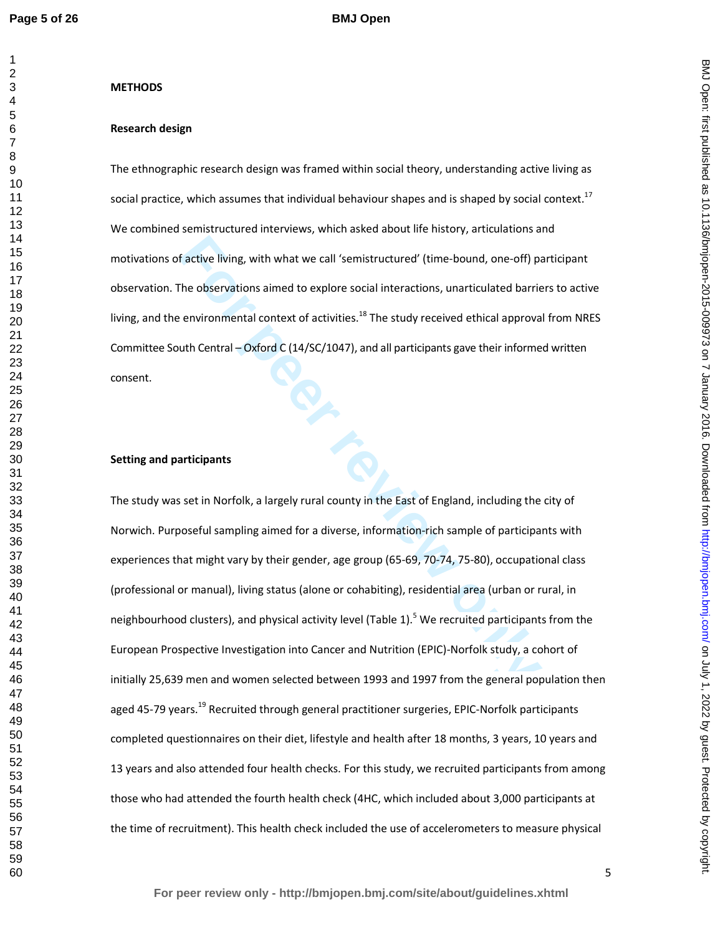#### **METHODS**

#### **Research design**

The ethnographic research design was framed within social theory, understanding active living as social practice, which assumes that individual behaviour shapes and is shaped by social context.<sup>17</sup> We combined semistructured interviews, which asked about life history, articulations and motivations of active living, with what we call 'semistructured' (time-bound, one-off) participant observation. The observations aimed to explore social interactions, unarticulated barriers to active living, and the environmental context of activities.<sup>18</sup> The study received ethical approval from NRES Committee South Central – Oxford C (14/SC/1047), and all participants gave their informed written consent.

#### **Setting and participants**

**Factive living, with what we call 'semistructured' (time-bound, one-off)** particle bases<br>
The observations aimed to explore social interactions, unarticulated barrie<br> **Environmental context of activities.**<sup>18</sup> The study r The study was set in Norfolk, a largely rural county in the East of England, including the city of Norwich. Purposeful sampling aimed for a diverse, information-rich sample of participants with experiences that might vary by their gender, age group (65-69, 70-74, 75-80), occupational class (professional or manual), living status (alone or cohabiting), residential area (urban or rural, in neighbourhood clusters), and physical activity level (Table 1).<sup>5</sup> We recruited participants from the European Prospective Investigation into Cancer and Nutrition (EPIC)-Norfolk study, a cohort of initially 25,639 men and women selected between 1993 and 1997 from the general population then aged 45-79 years.<sup>19</sup> Recruited through general practitioner surgeries, EPIC-Norfolk participants completed questionnaires on their diet, lifestyle and health after 18 months, 3 years, 10 years and 13 years and also attended four health checks. For this study, we recruited participants from among those who had attended the fourth health check (4HC, which included about 3,000 participants at the time of recruitment). This health check included the use of accelerometers to measure physical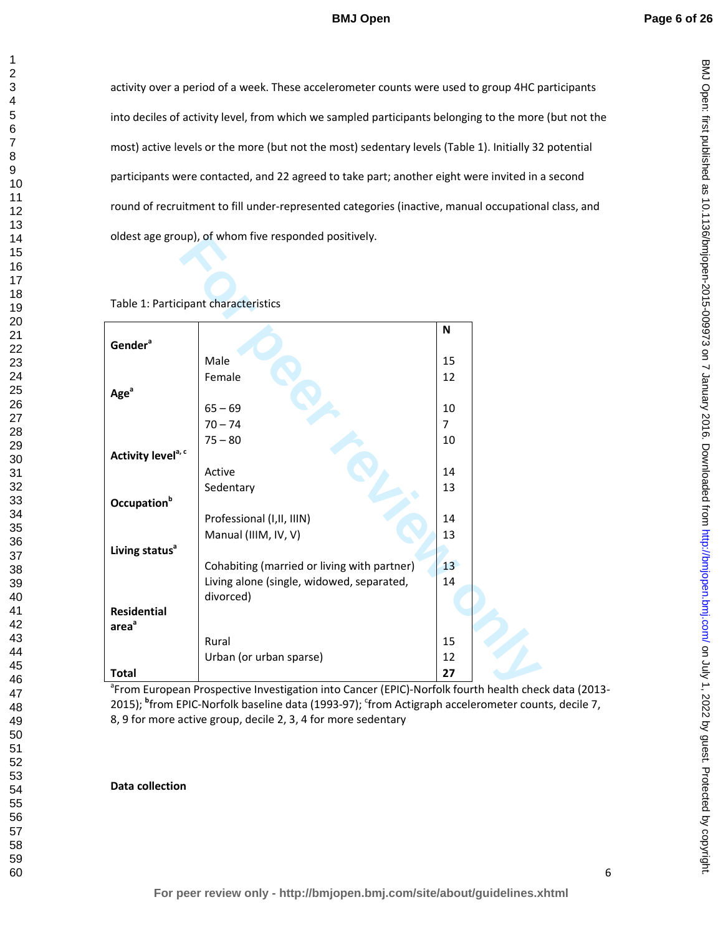BMJ Open: first published as 10.1136/bmjopen-2015-009973 on 7 January 2016. Downloaded from http://bmjopen.bmj.com/ on July 1, 2022 by guest. Protected by copyright BMJ Septem State as 10.11192 by 1, 2020 by copyright. Http://bmj.com/ BMJ Open-Bublished as 10.1136/bmjopen-2015-009973 by 1, 2020 by 1, 2020 by 1, 2020 by 1, 2020 by 1, 2020 by 1, 2020 by 1, 2020 by 1, 2020 by 1, 2020 by

activity over a period of a week. These accelerometer counts were used to group 4HC participants into deciles of activity level, from which we sampled participants belonging to the more (but not the most) active levels or the more (but not the most) sedentary levels (Table 1). Initially 32 potential participants were contacted, and 22 agreed to take part; another eight were invited in a second round of recruitment to fill under-represented categories (inactive, manual occupational class, and oldest age group), of whom five responded positively.

## Table 1: Participant characteristics

|                                      | oldest age group), of whom five responded positively.                                              |                |  |
|--------------------------------------|----------------------------------------------------------------------------------------------------|----------------|--|
|                                      |                                                                                                    |                |  |
|                                      |                                                                                                    |                |  |
|                                      |                                                                                                    |                |  |
| Table 1: Participant characteristics |                                                                                                    |                |  |
|                                      |                                                                                                    | N              |  |
| Gender <sup>a</sup>                  |                                                                                                    |                |  |
|                                      | Male                                                                                               | 15             |  |
|                                      | Female                                                                                             | 12             |  |
| Age <sup>a</sup>                     |                                                                                                    |                |  |
|                                      | $65 - 69$                                                                                          | 10             |  |
|                                      | $70 - 74$                                                                                          | $\overline{7}$ |  |
|                                      | $75 - 80$                                                                                          | 10             |  |
| Activity level <sup>a, c</sup>       |                                                                                                    |                |  |
|                                      | Active                                                                                             | 14             |  |
|                                      | Sedentary                                                                                          | 13             |  |
| Occupation <sup>b</sup>              |                                                                                                    |                |  |
|                                      | Professional (I, II, IIIN)                                                                         | 14             |  |
|                                      | Manual (IIIM, IV, V)                                                                               | 13             |  |
| Living status <sup>a</sup>           |                                                                                                    |                |  |
|                                      | Cohabiting (married or living with partner)                                                        | 13             |  |
|                                      | Living alone (single, widowed, separated,                                                          | 14             |  |
|                                      | divorced)                                                                                          |                |  |
| <b>Residential</b>                   |                                                                                                    |                |  |
| area <sup>a</sup>                    |                                                                                                    |                |  |
|                                      | Rural                                                                                              | 15             |  |
|                                      | Urban (or urban sparse)                                                                            | 12             |  |
| <b>Total</b>                         |                                                                                                    | 27             |  |
|                                      | <sup>a</sup> From European Prospective Investigation into Cancer (EPIC)-Norfolk fourth health cheo |                |  |

<sup>a</sup> From European Prospective Investigation into Cancer (EPIC)-Norfolk fourth health check data (2013-2015); <sup>b</sup>from EPIC-Norfolk baseline data (1993-97); <sup>c</sup>from Actigraph accelerometer counts, decile 7, 8, 9 for more active group, decile 2, 3, 4 for more sedentary

# **Data collection**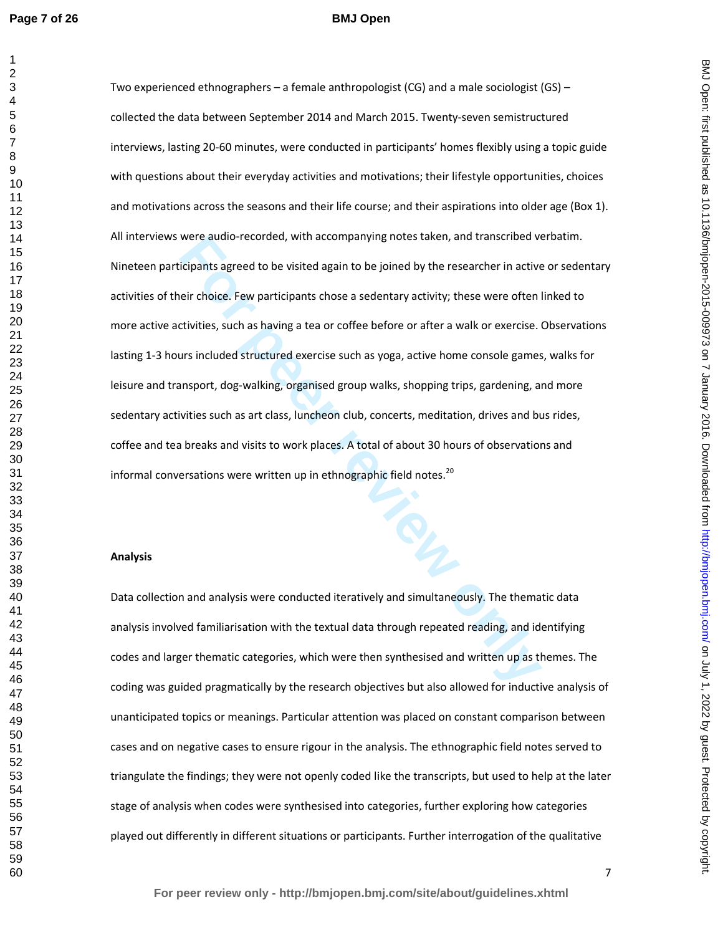#### **BMJ Open**

were audio-recorded, with accompanying notes taken, and transcribed ve<br> **For performancy** actively electric and the point of the researcher in active<br> **For the performancy** electric and the performancy of the researcher in Two experienced ethnographers – a female anthropologist (CG) and a male sociologist (GS) – collected the data between September 2014 and March 2015. Twenty-seven semistructured interviews, lasting 20-60 minutes, were conducted in participants' homes flexibly using a topic guide with questions about their everyday activities and motivations; their lifestyle opportunities, choices and motivations across the seasons and their life course; and their aspirations into older age (Box 1). All interviews were audio-recorded, with accompanying notes taken, and transcribed verbatim. Nineteen participants agreed to be visited again to be joined by the researcher in active or sedentary activities of their choice. Few participants chose a sedentary activity; these were often linked to more active activities, such as having a tea or coffee before or after a walk or exercise. Observations lasting 1-3 hours included structured exercise such as yoga, active home console games, walks for leisure and transport, dog-walking, organised group walks, shopping trips, gardening, and more sedentary activities such as art class, luncheon club, concerts, meditation, drives and bus rides, coffee and tea breaks and visits to work places. A total of about 30 hours of observations and informal conversations were written up in ethnographic field notes. $^{20}$ 

#### **Analysis**

Data collection and analysis were conducted iteratively and simultaneously. The thematic data analysis involved familiarisation with the textual data through repeated reading, and identifying codes and larger thematic categories, which were then synthesised and written up as themes. The coding was guided pragmatically by the research objectives but also allowed for inductive analysis of unanticipated topics or meanings. Particular attention was placed on constant comparison between cases and on negative cases to ensure rigour in the analysis. The ethnographic field notes served to triangulate the findings; they were not openly coded like the transcripts, but used to help at the later stage of analysis when codes were synthesised into categories, further exploring how categories played out differently in different situations or participants. Further interrogation of the qualitative

BMJ Open: first published as 10.1136/bmjopen-2015-009973 on 7 January 2016. Downloaded from http://bmjopen.bmj.com/ on July 1, 2022 by guest. Protected by copyright on July 1, 2022 by guest. Protected by copyright. <http://bmjopen.bmj.com/> BMJ Open: first published as 10.1136/bmjopen-2015-009973 on 7 January 2016. Downloaded from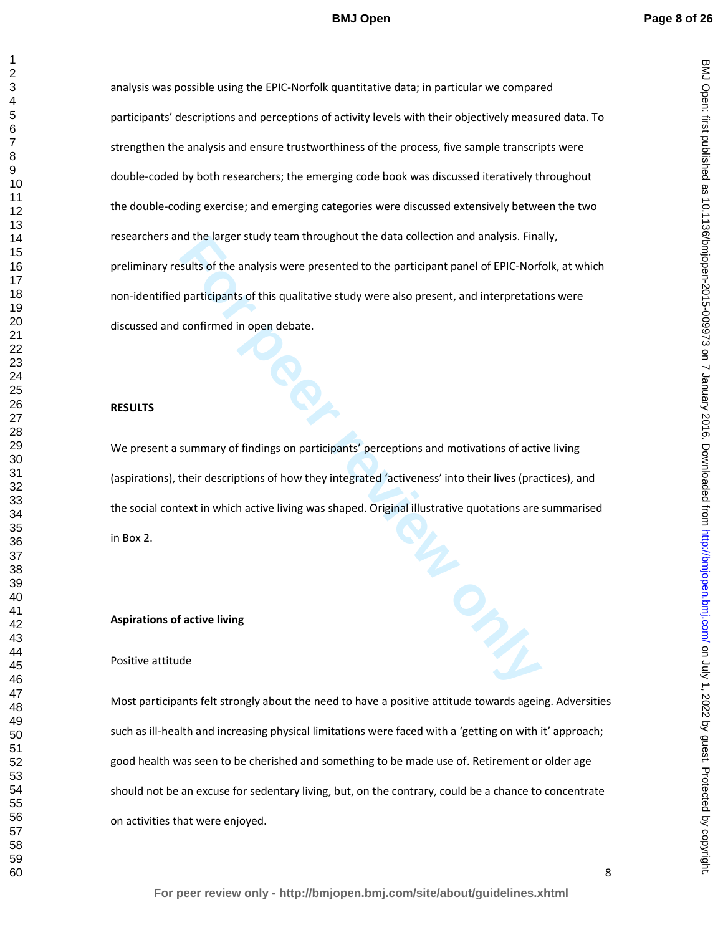BMJ Open: first published as 10.1136/bmjopen-2015-009973 on 7 January 2016. Downloaded from http://bmjopen.bmj.com/ on July 1, 2022 by guest. Protected by copyright on July 1, 2022 by guest. Protected by copyright. <http://bmjopen.bmj.com/> BMJ Open: first published as 10.1136/bmjopen-2015-009973 on 7 January 2016. Downloaded from

For the analysis were presented to the participant panel of EPIC-Norf-<br>sults of the analysis were presented to the participant panel of EPIC-Norf-<br>participants of this qualitative study were also present, and interpretatio analysis was possible using the EPIC-Norfolk quantitative data; in particular we compared participants' descriptions and perceptions of activity levels with their objectively measured data. To strengthen the analysis and ensure trustworthiness of the process, five sample transcripts were double-coded by both researchers; the emerging code book was discussed iteratively throughout the double-coding exercise; and emerging categories were discussed extensively between the two researchers and the larger study team throughout the data collection and analysis. Finally, preliminary results of the analysis were presented to the participant panel of EPIC-Norfolk, at which non-identified participants of this qualitative study were also present, and interpretations were discussed and confirmed in open debate.

#### **RESULTS**

We present a summary of findings on participants' perceptions and motivations of active living (aspirations), their descriptions of how they integrated 'activeness' into their lives (practices), and the social context in which active living was shaped. Original illustrative quotations are summarised in Box 2.

#### **Aspirations of active living**

#### Positive attitude

Most participants felt strongly about the need to have a positive attitude towards ageing. Adversities such as ill-health and increasing physical limitations were faced with a 'getting on with it' approach; good health was seen to be cherished and something to be made use of. Retirement or older age should not be an excuse for sedentary living, but, on the contrary, could be a chance to concentrate on activities that were enjoyed.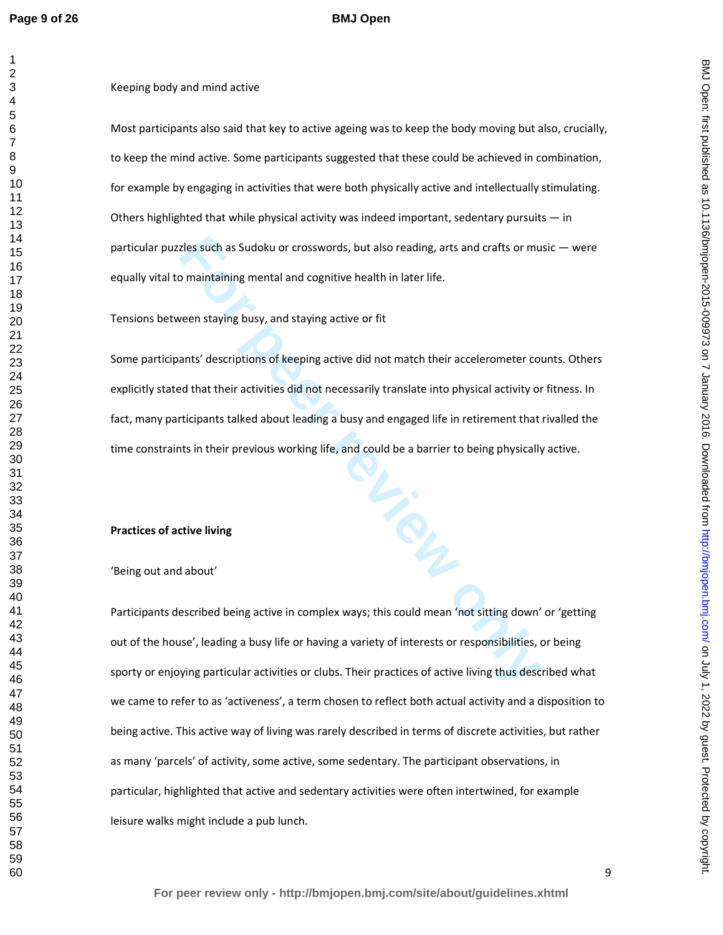Keeping body and mind active

Most participants also said that key to active ageing was to keep the body moving but also, crucially, to keep the mind active. Some participants suggested that these could be achieved in combination, for example by engaging in activities that were both physically active and intellectually stimulating. Others highlighted that while physical activity was indeed important, sedentary pursuits  $-$  in particular puzzles such as Sudoku or crosswords, but also reading, arts and crafts or music — were equally vital to maintaining mental and cognitive health in later life.

Tensions between staying busy, and staying active or fit

resident as Sudoku or crosswords, but also reading, arts and crafts or mu<br>
o maintaining mental and cognitive health in later life.<br>
Ween staying busy, and staying active or fit<br>
reventsing busy, and staying active or fit<br> Some participants' descriptions of keeping active did not match their accelerometer counts. Others explicitly stated that their activities did not necessarily translate into physical activity or fitness. In fact, many participants talked about leading a busy and engaged life in retirement that rivalled the time constraints in their previous working life, and could be a barrier to being physically active.

#### **Practices of active living**

#### 'Being out and about'

Participants described being active in complex ways; this could mean 'not sitting down' or 'getting out of the house', leading a busy life or having a variety of interests or responsibilities, or being sporty or enjoying particular activities or clubs. Their practices of active living thus described what we came to refer to as 'activeness', a term chosen to reflect both actual activity and a disposition to being active. This active way of living was rarely described in terms of discrete activities, but rather as many 'parcels' of activity, some active, some sedentary. The participant observations, in particular, highlighted that active and sedentary activities were often intertwined, for example leisure walks might include a pub lunch.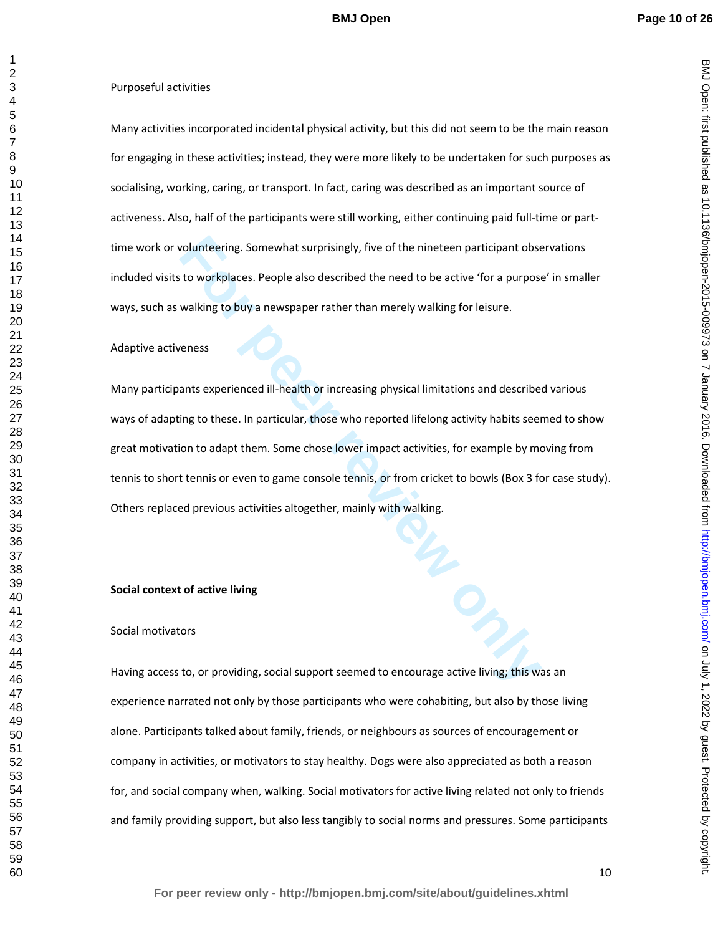BMJ Open: first published as 10.1136/bmjopen-2015-009973 on 7 January 2016. Downloaded from http://bmjopen.bmj.com/ on July 1, 2022 by guest. Protected by copyright on July 1, 2022 by guest. Protected by copyright. <http://bmjopen.bmj.com/> BMJ Open: first published as 10.1136/bmjopen-2015-009973 on 7 January 2016. Downloaded from

Many activities incorporated incidental physical activity, but this did not seem to be the main reason for engaging in these activities; instead, they were more likely to be undertaken for such purposes as socialising, working, caring, or transport. In fact, caring was described as an important source of activeness. Also, half of the participants were still working, either continuing paid full-time or parttime work or volunteering. Somewhat surprisingly, five of the nineteen participant observations included visits to workplaces. People also described the need to be active 'for a purpose' in smaller ways, such as walking to buy a newspaper rather than merely walking for leisure.

#### Adaptive activeness

**Fourthering.** Somewhat surprisingly, five of the nineteen participant obset to workplaces. People also described the need to be active 'for a purpose walking to buy a newspaper rather than merely walking for leisure.<br> **Fo** Many participants experienced ill-health or increasing physical limitations and described various ways of adapting to these. In particular, those who reported lifelong activity habits seemed to show great motivation to adapt them. Some chose lower impact activities, for example by moving from tennis to short tennis or even to game console tennis, or from cricket to bowls (Box 3 for case study). Others replaced previous activities altogether, mainly with walking.

## **Social context of active living**

## Social motivators

Having access to, or providing, social support seemed to encourage active living; this was an experience narrated not only by those participants who were cohabiting, but also by those living alone. Participants talked about family, friends, or neighbours as sources of encouragement or company in activities, or motivators to stay healthy. Dogs were also appreciated as both a reason for, and social company when, walking. Social motivators for active living related not only to friends and family providing support, but also less tangibly to social norms and pressures. Some participants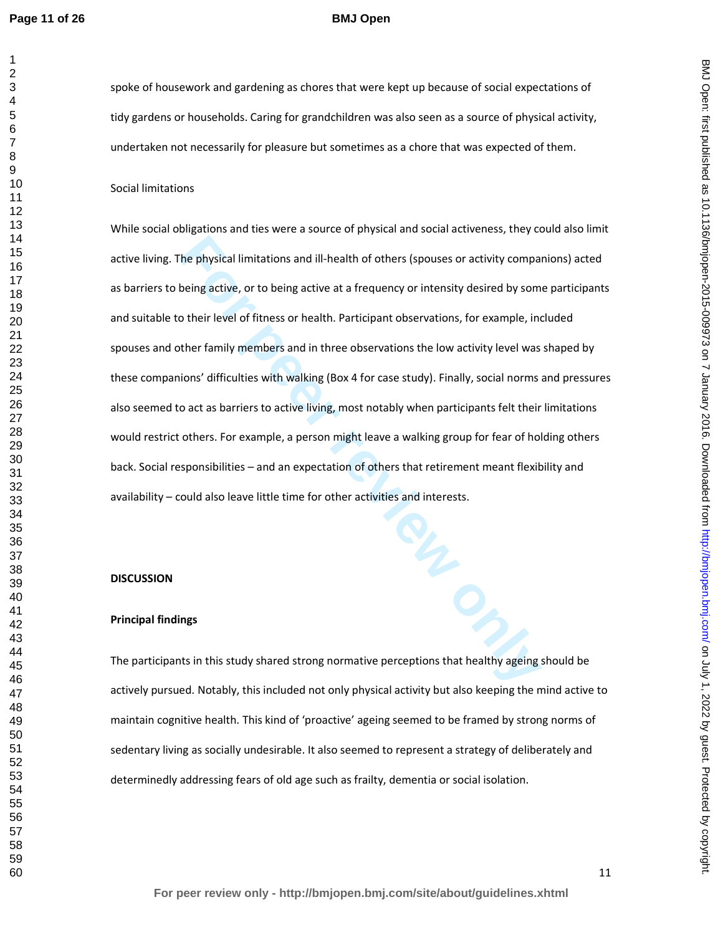## **BMJ Open**

## Social limitations

The physical limitations and ill-health of others (spouses or activity compare being active, or to being active at a frequency or intensity desired by some otheir level of fitness or health. Participant observations, for e While social obligations and ties were a source of physical and social activeness, they could also limit active living. The physical limitations and ill-health of others (spouses or activity companions) acted as barriers to being active, or to being active at a frequency or intensity desired by some participants and suitable to their level of fitness or health. Participant observations, for example, included spouses and other family members and in three observations the low activity level was shaped by these companions' difficulties with walking (Box 4 for case study). Finally, social norms and pressures also seemed to act as barriers to active living, most notably when participants felt their limitations would restrict others. For example, a person might leave a walking group for fear of holding others back. Social responsibilities – and an expectation of others that retirement meant flexibility and availability – could also leave little time for other activities and interests.

#### **DISCUSSION**

#### **Principal findings**

The participants in this study shared strong normative perceptions that healthy ageing should be actively pursued. Notably, this included not only physical activity but also keeping the mind active to maintain cognitive health. This kind of 'proactive' ageing seemed to be framed by strong norms of sedentary living as socially undesirable. It also seemed to represent a strategy of deliberately and determinedly addressing fears of old age such as frailty, dementia or social isolation.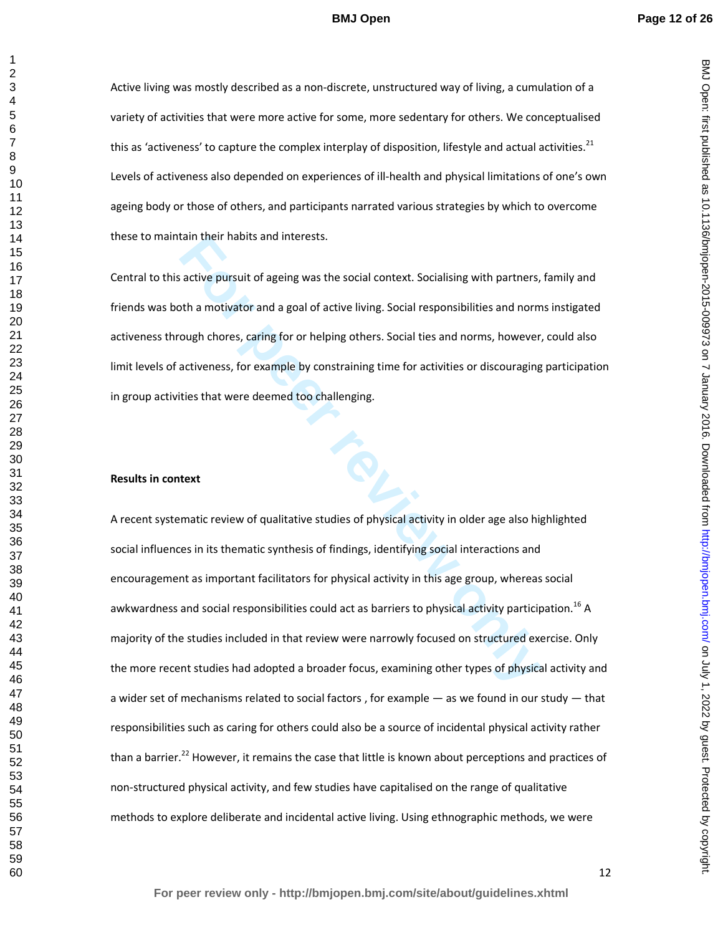BMJ Open: first published as 10.1136/bmjopen-2015-009973 on 7 January 2016. Downloaded from http://bmjopen.bmj.com/ on July 1, 2022 by guest. Protected by copyright on July 1, 2022 by guest. Protected by copyright. <http://bmjopen.bmj.com/> BMJ Open: first published as 10.1136/bmjopen-2015-009973 on 7 January 2016. Downloaded from

Active living was mostly described as a non-discrete, unstructured way of living, a cumulation of a variety of activities that were more active for some, more sedentary for others. We conceptualised this as 'activeness' to capture the complex interplay of disposition, lifestyle and actual activities.Levels of activeness also depended on experiences of ill-health and physical limitations of one's own ageing body or those of others, and participants narrated various strategies by which to overcome these to maintain their habits and interests.

Central to this active pursuit of ageing was the social context. Socialising with partners, family and friends was both a motivator and a goal of active living. Social responsibilities and norms instigated activeness through chores, caring for or helping others. Social ties and norms, however, could also limit levels of activeness, for example by constraining time for activities or discouraging participation in group activities that were deemed too challenging.

#### **Results in context**

tain their habits and interests.<br>
For active pursuit of ageing was the social context. Socialising with partners,<br>
For a motivator and a goal of active living. Social responsibilities and norm<br>
ough chores, caring for or h A recent systematic review of qualitative studies of physical activity in older age also highlighted social influences in its thematic synthesis of findings, identifying social interactions and encouragement as important facilitators for physical activity in this age group, whereas social awkwardness and social responsibilities could act as barriers to physical activity participation.<sup>16</sup> A majority of the studies included in that review were narrowly focused on structured exercise. Only the more recent studies had adopted a broader focus, examining other types of physical activity and a wider set of mechanisms related to social factors , for example — as we found in our study — that responsibilities such as caring for others could also be a source of incidental physical activity rather than a barrier.<sup>22</sup> However, it remains the case that little is known about perceptions and practices of non-structured physical activity, and few studies have capitalised on the range of qualitative methods to explore deliberate and incidental active living. Using ethnographic methods, we were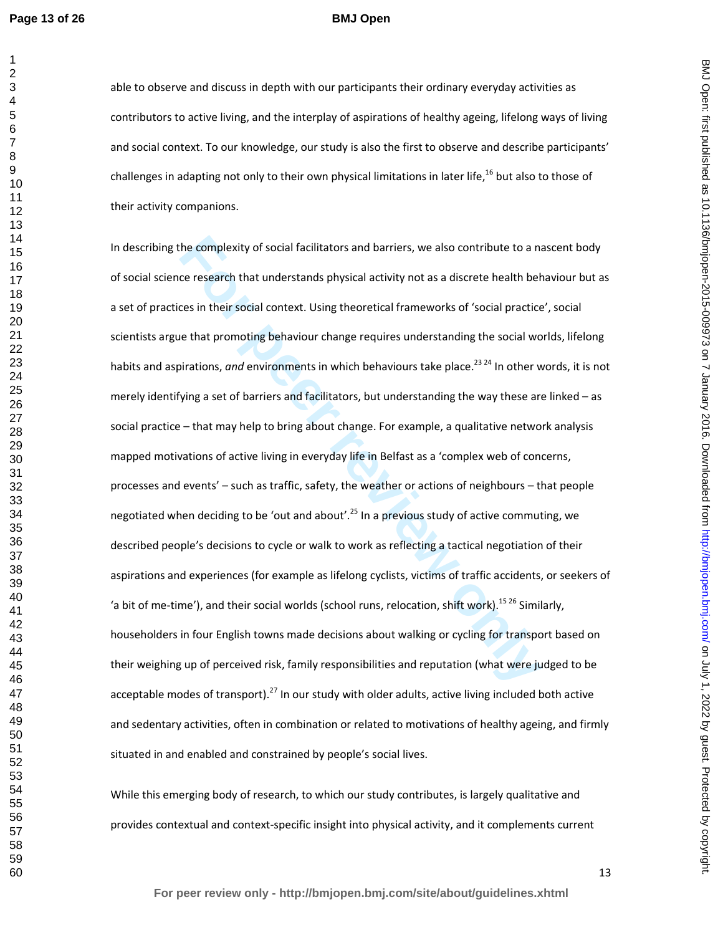## **BMJ Open**

able to observe and discuss in depth with our participants their ordinary everyday activities as contributors to active living, and the interplay of aspirations of healthy ageing, lifelong ways of living and social context. To our knowledge, our study is also the first to observe and describe participants' challenges in adapting not only to their own physical limitations in later life,<sup>16</sup> but also to those of their activity companions.

the complexity of social facilitators and barriers, we also contribute to a nace research that understands physical activity not as a discrete health beh<br>ces in their social context. Using theoretical frameworks of 'social In describing the complexity of social facilitators and barriers, we also contribute to a nascent body of social science research that understands physical activity not as a discrete health behaviour but as a set of practices in their social context. Using theoretical frameworks of 'social practice', social scientists argue that promoting behaviour change requires understanding the social worlds, lifelong habits and aspirations, *and* environments in which behaviours take place.<sup>23 24</sup> In other words, it is not merely identifying a set of barriers and facilitators, but understanding the way these are linked – as social practice – that may help to bring about change. For example, a qualitative network analysis mapped motivations of active living in everyday life in Belfast as a 'complex web of concerns, processes and events' – such as traffic, safety, the weather or actions of neighbours – that people negotiated when deciding to be 'out and about'.<sup>25</sup> In a previous study of active commuting, we described people's decisions to cycle or walk to work as reflecting a tactical negotiation of their aspirations and experiences (for example as lifelong cyclists, victims of traffic accidents, or seekers of 'a bit of me-time'), and their social worlds (school runs, relocation, shift work).<sup>15 26</sup> Similarly, householders in four English towns made decisions about walking or cycling for transport based on their weighing up of perceived risk, family responsibilities and reputation (what were judged to be acceptable modes of transport).<sup>27</sup> In our study with older adults, active living included both active and sedentary activities, often in combination or related to motivations of healthy ageing, and firmly situated in and enabled and constrained by people's social lives.

While this emerging body of research, to which our study contributes, is largely qualitative and provides contextual and context-specific insight into physical activity, and it complements current BMJ Open: first published as 10.1136/bmjopen-2015-009973 on 7 January 2016. Downloaded from http://bmjopen.bmj.com/ on July 1, 2022 by guest. Protected by copyright on July 1, 2022 by guest. Protected by copyright. <http://bmjopen.bmj.com/> BMJ Open: first published as 10.1136/bmjopen-2015-009973 on 7 January 2016. Downloaded from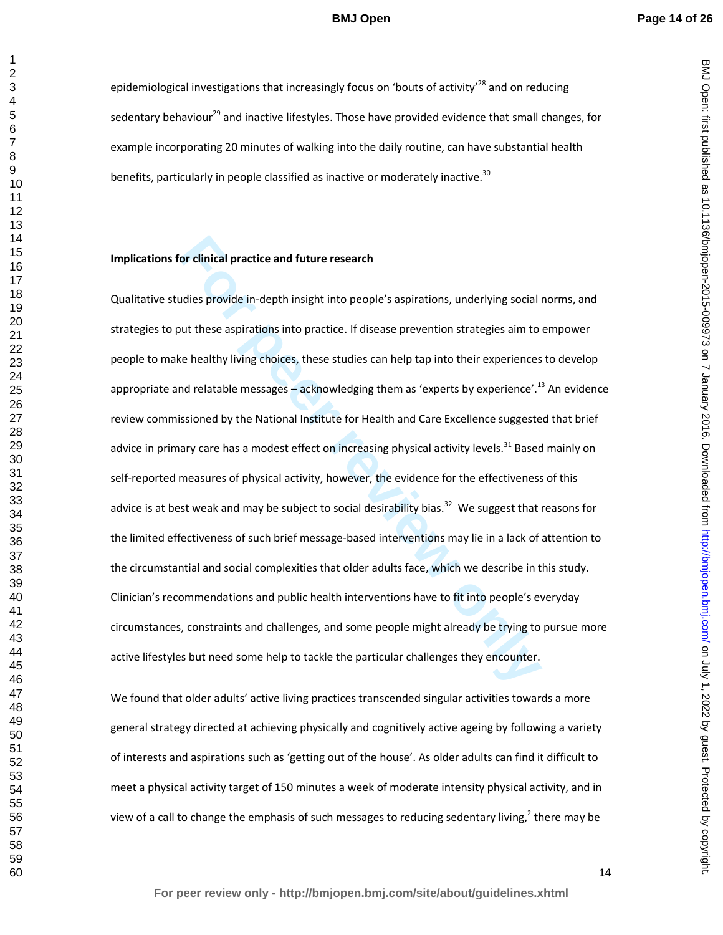epidemiological investigations that increasingly focus on 'bouts of activity'<sup>28</sup> and on reducing sedentary behaviour<sup>29</sup> and inactive lifestyles. Those have provided evidence that small changes, for example incorporating 20 minutes of walking into the daily routine, can have substantial health benefits, particularly in people classified as inactive or moderately inactive.<sup>30</sup>

## **Implications for clinical practice and future research**

**For clinical practice and future research**<br>
Adies provide in-depth insight into people's aspirations, underlying social into<br>
the easpirations into practice. If disease prevention strategies aim to<br>
the healthy living cho Qualitative studies provide in-depth insight into people's aspirations, underlying social norms, and strategies to put these aspirations into practice. If disease prevention strategies aim to empower people to make healthy living choices, these studies can help tap into their experiences to develop appropriate and relatable messages – acknowledging them as 'experts by experience'.<sup>13</sup> An evidence review commissioned by the National Institute for Health and Care Excellence suggested that brief advice in primary care has a modest effect on increasing physical activity levels.<sup>31</sup> Based mainly on self-reported measures of physical activity, however, the evidence for the effectiveness of this advice is at best weak and may be subject to social desirability bias.<sup>32</sup> We suggest that reasons for the limited effectiveness of such brief message-based interventions may lie in a lack of attention to the circumstantial and social complexities that older adults face, which we describe in this study. Clinician's recommendations and public health interventions have to fit into people's everyday circumstances, constraints and challenges, and some people might already be trying to pursue more active lifestyles but need some help to tackle the particular challenges they encounter.

We found that older adults' active living practices transcended singular activities towards a more general strategy directed at achieving physically and cognitively active ageing by following a variety of interests and aspirations such as 'getting out of the house'. As older adults can find it difficult to meet a physical activity target of 150 minutes a week of moderate intensity physical activity, and in view of a call to change the emphasis of such messages to reducing sedentary living,<sup>2</sup> there may be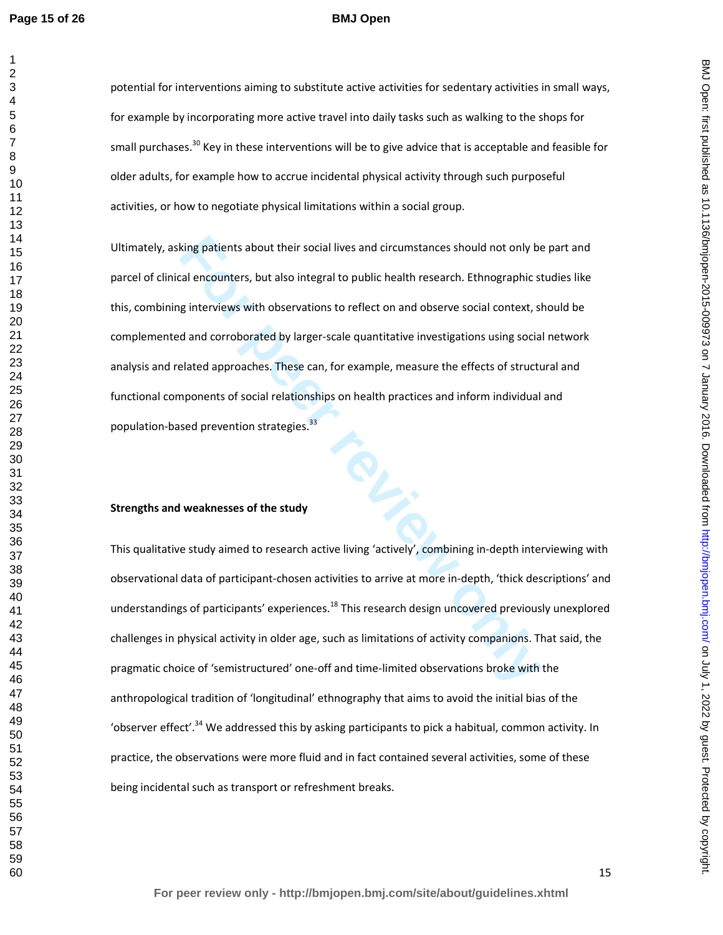#### **BMJ Open**

potential for interventions aiming to substitute active activities for sedentary activities in small ways, for example by incorporating more active travel into daily tasks such as walking to the shops for small purchases.<sup>30</sup> Key in these interventions will be to give advice that is acceptable and feasible for older adults, for example how to accrue incidental physical activity through such purposeful activities, or how to negotiate physical limitations within a social group.

king patients about their social lives and circumstances should not only be<br>al encounters, but also integral to public health research. Ethnographic st<br>g interviews with observations to reflect on and observe social contex Ultimately, asking patients about their social lives and circumstances should not only be part and parcel of clinical encounters, but also integral to public health research. Ethnographic studies like this, combining interviews with observations to reflect on and observe social context, should be complemented and corroborated by larger-scale quantitative investigations using social network analysis and related approaches. These can, for example, measure the effects of structural and functional components of social relationships on health practices and inform individual and population-based prevention strategies.<sup>33</sup>

#### **Strengths and weaknesses of the study**

This qualitative study aimed to research active living 'actively', combining in-depth interviewing with observational data of participant-chosen activities to arrive at more in-depth, 'thick descriptions' and understandings of participants' experiences.<sup>18</sup> This research design uncovered previously unexplored challenges in physical activity in older age, such as limitations of activity companions. That said, the pragmatic choice of 'semistructured' one-off and time-limited observations broke with the anthropological tradition of 'longitudinal' ethnography that aims to avoid the initial bias of the 'observer effect'.<sup>34</sup> We addressed this by asking participants to pick a habitual, common activity. In practice, the observations were more fluid and in fact contained several activities, some of these being incidental such as transport or refreshment breaks.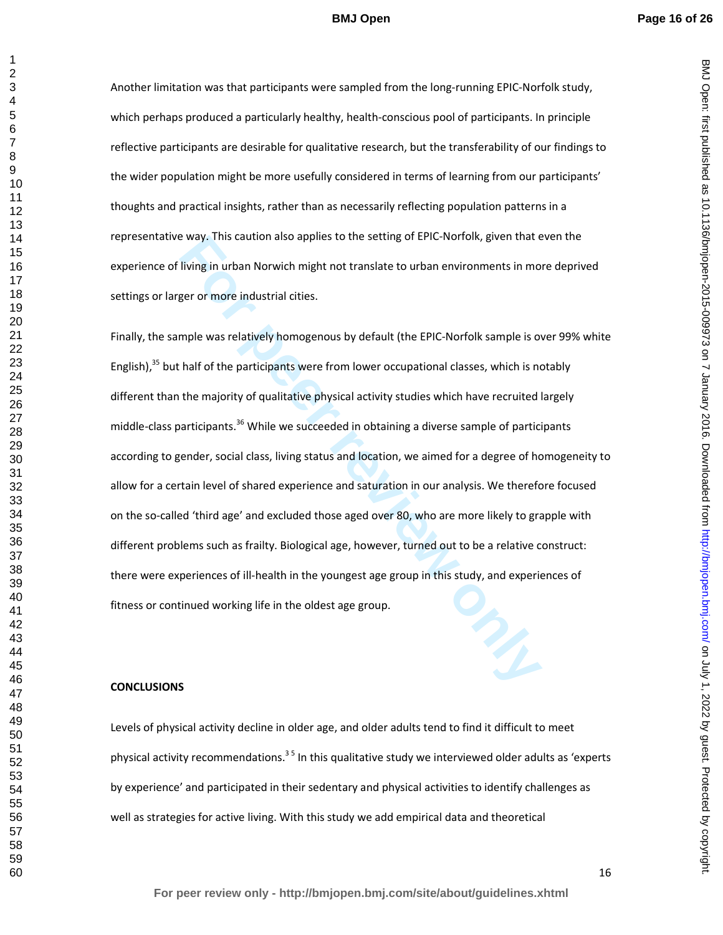Another limitation was that participants were sampled from the long-running EPIC-Norfolk study, which perhaps produced a particularly healthy, health-conscious pool of participants. In principle reflective participants are desirable for qualitative research, but the transferability of our findings to the wider population might be more usefully considered in terms of learning from our participants' thoughts and practical insights, rather than as necessarily reflecting population patterns in a representative way. This caution also applies to the setting of EPIC-Norfolk, given that even the experience of living in urban Norwich might not translate to urban environments in more deprived settings or larger or more industrial cities.

**Example 12** and the period of the setting of EPIC-Norfolk, given that e living in urban Norwich might not translate to urban environments in more per or more industrial cities.<br> **For peer or more industrial cities.**<br> **For** Finally, the sample was relatively homogenous by default (the EPIC-Norfolk sample is over 99% white English), but half of the participants were from lower occupational classes, which is notably different than the majority of qualitative physical activity studies which have recruited largely middle-class participants.<sup>36</sup> While we succeeded in obtaining a diverse sample of participants according to gender, social class, living status and location, we aimed for a degree of homogeneity to allow for a certain level of shared experience and saturation in our analysis. We therefore focused on the so-called 'third age' and excluded those aged over 80, who are more likely to grapple with different problems such as frailty. Biological age, however, turned out to be a relative construct: there were experiences of ill-health in the youngest age group in this study, and experiences of fitness or continued working life in the oldest age group.

#### **CONCLUSIONS**

Levels of physical activity decline in older age, and older adults tend to find it difficult to meet physical activity recommendations.<sup>35</sup> In this qualitative study we interviewed older adults as 'experts' by experience' and participated in their sedentary and physical activities to identify challenges as well as strategies for active living. With this study we add empirical data and theoretical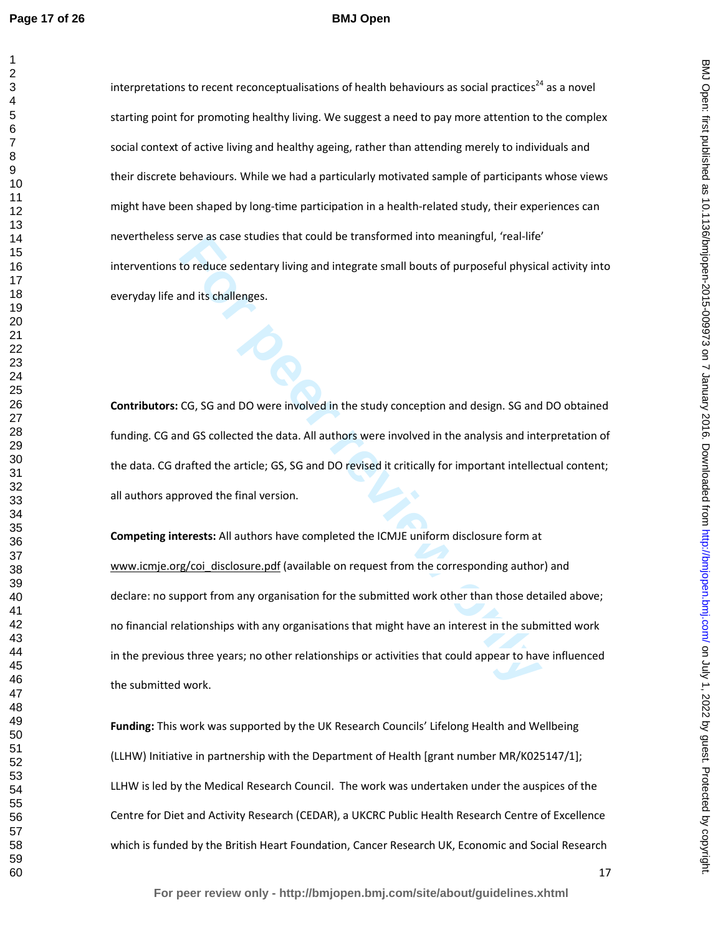#### **BMJ Open**

interpretations to recent reconceptualisations of health behaviours as social practices<sup>24</sup> as a novel starting point for promoting healthy living. We suggest a need to pay more attention to the complex social context of active living and healthy ageing, rather than attending merely to individuals and their discrete behaviours. While we had a particularly motivated sample of participants whose views might have been shaped by long-time participation in a health-related study, their experiences can nevertheless serve as case studies that could be transformed into meaningful, 'real-life' interventions to reduce sedentary living and integrate small bouts of purposeful physical activity into everyday life and its challenges.

**Contributors:** CG, SG and DO were involved in the study conception and design. SG and DO obtained funding. CG and GS collected the data. All authors were involved in the analysis and interpretation of the data. CG drafted the article; GS, SG and DO revised it critically for important intellectual content; all authors approved the final version.

For eact as case studies that could be transformed into meaningful, real-life to reduce sedentary living and integrate small bouts of purposeful physics and its challenges.<br> **For performance of the study conception** and de **Competing interests:** All authors have completed the ICMJE uniform disclosure form at www.icmje.org/coi\_disclosure.pdf (available on request from the corresponding author) and declare: no support from any organisation for the submitted work other than those detailed above; no financial relationships with any organisations that might have an interest in the submitted work in the previous three years; no other relationships or activities that could appear to have influenced the submitted work.

**Funding:** This work was supported by the UK Research Councils' Lifelong Health and Wellbeing (LLHW) Initiative in partnership with the Department of Health [grant number MR/K025147/1]; LLHW is led by the Medical Research Council. The work was undertaken under the auspices of the Centre for Diet and Activity Research (CEDAR), a UKCRC Public Health Research Centre of Excellence which is funded by the British Heart Foundation, Cancer Research UK, Economic and Social Research BMJ Open: first published as 10.1136/bmjopen-2015-009973 on 7 January 2016. Downloaded from http://bmjopen.bmj.com/ on July 1, 2022 by guest. Protected by copyright on July 1, 2022 by guest. Protected by copyright. <http://bmjopen.bmj.com/> BMJ Open: first published as 10.1136/bmjopen-2015-009973 on 7 January 2016. Downloaded from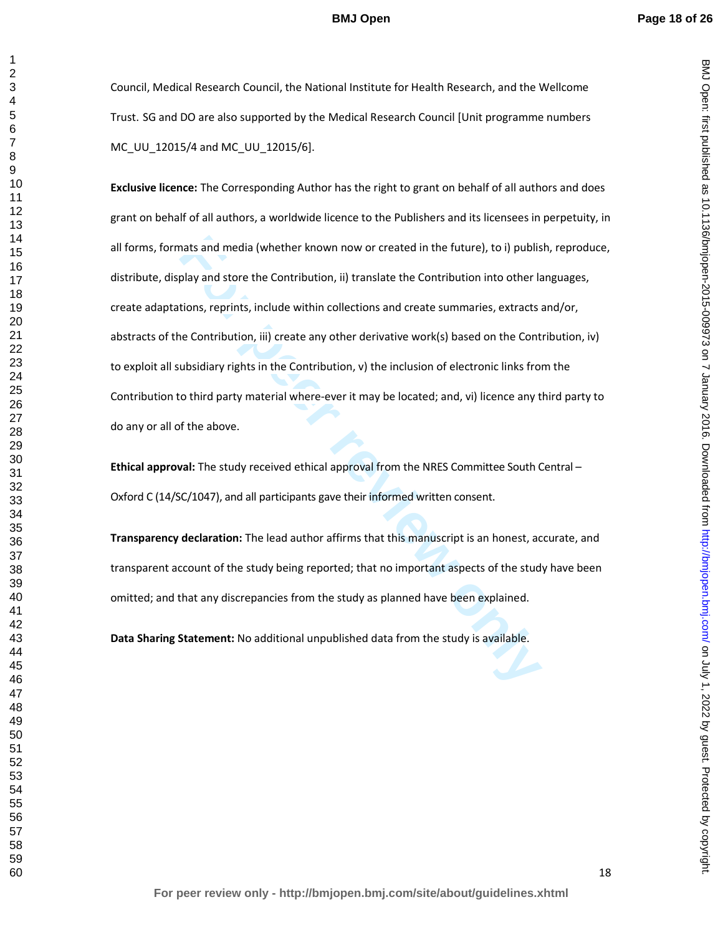BMJ Open: first published as 10.1136/bmjopen-2015-009973 on 7 January 2016. Downloaded from http://bmjopen.bmj.com/ on July 1, 2022 by guest. Protected by copyright on July 1, 2022 by guest. Protected by copyright. <http://bmjopen.bmj.com/> BMJ Open: first published as 10.1136/bmjopen-2015-009973 on 7 January 2016. Downloaded from

Council, Medical Research Council, the National Institute for Health Research, and the Wellcome Trust. SG and DO are also supported by the Medical Research Council [Unit programme numbers MC\_UU\_12015/4 and MC\_UU\_12015/6].

nats and media (whether known now or created in the future), to i) publis<br>play and store the Contribution, ii) translate the Contribution into other la<br>tions, reprints, include within collections and create summaries, extr **Exclusive licence:** The Corresponding Author has the right to grant on behalf of all authors and does grant on behalf of all authors, a worldwide licence to the Publishers and its licensees in perpetuity, in all forms, formats and media (whether known now or created in the future), to i) publish, reproduce, distribute, display and store the Contribution, ii) translate the Contribution into other languages, create adaptations, reprints, include within collections and create summaries, extracts and/or, abstracts of the Contribution, iii) create any other derivative work(s) based on the Contribution, iv) to exploit all subsidiary rights in the Contribution, v) the inclusion of electronic links from the Contribution to third party material where-ever it may be located; and, vi) licence any third party to do any or all of the above.

**Ethical approval:** The study received ethical approval from the NRES Committee South Central – Oxford C (14/SC/1047), and all participants gave their informed written consent.

**Transparency declaration:** The lead author affirms that this manuscript is an honest, accurate, and transparent account of the study being reported; that no important aspects of the study have been omitted; and that any discrepancies from the study as planned have been explained.

**Data Sharing Statement:** No additional unpublished data from the study is available.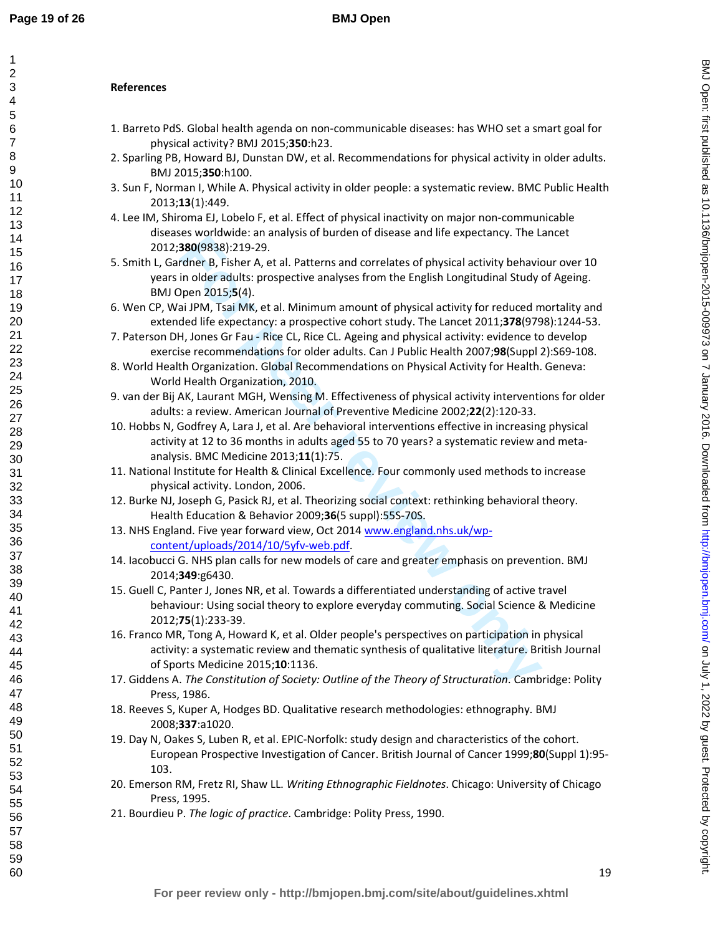# **References**

- 1. Barreto PdS. Global health agenda on non-communicable diseases: has WHO set a smart goal for physical activity? BMJ 2015;**350**:h23.
- 2. Sparling PB, Howard BJ, Dunstan DW, et al. Recommendations for physical activity in older adults. BMJ 2015;**350**:h100.
- 3. Sun F, Norman I, While A. Physical activity in older people: a systematic review. BMC Public Health 2013;**13**(1):449.
- 4. Lee IM, Shiroma EJ, Lobelo F, et al. Effect of physical inactivity on major non-communicable diseases worldwide: an analysis of burden of disease and life expectancy. The Lancet 2012;**380**(9838):219-29.
- **Example 10**<br>**For performation** and performation interaction in the same of the same of the same of the same of the same of the same of the same and sole and in older adults: pospective analyses from the English Longitudin 5. Smith L, Gardner B, Fisher A, et al. Patterns and correlates of physical activity behaviour over 10 years in older adults: prospective analyses from the English Longitudinal Study of Ageing. BMJ Open 2015;**5**(4).
- 6. Wen CP, Wai JPM, Tsai MK, et al. Minimum amount of physical activity for reduced mortality and extended life expectancy: a prospective cohort study. The Lancet 2011;**378**(9798):1244-53.
- 7. Paterson DH, Jones Gr Fau Rice CL, Rice CL. Ageing and physical activity: evidence to develop exercise recommendations for older adults. Can J Public Health 2007;**98**(Suppl 2):S69-108.
- 8. World Health Organization. Global Recommendations on Physical Activity for Health. Geneva: World Health Organization, 2010.
- 9. van der Bij AK, Laurant MGH, Wensing M. Effectiveness of physical activity interventions for older adults: a review. American Journal of Preventive Medicine 2002;**22**(2):120-33.
- 10. Hobbs N, Godfrey A, Lara J, et al. Are behavioral interventions effective in increasing physical activity at 12 to 36 months in adults aged 55 to 70 years? a systematic review and metaanalysis. BMC Medicine 2013;**11**(1):75.
- 11. National Institute for Health & Clinical Excellence. Four commonly used methods to increase physical activity. London, 2006.
- 12. Burke NJ, Joseph G, Pasick RJ, et al. Theorizing social context: rethinking behavioral theory. Health Education & Behavior 2009;**36**(5 suppl):55S-70S.
- 13. NHS England. Five year forward view, Oct 2014 www.england.nhs.uk/wpcontent/uploads/2014/10/5yfv-web.pdf.
- 14. Iacobucci G. NHS plan calls for new models of care and greater emphasis on prevention. BMJ 2014;**349**:g6430.
- 15. Guell C, Panter J, Jones NR, et al. Towards a differentiated understanding of active travel behaviour: Using social theory to explore everyday commuting. Social Science & Medicine 2012;**75**(1):233-39.
- 16. Franco MR, Tong A, Howard K, et al. Older people's perspectives on participation in physical activity: a systematic review and thematic synthesis of qualitative literature. British Journal of Sports Medicine 2015;**10**:1136.
- 17. Giddens A. *The Constitution of Society: Outline of the Theory of Structuration*. Cambridge: Polity Press, 1986.
- 18. Reeves S, Kuper A, Hodges BD. Qualitative research methodologies: ethnography. BMJ 2008;**337**:a1020.
- 19. Day N, Oakes S, Luben R, et al. EPIC-Norfolk: study design and characteristics of the cohort. European Prospective Investigation of Cancer. British Journal of Cancer 1999;**80**(Suppl 1):95- 103.
- 20. Emerson RM, Fretz RI, Shaw LL. *Writing Ethnographic Fieldnotes*. Chicago: University of Chicago Press, 1995.
- 21. Bourdieu P. *The logic of practice*. Cambridge: Polity Press, 1990.

BMJ Open: first published as 10.1136/bmjopen-2015-009973 on 7 January 2016. Downloaded from http://bmjopen.bmj.com/ on July 1, 2022 by guest. Protected by copyright on July 1, 2022 by guest. Protected by copyright. <http://bmjopen.bmj.com/> BMJ Open: first published as 10.1136/bmjopen-2015-009973 on 7 January 2016. Downloaded from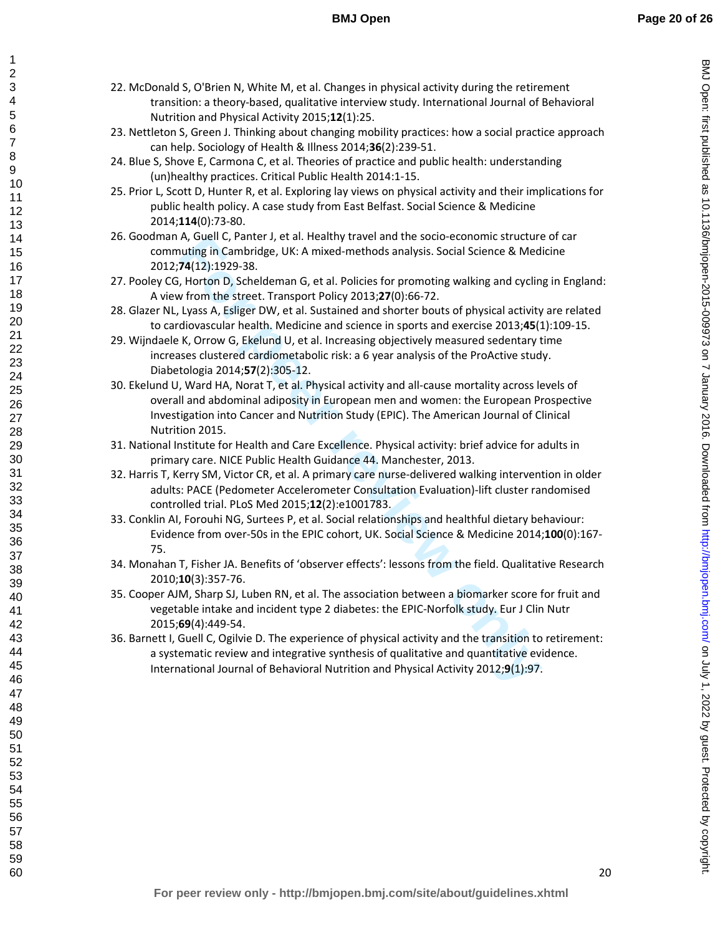22. McDonald S, O'Brien N, White M, et al. Changes in physical activity during the retirement transition: a theory-based, qualitative interview study. International Journal of Behavioral Nutrition and Physical Activity 2015;**12**(1):25.

- 23. Nettleton S, Green J. Thinking about changing mobility practices: how a social practice approach can help. Sociology of Health & Illness 2014;**36**(2):239-51.
- 24. Blue S, Shove E, Carmona C, et al. Theories of practice and public health: understanding (un)healthy practices. Critical Public Health 2014:1-15.
- 25. Prior L, Scott D, Hunter R, et al. Exploring lay views on physical activity and their implications for public health policy. A case study from East Belfast. Social Science & Medicine 2014;**114**(0):73-80.
- 26. Goodman A, Guell C, Panter J, et al. Healthy travel and the socio-economic structure of car commuting in Cambridge, UK: A mixed-methods analysis. Social Science & Medicine 2012;**74**(12):1929-38.
- 27. Pooley CG, Horton D, Scheldeman G, et al. Policies for promoting walking and cycling in England: A view from the street. Transport Policy 2013;**27**(0):66-72.
- 28. Glazer NL, Lyass A, Esliger DW, et al. Sustained and shorter bouts of physical activity are related to cardiovascular health. Medicine and science in sports and exercise 2013;**45**(1):109-15.
- 29. Wijndaele K, Orrow G, Ekelund U, et al. Increasing objectively measured sedentary time increases clustered cardiometabolic risk: a 6 year analysis of the ProActive study. Diabetologia 2014;**57**(2):305-12.
- A, Guell C, Panter J, et al. Healthy travel and the socio-cononnor structure<br>
A, Guell C, Panter C, et al. Policies for promotions analysis. Social Science & Med<br>
74(12):1929-38.<br>
Horton D, Scheldeman G, et al. Policies fo 30. Ekelund U, Ward HA, Norat T, et al. Physical activity and all-cause mortality across levels of overall and abdominal adiposity in European men and women: the European Prospective Investigation into Cancer and Nutrition Study (EPIC). The American Journal of Clinical Nutrition 2015.
- 31. National Institute for Health and Care Excellence. Physical activity: brief advice for adults in primary care. NICE Public Health Guidance 44. Manchester, 2013.
- 32. Harris T, Kerry SM, Victor CR, et al. A primary care nurse-delivered walking intervention in older adults: PACE (Pedometer Accelerometer Consultation Evaluation)-lift cluster randomised controlled trial. PLoS Med 2015;**12**(2):e1001783.
- 33. Conklin AI, Forouhi NG, Surtees P, et al. Social relationships and healthful dietary behaviour: Evidence from over-50s in the EPIC cohort, UK. Social Science & Medicine 2014;**100**(0):167- 75.
- 34. Monahan T, Fisher JA. Benefits of 'observer effects': lessons from the field. Qualitative Research 2010;**10**(3):357-76.
- 35. Cooper AJM, Sharp SJ, Luben RN, et al. The association between a biomarker score for fruit and vegetable intake and incident type 2 diabetes: the EPIC-Norfolk study. Eur J Clin Nutr 2015;**69**(4):449-54.
- 36. Barnett I, Guell C, Ogilvie D. The experience of physical activity and the transition to retirement: a systematic review and integrative synthesis of qualitative and quantitative evidence. International Journal of Behavioral Nutrition and Physical Activity 2012;**9**(1):97.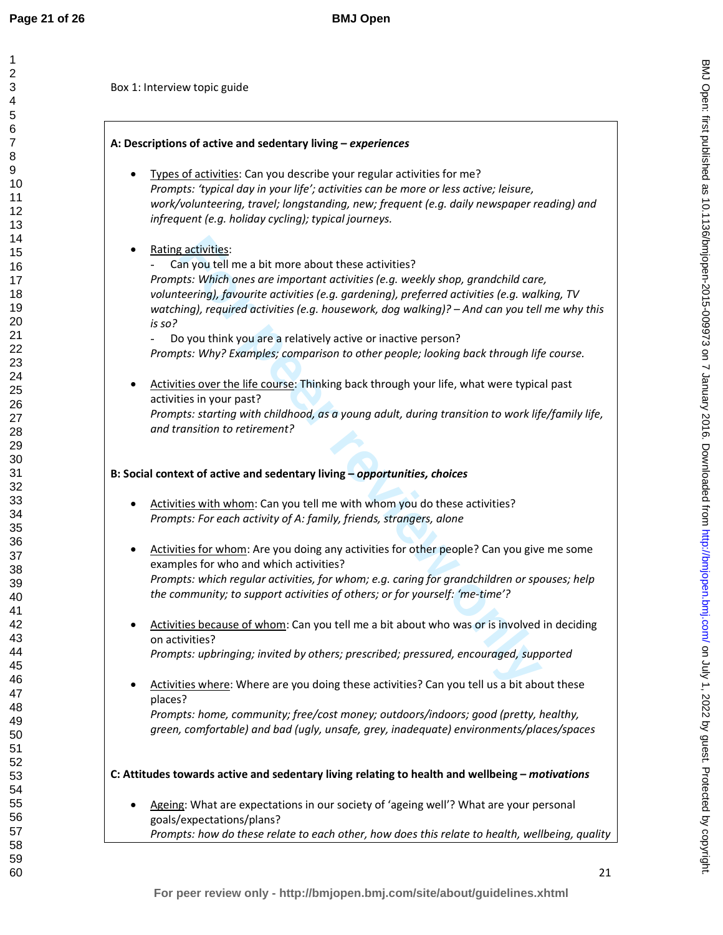Box 1: Interview topic guide

# **A: Descriptions of active and sedentary living –** *experiences*

- Types of activities: Can you describe your regular activities for me? *Prompts: 'typical day in your life'; activities can be more or less active; leisure, work/volunteering, travel; longstanding, new; frequent (e.g. daily newspaper reading) and infrequent (e.g. holiday cycling); typical journeys.*
- Rating activities:

**Follogy and the seal in the seal in the seal in the seal in the seal in the seal in the seal in the seal in the seal in the seal in the seal in the seal in the seal in the seal in the seal in the seal in the seal in the s** Can you tell me a bit more about these activities? *Prompts: Which ones are important activities (e.g. weekly shop, grandchild care, volunteering), favourite activities (e.g. gardening), preferred activities (e.g. walking, TV watching), required activities (e.g. housework, dog walking)? – And can you tell me why this is so?* 

Do you think you are a relatively active or inactive person? *Prompts: Why? Examples; comparison to other people; looking back through life course.* 

• Activities over the life course: Thinking back through your life, what were typical past activities in your past? *Prompts: starting with childhood, as a young adult, during transition to work life/family life, and transition to retirement?* 

# **B: Social context of active and sedentary living –** *opportunities, choices*

- Activities with whom: Can you tell me with whom you do these activities? *Prompts: For each activity of A: family, friends, strangers, alone*
- Activities for whom: Are you doing any activities for other people? Can you give me some examples for who and which activities? *Prompts: which regular activities, for whom; e.g. caring for grandchildren or spouses; help the community; to support activities of others; or for yourself: 'me-time'?*
- Activities because of whom: Can you tell me a bit about who was or is involved in deciding on activities? *Prompts: upbringing; invited by others; prescribed; pressured, encouraged, supported*
- Activities where: Where are you doing these activities? Can you tell us a bit about these places?

*Prompts: home, community; free/cost money; outdoors/indoors; good (pretty, healthy, green, comfortable) and bad (ugly, unsafe, grey, inadequate) environments/places/spaces* 

**C: Attitudes towards active and sedentary living relating to health and wellbeing –** *motivations*

Ageing: What are expectations in our society of 'ageing well'? What are your personal goals/expectations/plans? *Prompts: how do these relate to each other, how does this relate to health, wellbeing, quality*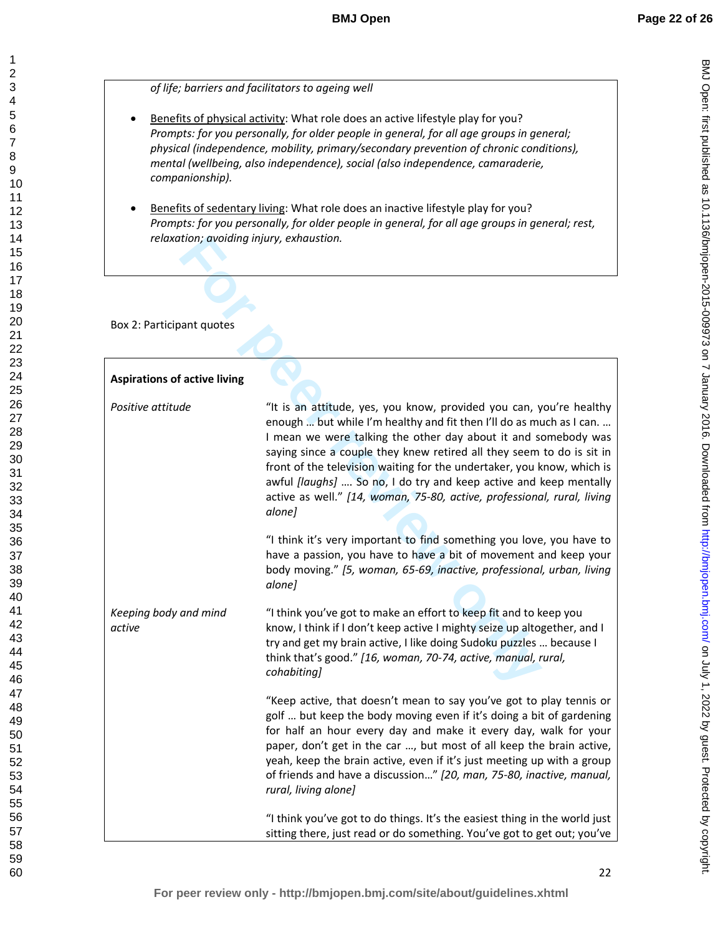*of life; barriers and facilitators to ageing well*

- Benefits of physical activity: What role does an active lifestyle play for you? *Prompts: for you personally, for older people in general, for all age groups in general; physical (independence, mobility, primary/secondary prevention of chronic conditions), mental (wellbeing, also independence), social (also independence, camaraderie, companionship).*
- Benefits of sedentary living: What role does an inactive lifestyle play for you? *Prompts: for you personally, for older people in general, for all age groups in general; rest, relaxation; avoiding injury, exhaustion.*

| relaxation; avoiding injury, exhaustion.                                                                                                                                                                                                                                                                                                                                                                                                                                                                                                                                                                                                                                                                                                                                                                                                                                                                                          |
|-----------------------------------------------------------------------------------------------------------------------------------------------------------------------------------------------------------------------------------------------------------------------------------------------------------------------------------------------------------------------------------------------------------------------------------------------------------------------------------------------------------------------------------------------------------------------------------------------------------------------------------------------------------------------------------------------------------------------------------------------------------------------------------------------------------------------------------------------------------------------------------------------------------------------------------|
|                                                                                                                                                                                                                                                                                                                                                                                                                                                                                                                                                                                                                                                                                                                                                                                                                                                                                                                                   |
|                                                                                                                                                                                                                                                                                                                                                                                                                                                                                                                                                                                                                                                                                                                                                                                                                                                                                                                                   |
| "It is an attitude, yes, you know, provided you can, you're healthy<br>enough  but while I'm healthy and fit then I'll do as much as I can.<br>I mean we were talking the other day about it and somebody was<br>saying since a couple they knew retired all they seem to do is sit in<br>front of the television waiting for the undertaker, you know, which is<br>awful [laughs]  So no, I do try and keep active and keep mentally<br>active as well." [14, woman, 75-80, active, professional, rural, living<br>alone]<br>"I think it's very important to find something you love, you have to<br>have a passion, you have to have a bit of movement and keep your<br>body moving." [5, woman, 65-69, inactive, professional, urban, living<br>alone]                                                                                                                                                                         |
| "I think you've got to make an effort to keep fit and to keep you<br>know, I think if I don't keep active I mighty seize up altogether, and I<br>try and get my brain active, I like doing Sudoku puzzles  because I<br>think that's good." [16, woman, 70-74, active, manual, rural,<br>cohabiting]<br>"Keep active, that doesn't mean to say you've got to play tennis or<br>golf  but keep the body moving even if it's doing a bit of gardening<br>for half an hour every day and make it every day, walk for your<br>paper, don't get in the car , but most of all keep the brain active,<br>yeah, keep the brain active, even if it's just meeting up with a group<br>of friends and have a discussion" [20, man, 75-80, inactive, manual,<br>rural, living alone]<br>"I think you've got to do things. It's the easiest thing in the world just<br>sitting there, just read or do something. You've got to get out; you've |
|                                                                                                                                                                                                                                                                                                                                                                                                                                                                                                                                                                                                                                                                                                                                                                                                                                                                                                                                   |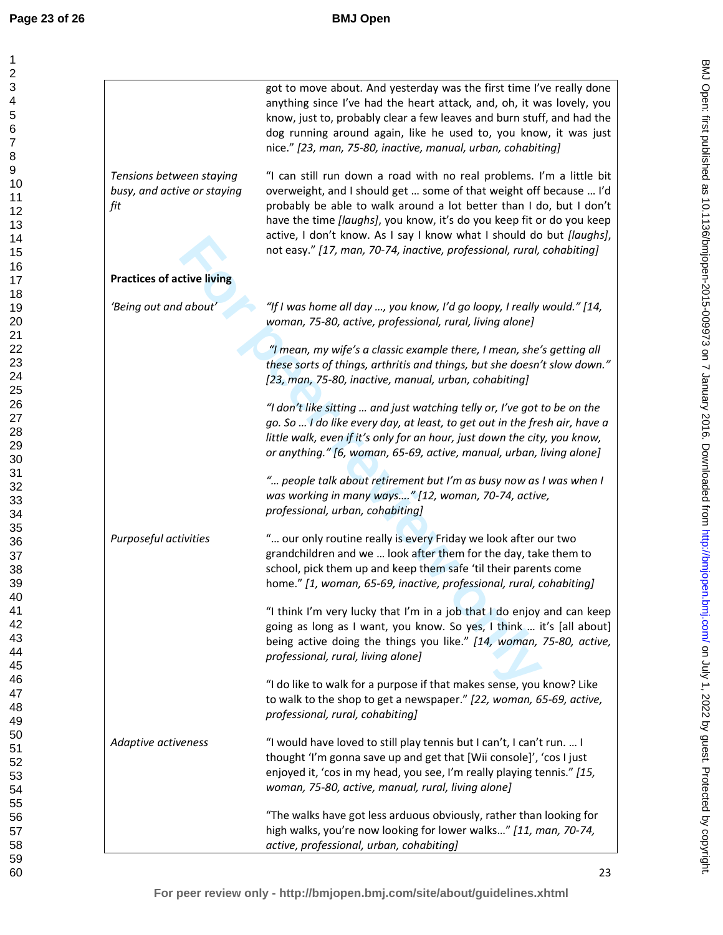| 1<br>$\overline{c}$<br>3<br>4<br>5<br>6<br>7<br>8<br>9<br>10<br>11<br>12<br>13<br>14<br>15<br>16<br>17<br>18<br>19<br>20<br>21<br>22 |  |
|--------------------------------------------------------------------------------------------------------------------------------------|--|
| 23<br>24<br>25<br>26<br>27<br>28<br>29<br>30<br>31<br>32<br>33<br>34<br>35<br>36<br>37<br>38<br>39<br>40<br>41<br>42<br>43<br>44     |  |
| 45<br>46<br>47<br>48<br>49<br>50<br>51<br>52<br>53<br>54<br>55<br>56<br>57<br>58<br>59<br>60                                         |  |

|                                                                | got to move about. And yesterday was the first time I've really done<br>anything since I've had the heart attack, and, oh, it was lovely, you<br>know, just to, probably clear a few leaves and burn stuff, and had the<br>dog running around again, like he used to, you know, it was just<br>nice." [23, man, 75-80, inactive, manual, urban, cohabiting]                                                                                          |
|----------------------------------------------------------------|------------------------------------------------------------------------------------------------------------------------------------------------------------------------------------------------------------------------------------------------------------------------------------------------------------------------------------------------------------------------------------------------------------------------------------------------------|
| Tensions between staying<br>busy, and active or staying<br>fit | "I can still run down a road with no real problems. I'm a little bit<br>overweight, and I should get  some of that weight off because  I'd<br>probably be able to walk around a lot better than I do, but I don't<br>have the time <i>[laughs]</i> , you know, it's do you keep fit or do you keep<br>active, I don't know. As I say I know what I should do but [laughs],<br>not easy." [17, man, 70-74, inactive, professional, rural, cohabiting] |
| <b>Practices of active living</b>                              |                                                                                                                                                                                                                                                                                                                                                                                                                                                      |
| 'Being out and about'                                          | "If I was home all day , you know, I'd go loopy, I really would." [14,<br>woman, 75-80, active, professional, rural, living alone]                                                                                                                                                                                                                                                                                                                   |
|                                                                | "I mean, my wife's a classic example there, I mean, she's getting all<br>these sorts of things, arthritis and things, but she doesn't slow down."<br>[23, man, 75-80, inactive, manual, urban, cohabiting]                                                                                                                                                                                                                                           |
|                                                                | "I don't like sitting  and just watching telly or, I've got to be on the<br>go. So  I do like every day, at least, to get out in the fresh air, have a<br>little walk, even if it's only for an hour, just down the city, you know,<br>or anything." [6, woman, 65-69, active, manual, urban, living alone]                                                                                                                                          |
|                                                                | " people talk about retirement but I'm as busy now as I was when I<br>was working in many ways" [12, woman, 70-74, active,<br>professional, urban, cohabiting]                                                                                                                                                                                                                                                                                       |
| Purposeful activities                                          | " our only routine really is every Friday we look after our two<br>grandchildren and we  look after them for the day, take them to<br>school, pick them up and keep them safe 'til their parents come<br>home." [1, woman, 65-69, inactive, professional, rural, cohabiting]                                                                                                                                                                         |
|                                                                | "I think I'm very lucky that I'm in a job that I do enjoy and can keep<br>going as long as I want, you know. So yes, I think  it's [all about]<br>being active doing the things you like." [14, woman, 75-80, active,<br>professional, rural, living alone]                                                                                                                                                                                          |
|                                                                | "I do like to walk for a purpose if that makes sense, you know? Like<br>to walk to the shop to get a newspaper." [22, woman, 65-69, active,<br>professional, rural, cohabiting]                                                                                                                                                                                                                                                                      |
| Adaptive activeness                                            | "I would have loved to still play tennis but I can't, I can't run.  I<br>thought 'I'm gonna save up and get that [Wii console]', 'cos I just<br>enjoyed it, 'cos in my head, you see, I'm really playing tennis." [15,<br>woman, 75-80, active, manual, rural, living alone]                                                                                                                                                                         |
|                                                                | "The walks have got less arduous obviously, rather than looking for<br>high walks, you're now looking for lower walks" [11, man, 70-74,<br>active, professional, urban, cohabiting]                                                                                                                                                                                                                                                                  |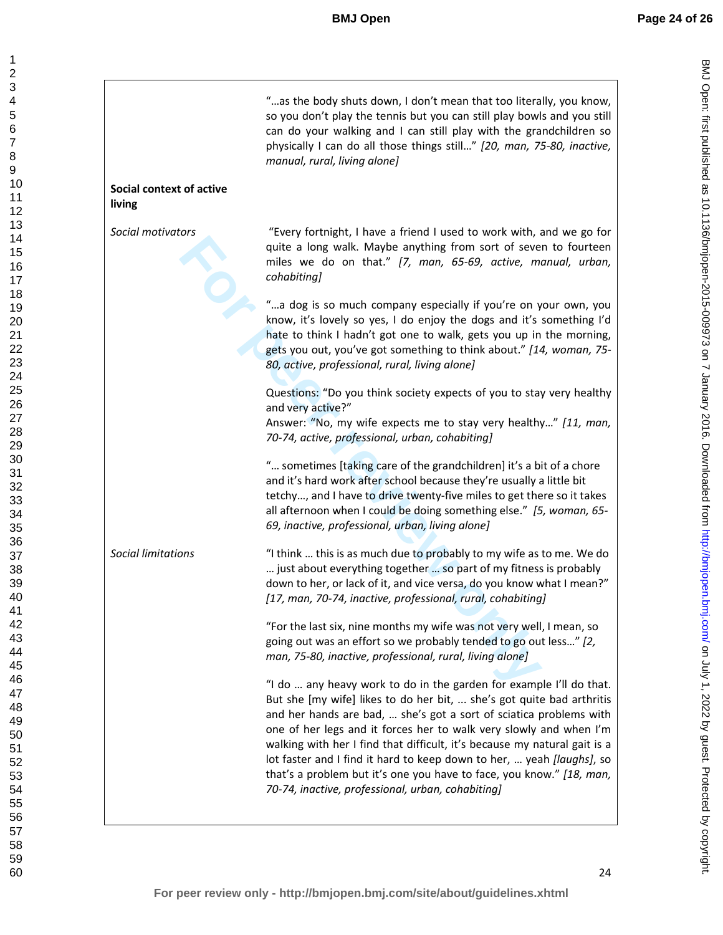|                                           | "as the body shuts down, I don't mean that too literally, you know,<br>so you don't play the tennis but you can still play bowls and you still<br>can do your walking and I can still play with the grandchildren so<br>physically I can do all those things still" [20, man, 75-80, inactive,<br>manual, rural, living alone]                                                                                                                                                                                                                                              |
|-------------------------------------------|-----------------------------------------------------------------------------------------------------------------------------------------------------------------------------------------------------------------------------------------------------------------------------------------------------------------------------------------------------------------------------------------------------------------------------------------------------------------------------------------------------------------------------------------------------------------------------|
| <b>Social context of active</b><br>living |                                                                                                                                                                                                                                                                                                                                                                                                                                                                                                                                                                             |
| Social motivators                         | "Every fortnight, I have a friend I used to work with, and we go for<br>quite a long walk. Maybe anything from sort of seven to fourteen<br>miles we do on that." [7, man, 65-69, active, manual, urban,<br>cohabiting]                                                                                                                                                                                                                                                                                                                                                     |
|                                           | "a dog is so much company especially if you're on your own, you<br>know, it's lovely so yes, I do enjoy the dogs and it's something I'd<br>hate to think I hadn't got one to walk, gets you up in the morning,<br>gets you out, you've got something to think about." [14, woman, 75-<br>80, active, professional, rural, living alone]                                                                                                                                                                                                                                     |
|                                           | Questions: "Do you think society expects of you to stay very healthy<br>and very active?"<br>Answer: "No, my wife expects me to stay very healthy" [11, man,<br>70-74, active, professional, urban, cohabiting]                                                                                                                                                                                                                                                                                                                                                             |
|                                           | " sometimes [taking care of the grandchildren] it's a bit of a chore<br>and it's hard work after school because they're usually a little bit<br>tetchy, and I have to drive twenty-five miles to get there so it takes<br>all afternoon when I could be doing something else." [5, woman, 65-<br>69, inactive, professional, urban, living alone]                                                                                                                                                                                                                           |
| <b>Social limitations</b>                 | "I think  this is as much due to probably to my wife as to me. We do<br>just about everything together  so part of my fitness is probably<br>down to her, or lack of it, and vice versa, do you know what I mean?"<br>[17, man, 70-74, inactive, professional, rural, cohabiting]                                                                                                                                                                                                                                                                                           |
|                                           | "For the last six, nine months my wife was not very well, I mean, so<br>going out was an effort so we probably tended to go out less" [2,<br>man, 75-80, inactive, professional, rural, living alone]                                                                                                                                                                                                                                                                                                                                                                       |
|                                           | "I do  any heavy work to do in the garden for example I'll do that.<br>But she [my wife] likes to do her bit,  she's got quite bad arthritis<br>and her hands are bad,  she's got a sort of sciatica problems with<br>one of her legs and it forces her to walk very slowly and when I'm<br>walking with her I find that difficult, it's because my natural gait is a<br>lot faster and I find it hard to keep down to her,  yeah [laughs], so<br>that's a problem but it's one you have to face, you know." [18, man,<br>70-74, inactive, professional, urban, cohabiting] |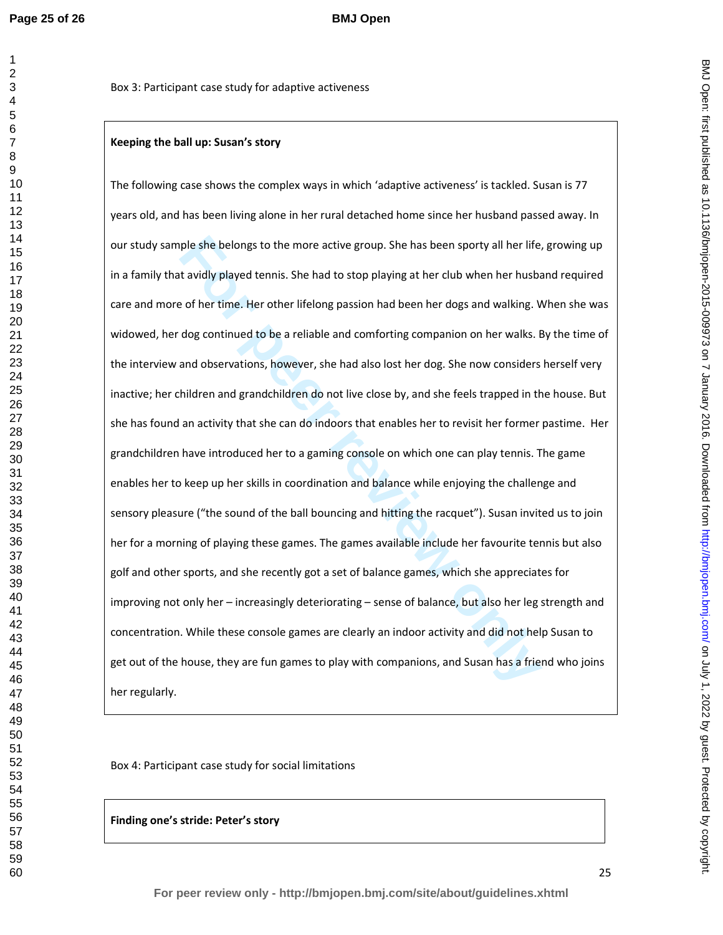# **Keeping the ball up: Susan's story**

ple she belongs to the more active group. She has been sporty all her life, it avidly played tennis. She had to stop playing at her club when her husbare of her time. Her other lifelong passion had been her dogs and walkin The following case shows the complex ways in which 'adaptive activeness' is tackled. Susan is 77 years old, and has been living alone in her rural detached home since her husband passed away. In our study sample she belongs to the more active group. She has been sporty all her life, growing up in a family that avidly played tennis. She had to stop playing at her club when her husband required care and more of her time. Her other lifelong passion had been her dogs and walking. When she was widowed, her dog continued to be a reliable and comforting companion on her walks. By the time of the interview and observations, however, she had also lost her dog. She now considers herself very inactive; her children and grandchildren do not live close by, and she feels trapped in the house. But she has found an activity that she can do indoors that enables her to revisit her former pastime. Her grandchildren have introduced her to a gaming console on which one can play tennis. The game enables her to keep up her skills in coordination and balance while enjoying the challenge and sensory pleasure ("the sound of the ball bouncing and hitting the racquet"). Susan invited us to join her for a morning of playing these games. The games available include her favourite tennis but also golf and other sports, and she recently got a set of balance games, which she appreciates for improving not only her – increasingly deteriorating – sense of balance, but also her leg strength and concentration. While these console games are clearly an indoor activity and did not help Susan to get out of the house, they are fun games to play with companions, and Susan has a friend who joins her regularly.

Box 4: Participant case study for social limitations

**Finding one's stride: Peter's story**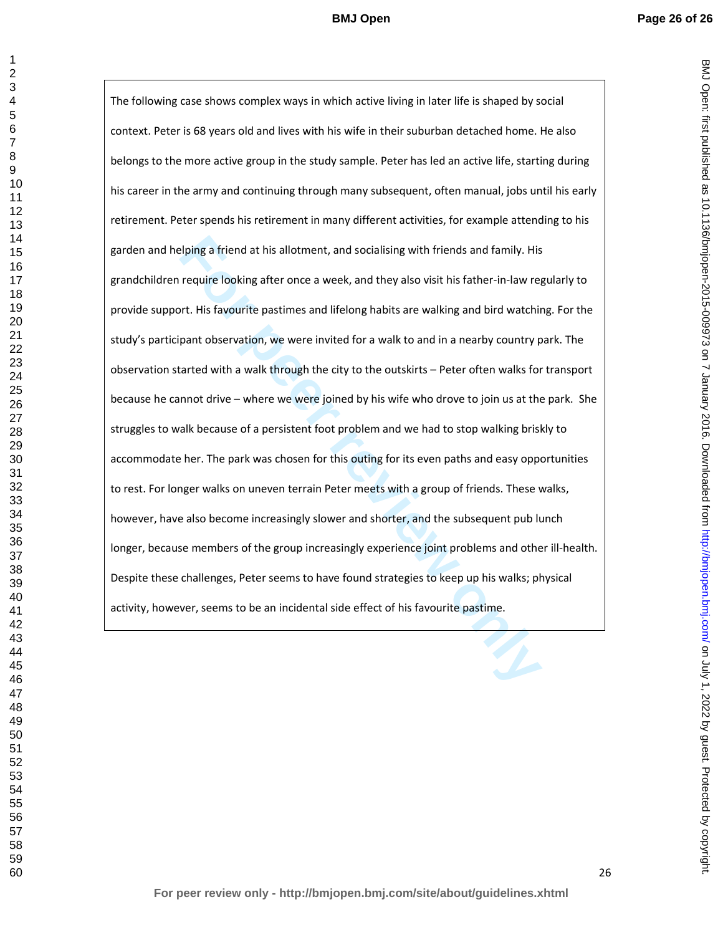**Example 1** First and this allotment, and socialising with friends and family. His require looking after once a week, and they also visit his father-in-law require looking after once a week, and they also visit his father-The following case shows complex ways in which active living in later life is shaped by social context. Peter is 68 years old and lives with his wife in their suburban detached home. He also belongs to the more active group in the study sample. Peter has led an active life, starting during his career in the army and continuing through many subsequent, often manual, jobs until his early retirement. Peter spends his retirement in many different activities, for example attending to his garden and helping a friend at his allotment, and socialising with friends and family. His grandchildren require looking after once a week, and they also visit his father-in-law regularly to provide support. His favourite pastimes and lifelong habits are walking and bird watching. For the study's participant observation, we were invited for a walk to and in a nearby country park. The observation started with a walk through the city to the outskirts – Peter often walks for transport because he cannot drive – where we were joined by his wife who drove to join us at the park. She struggles to walk because of a persistent foot problem and we had to stop walking briskly to accommodate her. The park was chosen for this outing for its even paths and easy opportunities to rest. For longer walks on uneven terrain Peter meets with a group of friends. These walks, however, have also become increasingly slower and shorter, and the subsequent pub lunch longer, because members of the group increasingly experience joint problems and other ill-health. Despite these challenges, Peter seems to have found strategies to keep up his walks; physical activity, however, seems to be an incidental side effect of his favourite pastime.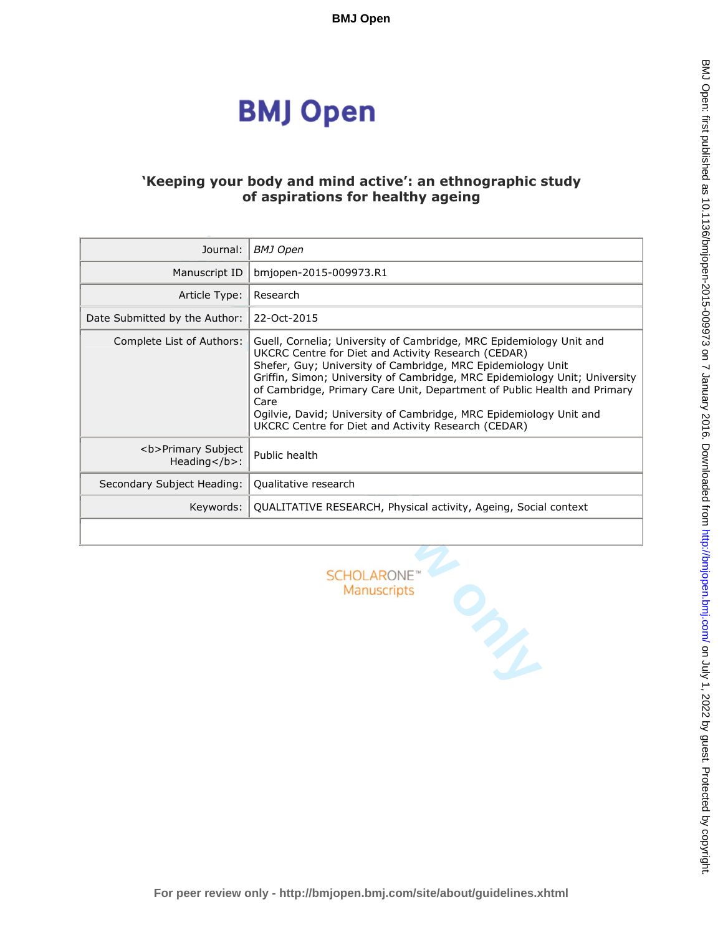# **BMJ Open**

# **'Keeping your body and mind active': an ethnographic study of aspirations for healthy ageing**

| Journal:                                                   | <b>BMJ</b> Open                                                                                                                                                                                                                                                                                                                                                                                                                                                                          |
|------------------------------------------------------------|------------------------------------------------------------------------------------------------------------------------------------------------------------------------------------------------------------------------------------------------------------------------------------------------------------------------------------------------------------------------------------------------------------------------------------------------------------------------------------------|
| Manuscript ID                                              | bmjopen-2015-009973.R1                                                                                                                                                                                                                                                                                                                                                                                                                                                                   |
| Article Type:                                              | Research                                                                                                                                                                                                                                                                                                                                                                                                                                                                                 |
| Date Submitted by the Author:                              | 22-Oct-2015                                                                                                                                                                                                                                                                                                                                                                                                                                                                              |
| Complete List of Authors:                                  | Guell, Cornelia; University of Cambridge, MRC Epidemiology Unit and<br>UKCRC Centre for Diet and Activity Research (CEDAR)<br>Shefer, Guy; University of Cambridge, MRC Epidemiology Unit<br>Griffin, Simon; University of Cambridge, MRC Epidemiology Unit; University<br>of Cambridge, Primary Care Unit, Department of Public Health and Primary<br>Care<br>Ogilvie, David; University of Cambridge, MRC Epidemiology Unit and<br>UKCRC Centre for Diet and Activity Research (CEDAR) |
| <b>Primary Subject<br/>Heading<math>&lt;</math>/b&gt;:</b> | Public health                                                                                                                                                                                                                                                                                                                                                                                                                                                                            |
| Secondary Subject Heading:                                 | Qualitative research                                                                                                                                                                                                                                                                                                                                                                                                                                                                     |
| Keywords:                                                  | QUALITATIVE RESEARCH, Physical activity, Ageing, Social context                                                                                                                                                                                                                                                                                                                                                                                                                          |
|                                                            |                                                                                                                                                                                                                                                                                                                                                                                                                                                                                          |
|                                                            | <b>SCHOLARONE</b><br>Manuscripts<br>$\mathcal{P}_{\mathcal{P}_{\mathcal{P}}}$                                                                                                                                                                                                                                                                                                                                                                                                            |

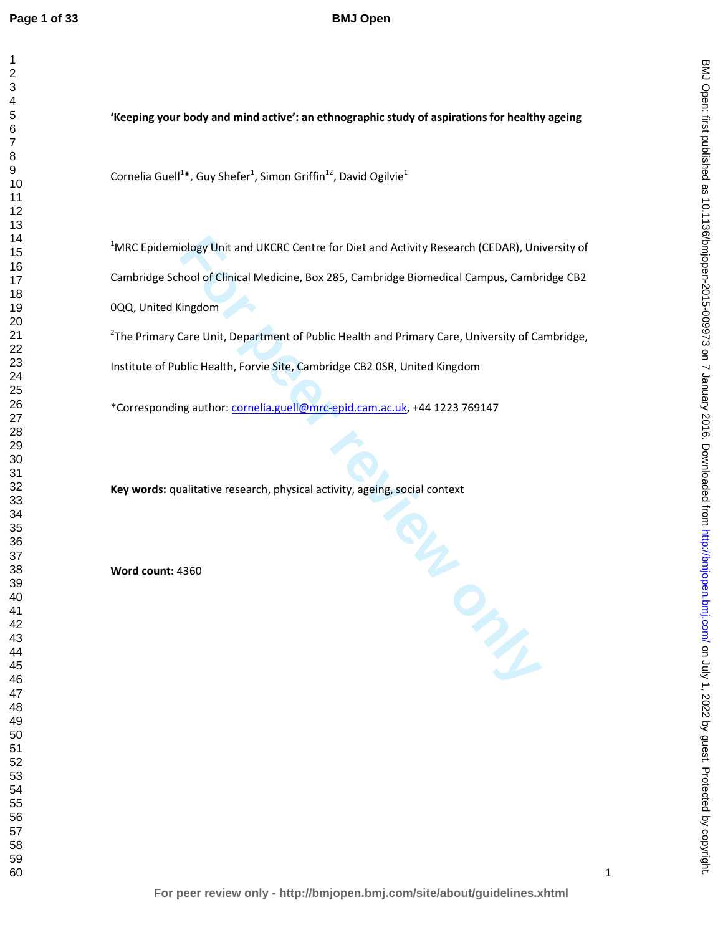# **BMJ Open**

# **'Keeping your body and mind active': an ethnographic study of aspirations for healthy ageing**

Cornelia Guell<sup>1\*</sup>, Guy Shefer<sup>1</sup>, Simon Griffin<sup>12</sup>, David Ogilvie<sup>1</sup>

MRC Epidemiology Unit and UKCRC Centre for Diet and Activity Research (CEDAR), University of Cambridge School of Clinical Medicine, Box 285, Cambridge Biomedical Campus, Cambridge CB2 0QQ, United Kingdom

<sup>2</sup>The Primary Care Unit, Department of Public Health and Primary Care, University of Cambridge, Institute of Public Health, Forvie Site, Cambridge CB2 0SR, United Kingdom

\*Corresponding author: cornelia.guell@mrc-epid.cam.ac.uk, +44 1223 769147

**Key words:** qualitative research, physical activity, ageing, social context

**Word count:** 4360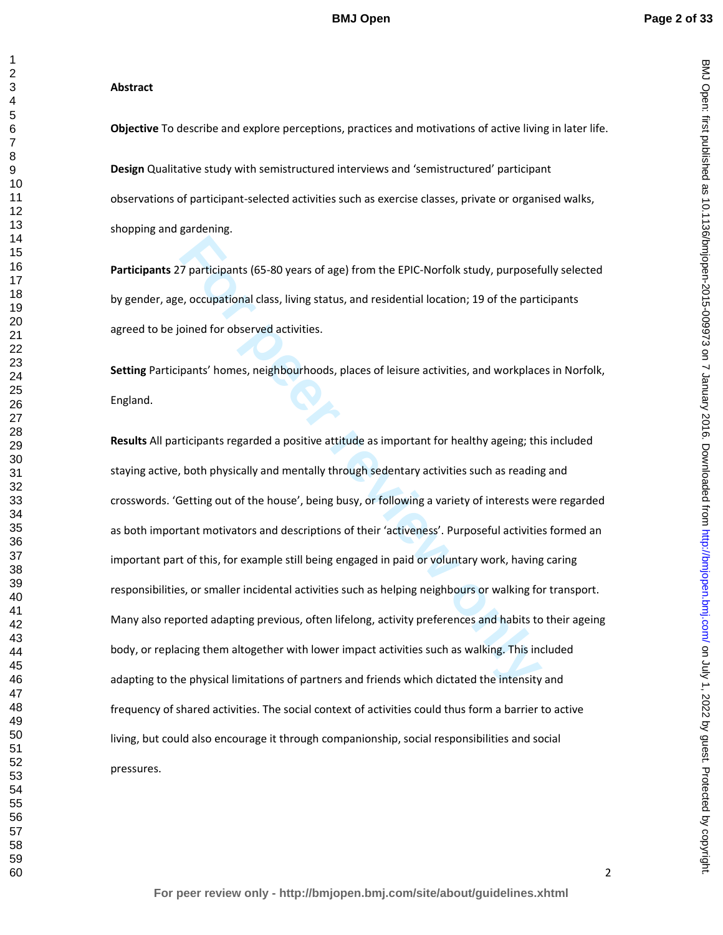BMJ Open: first published as 10.1136/bmjopen-2015-009973 on 7 January 2016. Downloaded from http://bmjopen.bmj.com/ on July 1, 2022 by guest. Protected by copyright on July 1, 2022 by guest. Protected by copyright. <http://bmjopen.bmj.com/> BMJ Open: first published as 10.1136/bmjopen-2015-009973 on 7 January 2016. Downloaded from

#### **Abstract**

**Objective** To describe and explore perceptions, practices and motivations of active living in later life.

**Design** Qualitative study with semistructured interviews and 'semistructured' participant observations of participant-selected activities such as exercise classes, private or organised walks, shopping and gardening.

**Participants** 27 participants (65-80 years of age) from the EPIC-Norfolk study, purposefully selected by gender, age, occupational class, living status, and residential location; 19 of the participants agreed to be joined for observed activities.

**Setting** Participants' homes, neighbourhoods, places of leisure activities, and workplaces in Norfolk, England.

**Follogy 12**<br> **Follogy 12**<br> **Follogy American Exercutary Settima in the EPIC-Norfolk study, purpose<br>
<b>Follogy American Exercutary Settims**<br> **For periodic only and the pertical study**<br> **For periodic Settims**, and **residenti Results** All participants regarded a positive attitude as important for healthy ageing; this included staying active, both physically and mentally through sedentary activities such as reading and crosswords. 'Getting out of the house', being busy, or following a variety of interests were regarded as both important motivators and descriptions of their 'activeness'. Purposeful activities formed an important part of this, for example still being engaged in paid or voluntary work, having caring responsibilities, or smaller incidental activities such as helping neighbours or walking for transport. Many also reported adapting previous, often lifelong, activity preferences and habits to their ageing body, or replacing them altogether with lower impact activities such as walking. This included adapting to the physical limitations of partners and friends which dictated the intensity and frequency of shared activities. The social context of activities could thus form a barrier to active living, but could also encourage it through companionship, social responsibilities and social pressures.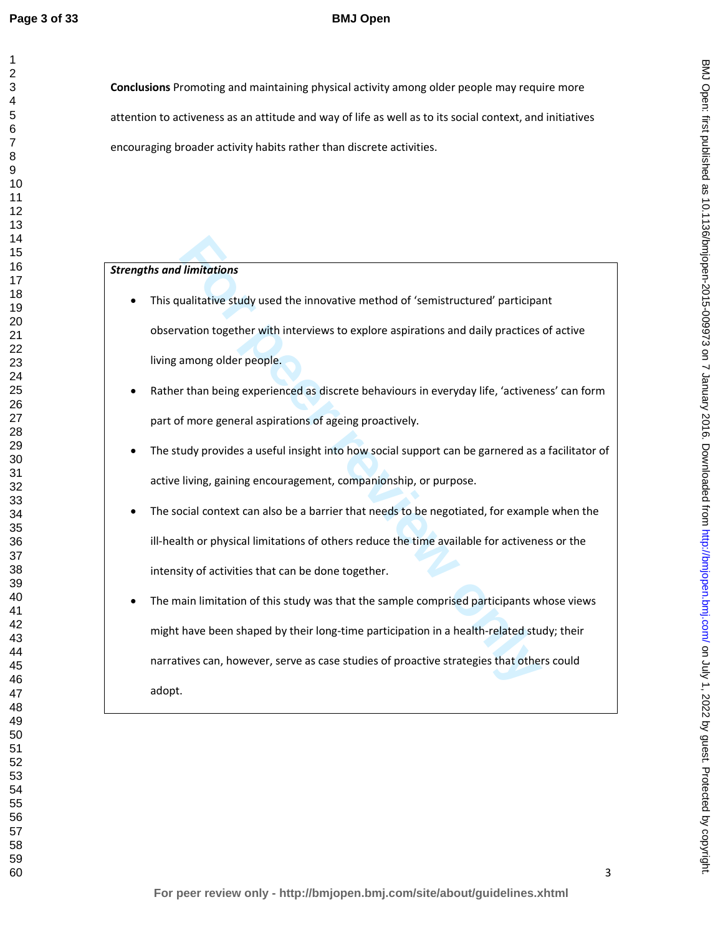# **BMJ Open**

**Conclusions** Promoting and maintaining physical activity among older people may require more attention to activeness as an attitude and way of life as well as to its social context, and initiatives encouraging broader activity habits rather than discrete activities.

## *Strengths and limitations*

- This qualitative study used the innovative method of 'semistructured' participant observation together with interviews to explore aspirations and daily practices of active living among older people.
- Rather than being experienced as discrete behaviours in everyday life, 'activeness' can form part of more general aspirations of ageing proactively.
- The study provides a useful insight into how social support can be garnered as a facilitator of active living, gaining encouragement, companionship, or purpose.
- The social context can also be a barrier that needs to be negotiated, for example when the ill-health or physical limitations of others reduce the time available for activeness or the intensity of activities that can be done together.
- **Funitations**<br> **Funitative study used the innovative method of 'semistructured' participal<br>
vation together with interviews to explore aspirations and daily practices<br>
among older people.<br>
<b>For than being experienced as di** • The main limitation of this study was that the sample comprised participants whose views might have been shaped by their long-time participation in a health-related study; their narratives can, however, serve as case studies of proactive strategies that others could adopt.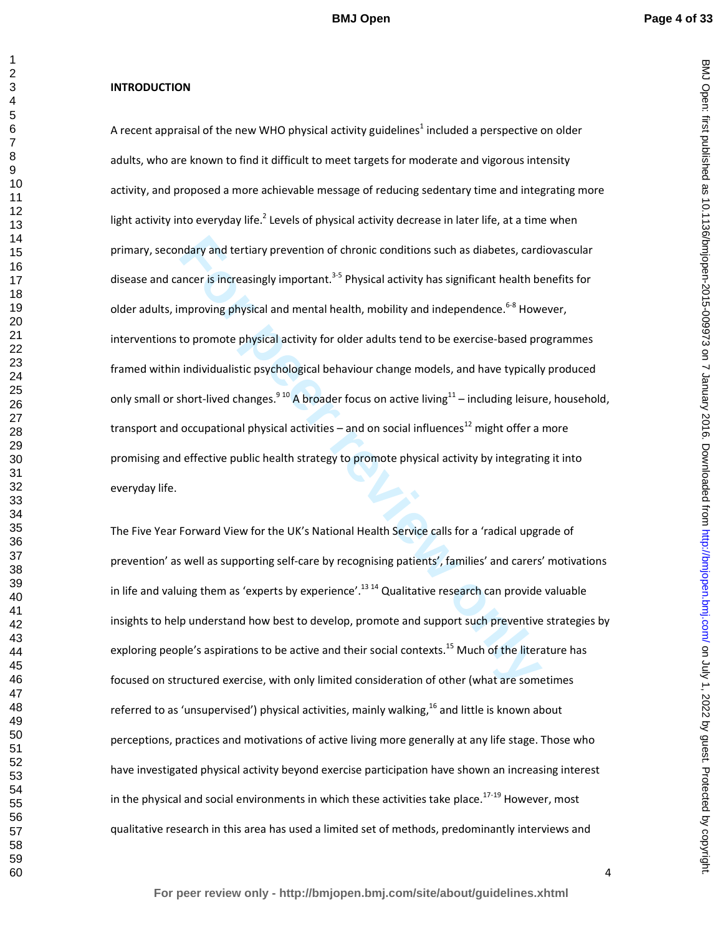BMJ Open: first published as 10.1136/bmjopen-2015-009973 on 7 January 2016. Downloaded from http://bmjopen.bmj.com/ on July 1, 2022 by guest. Protected by copyright on July 1, 2022 by guest. Protected by copyright. <http://bmjopen.bmj.com/> BMJ Open: first published as 10.1136/bmjopen-2015-009973 on 7 January 2016. Downloaded from

#### **INTRODUCTION**

ndary and tertiary prevention of chronic conditions such as diabetes, card<br>ancer is increasingly important.<sup>3,5</sup> Physical activity has significant health be<br>mproving physical and mental health, mobility and independence.<sup>6</sup> A recent appraisal of the new WHO physical activity guidelines<sup>1</sup> included a perspective on older adults, who are known to find it difficult to meet targets for moderate and vigorous intensity activity, and proposed a more achievable message of reducing sedentary time and integrating more light activity into everyday life.<sup>2</sup> Levels of physical activity decrease in later life, at a time when primary, secondary and tertiary prevention of chronic conditions such as diabetes, cardiovascular disease and cancer is increasingly important.<sup>3-5</sup> Physical activity has significant health benefits for older adults, improving physical and mental health, mobility and independence.<sup>6-8</sup> However, interventions to promote physical activity for older adults tend to be exercise-based programmes framed within individualistic psychological behaviour change models, and have typically produced only small or short-lived changes.<sup>910</sup> A broader focus on active living<sup>11</sup> – including leisure, household, transport and occupational physical activities – and on social influences<sup>12</sup> might offer a more promising and effective public health strategy to promote physical activity by integrating it into everyday life.

The Five Year Forward View for the UK's National Health Service calls for a 'radical upgrade of prevention' as well as supporting self-care by recognising patients', families' and carers' motivations in life and valuing them as 'experts by experience'.<sup>1314</sup> Qualitative research can provide valuable insights to help understand how best to develop, promote and support such preventive strategies by exploring people's aspirations to be active and their social contexts.<sup>15</sup> Much of the literature has focused on structured exercise, with only limited consideration of other (what are sometimes referred to as 'unsupervised') physical activities, mainly walking,<sup>16</sup> and little is known about perceptions, practices and motivations of active living more generally at any life stage. Those who have investigated physical activity beyond exercise participation have shown an increasing interest in the physical and social environments in which these activities take place.<sup>17-19</sup> However, most qualitative research in this area has used a limited set of methods, predominantly interviews and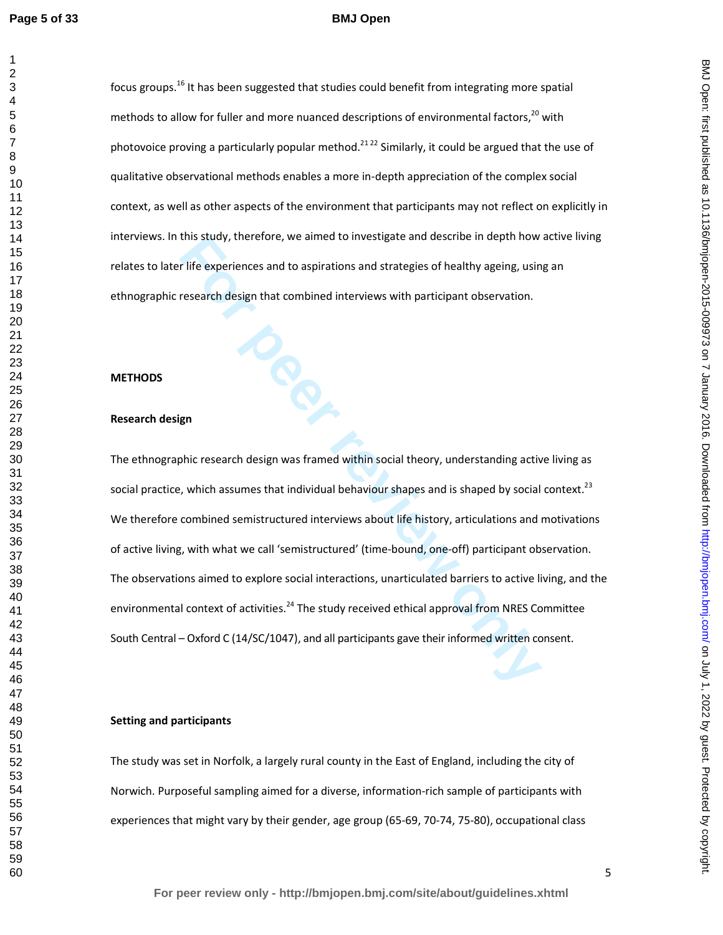#### **BMJ Open**

focus groups.<sup>16</sup> It has been suggested that studies could benefit from integrating more spatial methods to allow for fuller and more nuanced descriptions of environmental factors, $^{20}$  with photovoice proving a particularly popular method.<sup>21,22</sup> Similarly, it could be argued that the use of qualitative observational methods enables a more in-depth appreciation of the complex social context, as well as other aspects of the environment that participants may not reflect on explicitly in interviews. In this study, therefore, we aimed to investigate and describe in depth how active living relates to later life experiences and to aspirations and strategies of healthy ageing, using an ethnographic research design that combined interviews with participant observation.

#### **METHODS**

#### **Research design**

this stuary, therefore, we aimed to investigate and describe in depth now<br>
I life experiences and to aspirations and strategies of healthy ageing, usin<br>
research design that combined interviews with participant observation The ethnographic research design was framed within social theory, understanding active living as social practice, which assumes that individual behaviour shapes and is shaped by social context.<sup>23</sup> We therefore combined semistructured interviews about life history, articulations and motivations of active living, with what we call 'semistructured' (time-bound, one-off) participant observation. The observations aimed to explore social interactions, unarticulated barriers to active living, and the environmental context of activities.<sup>24</sup> The study received ethical approval from NRES Committee South Central – Oxford C (14/SC/1047), and all participants gave their informed written consent.

## **Setting and participants**

The study was set in Norfolk, a largely rural county in the East of England, including the city of Norwich. Purposeful sampling aimed for a diverse, information-rich sample of participants with experiences that might vary by their gender, age group (65-69, 70-74, 75-80), occupational class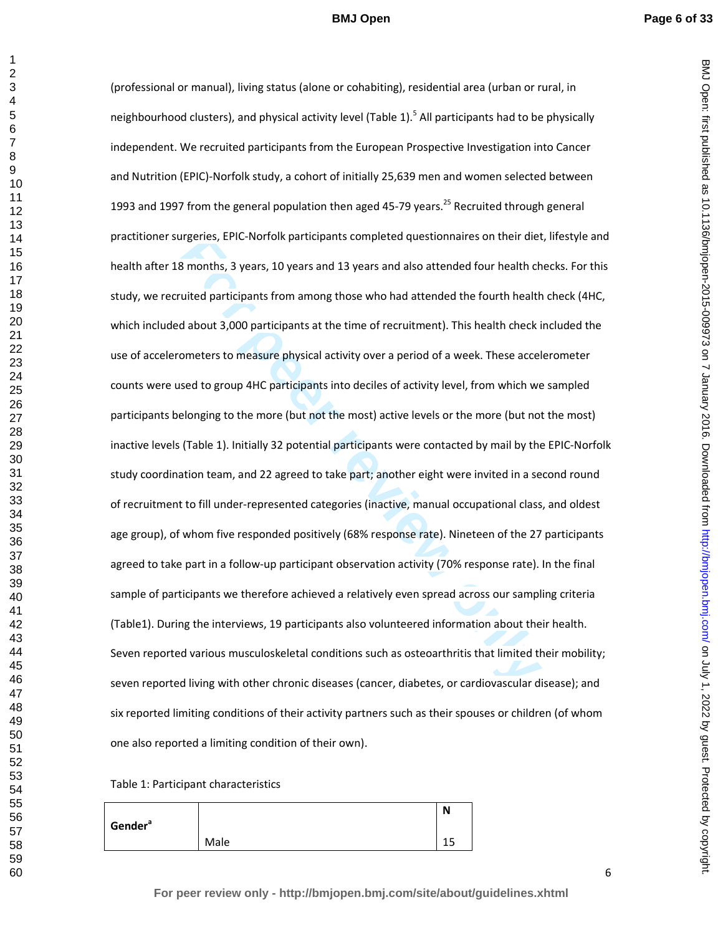BMJ Open: first published as 10.1136/bmjopen-2015-009973 on 7 January 2016. Downloaded from http://bmjopen.bmj.com/ on July 1, 2022 by guest. Protected by copyright on July 1, 2022 by guest. Protected by copyright. <http://bmjopen.bmj.com/> BMJ Open: first published as 10.1136/bmjopen-2015-009973 on 7 January 2016. Downloaded from

rigeries, EPIC-Norfolk participants completed questionnaires on their diet<br>**8** months, 3 years, 10 years and 13 years and also attended four health ch<br>vited participants from among those who had attended the fourth health<br> (professional or manual), living status (alone or cohabiting), residential area (urban or rural, in neighbourhood clusters), and physical activity level (Table 1).<sup>5</sup> All participants had to be physically independent. We recruited participants from the European Prospective Investigation into Cancer and Nutrition (EPIC)-Norfolk study, a cohort of initially 25,639 men and women selected between 1993 and 1997 from the general population then aged 45-79 years.<sup>25</sup> Recruited through general practitioner surgeries, EPIC-Norfolk participants completed questionnaires on their diet, lifestyle and health after 18 months, 3 years, 10 years and 13 years and also attended four health checks. For this study, we recruited participants from among those who had attended the fourth health check (4HC, which included about 3,000 participants at the time of recruitment). This health check included the use of accelerometers to measure physical activity over a period of a week. These accelerometer counts were used to group 4HC participants into deciles of activity level, from which we sampled participants belonging to the more (but not the most) active levels or the more (but not the most) inactive levels (Table 1). Initially 32 potential participants were contacted by mail by the EPIC-Norfolk study coordination team, and 22 agreed to take part; another eight were invited in a second round of recruitment to fill under-represented categories (inactive, manual occupational class, and oldest age group), of whom five responded positively (68% response rate). Nineteen of the 27 participants agreed to take part in a follow-up participant observation activity (70% response rate). In the final sample of participants we therefore achieved a relatively even spread across our sampling criteria (Table1). During the interviews, 19 participants also volunteered information about their health. Seven reported various musculoskeletal conditions such as osteoarthritis that limited their mobility; seven reported living with other chronic diseases (cancer, diabetes, or cardiovascular disease); and six reported limiting conditions of their activity partners such as their spouses or children (of whom one also reported a limiting condition of their own).

## Table 1: Participant characteristics

| Gender <sup>a</sup> |      | N                 |
|---------------------|------|-------------------|
|                     | Male | <b>1 F</b><br>ں ہ |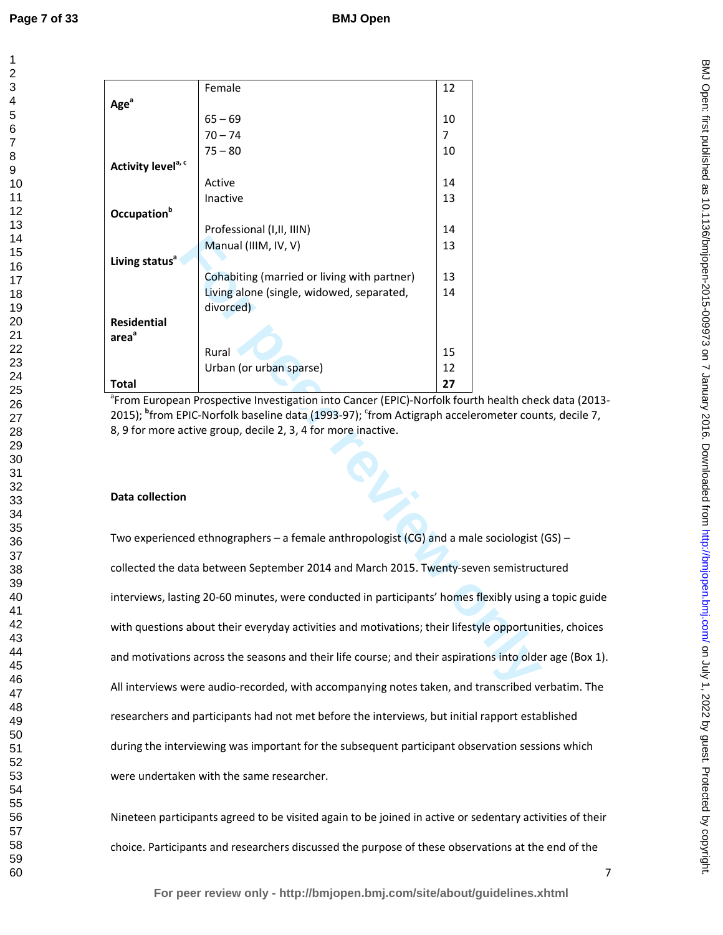|                                | Female                                      | 12             |
|--------------------------------|---------------------------------------------|----------------|
| Age <sup>a</sup>               |                                             |                |
|                                | $65 - 69$                                   | 10             |
|                                | $70 - 74$                                   | $\overline{7}$ |
|                                | $75 - 80$                                   | 10             |
| Activity level <sup>a, c</sup> |                                             |                |
|                                | Active                                      | 14             |
|                                | Inactive                                    | 13             |
| Occupation <sup>b</sup>        |                                             |                |
|                                | Professional (I, II, IIIN)                  | 14             |
|                                | Manual (IIIM, IV, V)                        | 13             |
| Living status <sup>a</sup>     |                                             |                |
|                                | Cohabiting (married or living with partner) | 13             |
|                                | Living alone (single, widowed, separated,   | 14             |
|                                | divorced)                                   |                |
| <b>Residential</b>             |                                             |                |
| area <sup>a</sup>              |                                             |                |
|                                | Rural                                       | 15             |
|                                | Urban (or urban sparse)                     | 12             |
| Total                          |                                             | 27             |

<sup>a</sup> From European Prospective Investigation into Cancer (EPIC)-Norfolk fourth health check data (2013-2015); <sup>b</sup>from EPIC-Norfolk baseline data (1993-97); <sup>c</sup>from Actigraph accelerometer counts, decile 7, 8, 9 for more active group, decile 2, 3, 4 for more inactive.

#### **Data collection**

Manual (IIIM, IV, V)<br>
Cohabiting (married or living with partner)<br>
Living alone (single, widowed, separated,<br>
divorced)<br>
Rural<br> **For PIC-Norfolk baseline data (1993-97);** "from Actigraph accelerometer cour<br>
an Prospective Two experienced ethnographers – a female anthropologist (CG) and a male sociologist (GS) – collected the data between September 2014 and March 2015. Twenty-seven semistructured interviews, lasting 20-60 minutes, were conducted in participants' homes flexibly using a topic guide with questions about their everyday activities and motivations; their lifestyle opportunities, choices and motivations across the seasons and their life course; and their aspirations into older age (Box 1). All interviews were audio-recorded, with accompanying notes taken, and transcribed verbatim. The researchers and participants had not met before the interviews, but initial rapport established during the interviewing was important for the subsequent participant observation sessions which were undertaken with the same researcher.

Nineteen participants agreed to be visited again to be joined in active or sedentary activities of their choice. Participants and researchers discussed the purpose of these observations at the end of the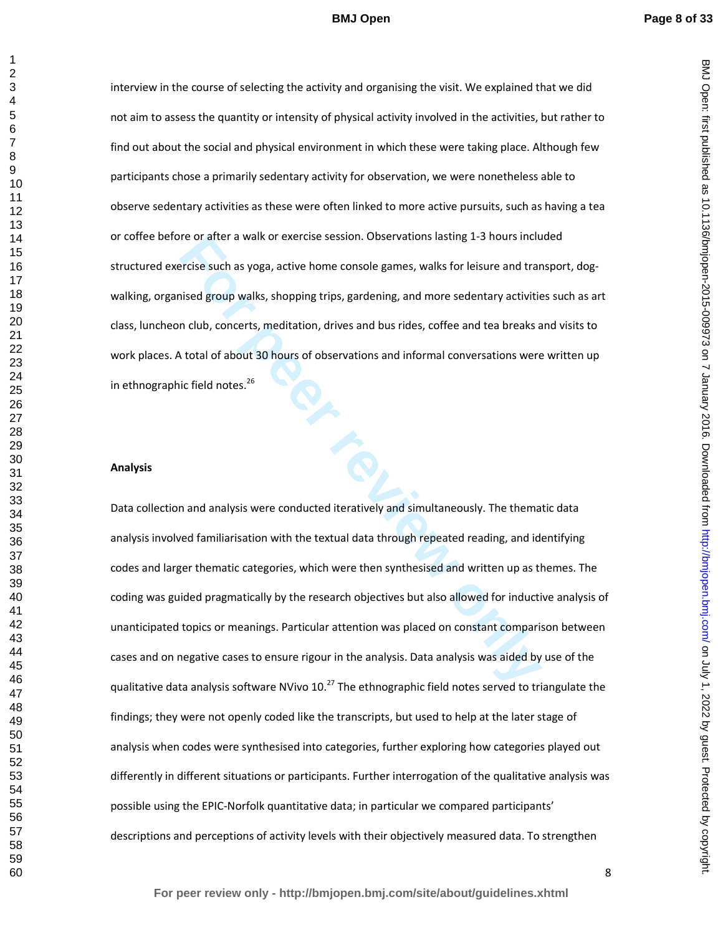BMJ Open: first published as 10.1136/bmjopen-2015-009973 on 7 January 2016. Downloaded from http://bmjopen.bmj.com/ on July 1, 2022 by guest. Protected by copyright on July 1, 2022 by guest. Protected by copyright. <http://bmjopen.bmj.com/> BMJ Open: first published as 10.1136/bmjopen-2015-009973 on 7 January 2016. Downloaded from

interview in the course of selecting the activity and organising the visit. We explained that we did not aim to assess the quantity or intensity of physical activity involved in the activities, but rather to find out about the social and physical environment in which these were taking place. Although few participants chose a primarily sedentary activity for observation, we were nonetheless able to observe sedentary activities as these were often linked to more active pursuits, such as having a tea or coffee before or after a walk or exercise session. Observations lasting 1-3 hours included structured exercise such as yoga, active home console games, walks for leisure and transport, dogwalking, organised group walks, shopping trips, gardening, and more sedentary activities such as art class, luncheon club, concerts, meditation, drives and bus rides, coffee and tea breaks and visits to work places. A total of about 30 hours of observations and informal conversations were written up in ethnographic field notes.<sup>26</sup>

#### **Analysis**

re or atter a walk or exercise session. Observations lasting 1-3 hours included recise such as yoga, active home console games, walks for leisure and trar<br>insed group walks, shopping trips, gardening, and more sedentary ac Data collection and analysis were conducted iteratively and simultaneously. The thematic data analysis involved familiarisation with the textual data through repeated reading, and identifying codes and larger thematic categories, which were then synthesised and written up as themes. The coding was guided pragmatically by the research objectives but also allowed for inductive analysis of unanticipated topics or meanings. Particular attention was placed on constant comparison between cases and on negative cases to ensure rigour in the analysis. Data analysis was aided by use of the qualitative data analysis software NVivo  $10^{27}$  The ethnographic field notes served to triangulate the findings; they were not openly coded like the transcripts, but used to help at the later stage of analysis when codes were synthesised into categories, further exploring how categories played out differently in different situations or participants. Further interrogation of the qualitative analysis was possible using the EPIC-Norfolk quantitative data; in particular we compared participants' descriptions and perceptions of activity levels with their objectively measured data. To strengthen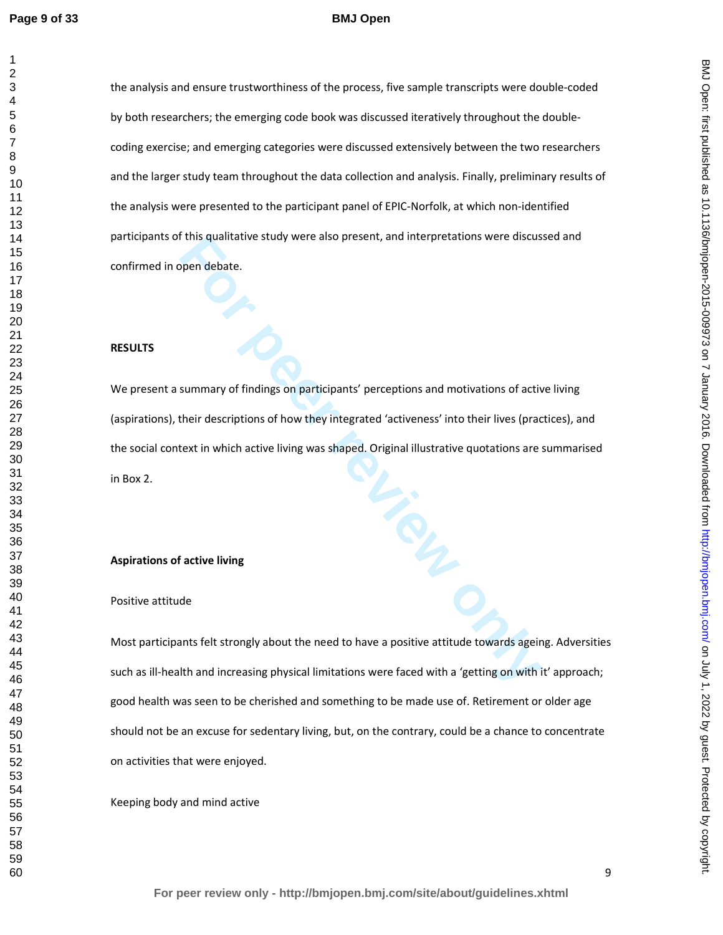#### **BMJ Open**

the analysis and ensure trustworthiness of the process, five sample transcripts were double-coded by both researchers; the emerging code book was discussed iteratively throughout the doublecoding exercise; and emerging categories were discussed extensively between the two researchers and the larger study team throughout the data collection and analysis. Finally, preliminary results of the analysis were presented to the participant panel of EPIC-Norfolk, at which non-identified participants of this qualitative study were also present, and interpretations were discussed and confirmed in open debate.

#### **RESULTS**

This qualitative study were also present, and interpretations were discuss<br>ppen debate.<br>**For peer reviews only and the peer repriors** and motivations of active<br>their descriptions of how they integrated 'activeness' into th We present a summary of findings on participants' perceptions and motivations of active living (aspirations), their descriptions of how they integrated 'activeness' into their lives (practices), and the social context in which active living was shaped. Original illustrative quotations are summarised in Box 2.

#### **Aspirations of active living**

#### Positive attitude

Most participants felt strongly about the need to have a positive attitude towards ageing. Adversities such as ill-health and increasing physical limitations were faced with a 'getting on with it' approach; good health was seen to be cherished and something to be made use of. Retirement or older age should not be an excuse for sedentary living, but, on the contrary, could be a chance to concentrate on activities that were enjoyed.

Keeping body and mind active

BMJ Open: first published as 10.1136/bmjopen-2015-009973 on 7 January 2016. Downloaded from http://bmjopen.bmj.com/ on July 1, 2022 by guest. Protected by copyright on July 1, 2022 by guest. Protected by copyright. <http://bmjopen.bmj.com/> BMJ Open: first published as 10.1136/bmjopen-2015-009973 on 7 January 2016. Downloaded from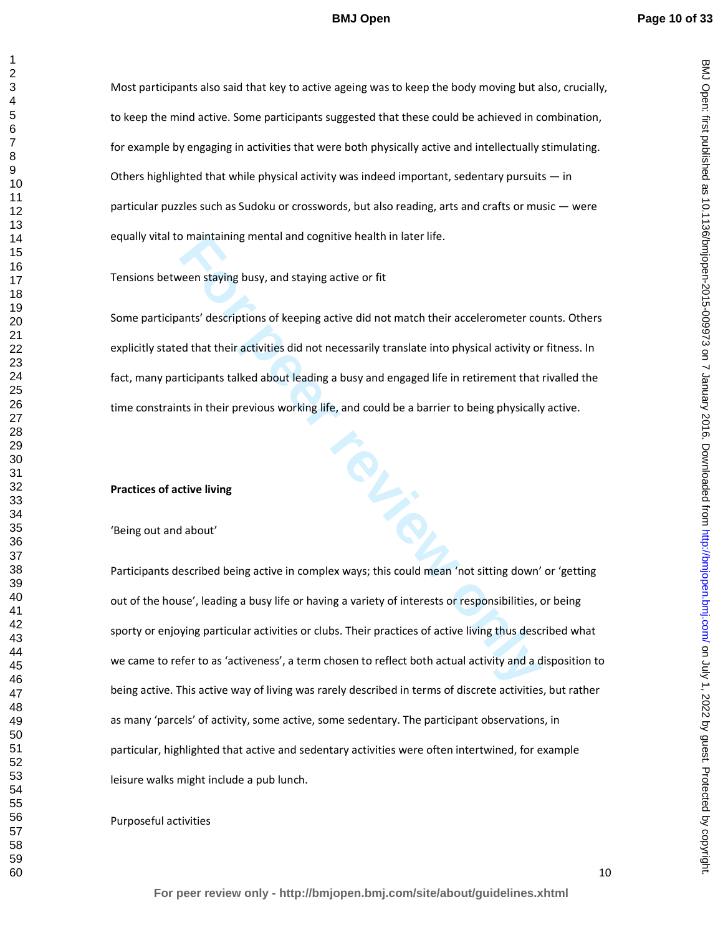Most participants also said that key to active ageing was to keep the body moving but also, crucially, to keep the mind active. Some participants suggested that these could be achieved in combination, for example by engaging in activities that were both physically active and intellectually stimulating. Others highlighted that while physical activity was indeed important, sedentary pursuits  $-$  in particular puzzles such as Sudoku or crosswords, but also reading, arts and crafts or music — were equally vital to maintaining mental and cognitive health in later life.

Tensions between staying busy, and staying active or fit

Some participants' descriptions of keeping active did not match their accelerometer counts. Others explicitly stated that their activities did not necessarily translate into physical activity or fitness. In fact, many participants talked about leading a busy and engaged life in retirement that rivalled the time constraints in their previous working life, and could be a barrier to being physically active.

#### **Practices of active living**

'Being out and about'

maintaining mental and cognitive nealth in later life.<br> **For peer staying busy**, and staying active or fit<br>
ants' descriptions of keeping active did not match their accelerometer cold<br>
that their activities did not necessa Participants described being active in complex ways; this could mean 'not sitting down' or 'getting out of the house', leading a busy life or having a variety of interests or responsibilities, or being sporty or enjoying particular activities or clubs. Their practices of active living thus described what we came to refer to as 'activeness', a term chosen to reflect both actual activity and a disposition to being active. This active way of living was rarely described in terms of discrete activities, but rather as many 'parcels' of activity, some active, some sedentary. The participant observations, in particular, highlighted that active and sedentary activities were often intertwined, for example leisure walks might include a pub lunch.

Purposeful activities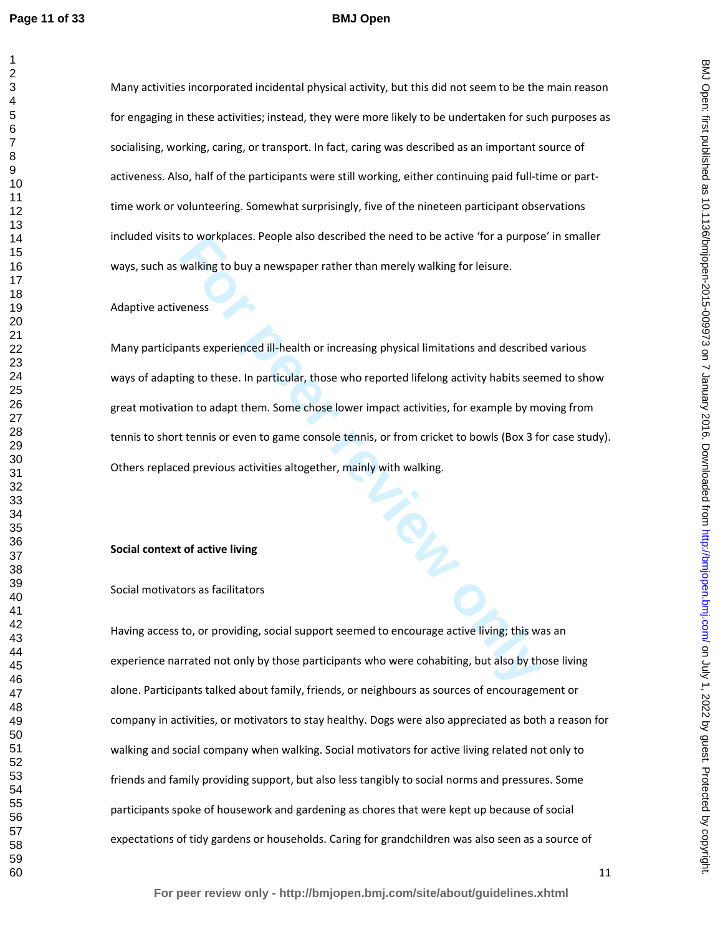Many activities incorporated incidental physical activity, but this did not seem to be the main reason for engaging in these activities; instead, they were more likely to be undertaken for such purposes as socialising, working, caring, or transport. In fact, caring was described as an important source of activeness. Also, half of the participants were still working, either continuing paid full-time or parttime work or volunteering. Somewhat surprisingly, five of the nineteen participant observations included visits to workplaces. People also described the need to be active 'for a purpose' in smaller ways, such as walking to buy a newspaper rather than merely walking for leisure.

#### Adaptive activeness

to workplaces. People also described the need to be active 'for a purpose<br>
walking to buy a newspaper rather than merely walking for leisure.<br>
Fensos<br>
ants experienced ill-health or increasing physical limitations and desc Many participants experienced ill-health or increasing physical limitations and described various ways of adapting to these. In particular, those who reported lifelong activity habits seemed to show great motivation to adapt them. Some chose lower impact activities, for example by moving from tennis to short tennis or even to game console tennis, or from cricket to bowls (Box 3 for case study). Others replaced previous activities altogether, mainly with walking.

#### **Social context of active living**

#### Social motivators as facilitators

Having access to, or providing, social support seemed to encourage active living; this was an experience narrated not only by those participants who were cohabiting, but also by those living alone. Participants talked about family, friends, or neighbours as sources of encouragement or company in activities, or motivators to stay healthy. Dogs were also appreciated as both a reason for walking and social company when walking. Social motivators for active living related not only to friends and family providing support, but also less tangibly to social norms and pressures. Some participants spoke of housework and gardening as chores that were kept up because of social expectations of tidy gardens or households. Caring for grandchildren was also seen as a source of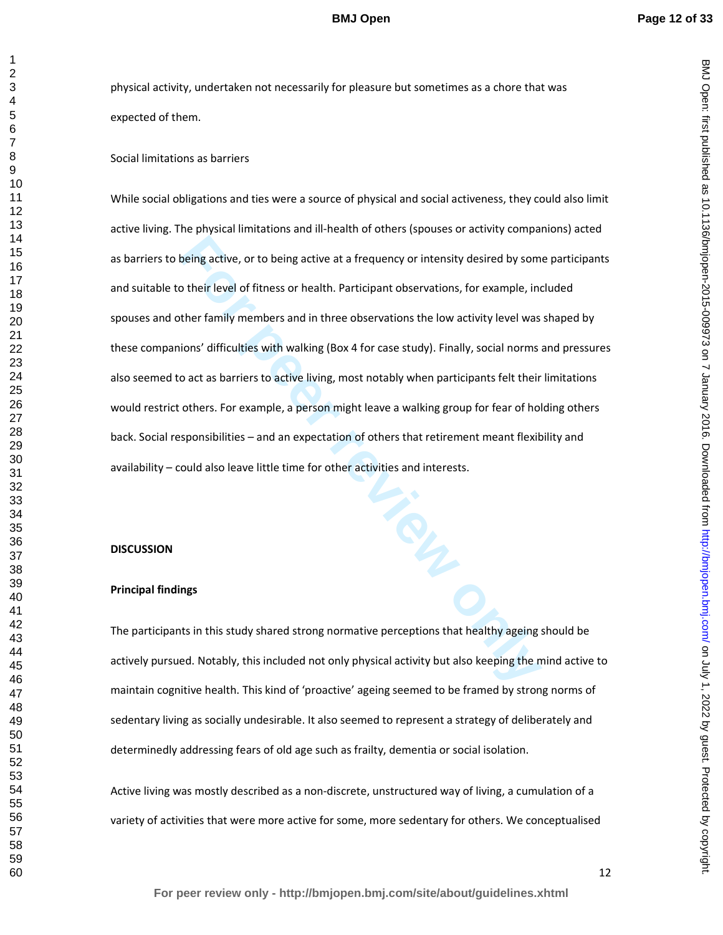physical activity, undertaken not necessarily for pleasure but sometimes as a chore that was expected of them.

#### Social limitations as barriers

being active, or to being active at a frequency or intensity desired by som<br>
b their level of fitness or health. Participant observations, for example, include the family members and in three observations the low activity While social obligations and ties were a source of physical and social activeness, they could also limit active living. The physical limitations and ill-health of others (spouses or activity companions) acted as barriers to being active, or to being active at a frequency or intensity desired by some participants and suitable to their level of fitness or health. Participant observations, for example, included spouses and other family members and in three observations the low activity level was shaped by these companions' difficulties with walking (Box 4 for case study). Finally, social norms and pressures also seemed to act as barriers to active living, most notably when participants felt their limitations would restrict others. For example, a person might leave a walking group for fear of holding others back. Social responsibilities – and an expectation of others that retirement meant flexibility and availability – could also leave little time for other activities and interests.

#### **DISCUSSION**

## **Principal findings**

The participants in this study shared strong normative perceptions that healthy ageing should be actively pursued. Notably, this included not only physical activity but also keeping the mind active to maintain cognitive health. This kind of 'proactive' ageing seemed to be framed by strong norms of sedentary living as socially undesirable. It also seemed to represent a strategy of deliberately and determinedly addressing fears of old age such as frailty, dementia or social isolation.

Active living was mostly described as a non-discrete, unstructured way of living, a cumulation of a variety of activities that were more active for some, more sedentary for others. We conceptualised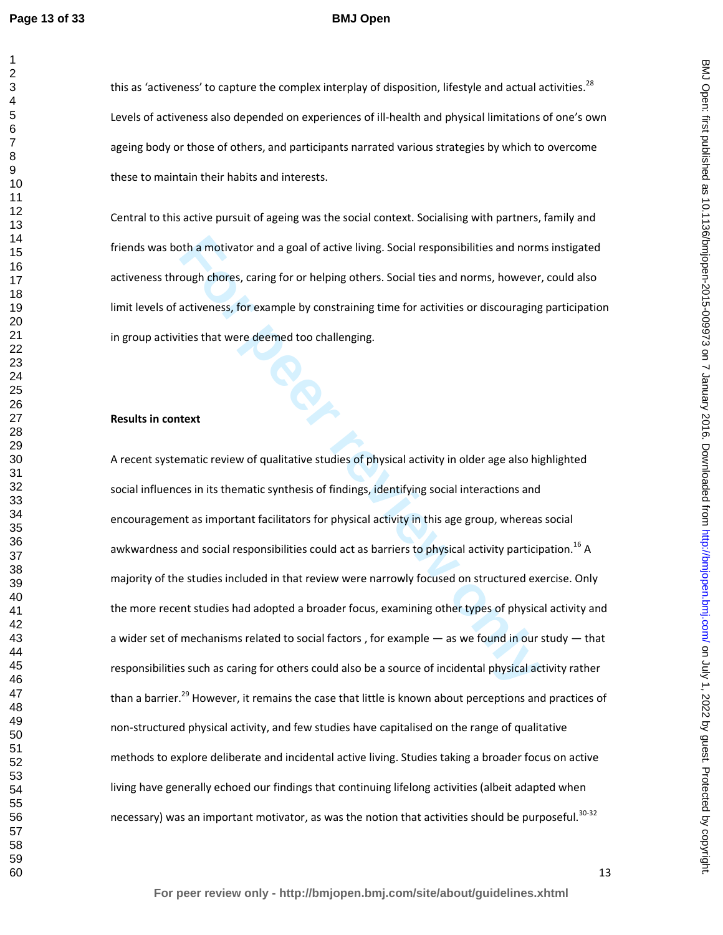#### **BMJ Open**

this as 'activeness' to capture the complex interplay of disposition, lifestyle and actual activities.<sup>28</sup> Levels of activeness also depended on experiences of ill-health and physical limitations of one's own ageing body or those of others, and participants narrated various strategies by which to overcome these to maintain their habits and interests.

Central to this active pursuit of ageing was the social context. Socialising with partners, family and friends was both a motivator and a goal of active living. Social responsibilities and norms instigated activeness through chores, caring for or helping others. Social ties and norms, however, could also limit levels of activeness, for example by constraining time for activities or discouraging participation in group activities that were deemed too challenging.

## **Results in context**

oth a motivator and a goal of active living. Social responsibilities and norm<br>ough chores, caring for or helping others. Social ties and norms, however,<br>activeness, for example by constraining time for activities or discou A recent systematic review of qualitative studies of physical activity in older age also highlighted social influences in its thematic synthesis of findings, identifying social interactions and encouragement as important facilitators for physical activity in this age group, whereas social awkwardness and social responsibilities could act as barriers to physical activity participation.<sup>16</sup> A majority of the studies included in that review were narrowly focused on structured exercise. Only the more recent studies had adopted a broader focus, examining other types of physical activity and a wider set of mechanisms related to social factors , for example — as we found in our study — that responsibilities such as caring for others could also be a source of incidental physical activity rather than a barrier.<sup>29</sup> However, it remains the case that little is known about perceptions and practices of non-structured physical activity, and few studies have capitalised on the range of qualitative methods to explore deliberate and incidental active living. Studies taking a broader focus on active living have generally echoed our findings that continuing lifelong activities (albeit adapted when necessary) was an important motivator, as was the notion that activities should be purposeful.<sup>30-32</sup>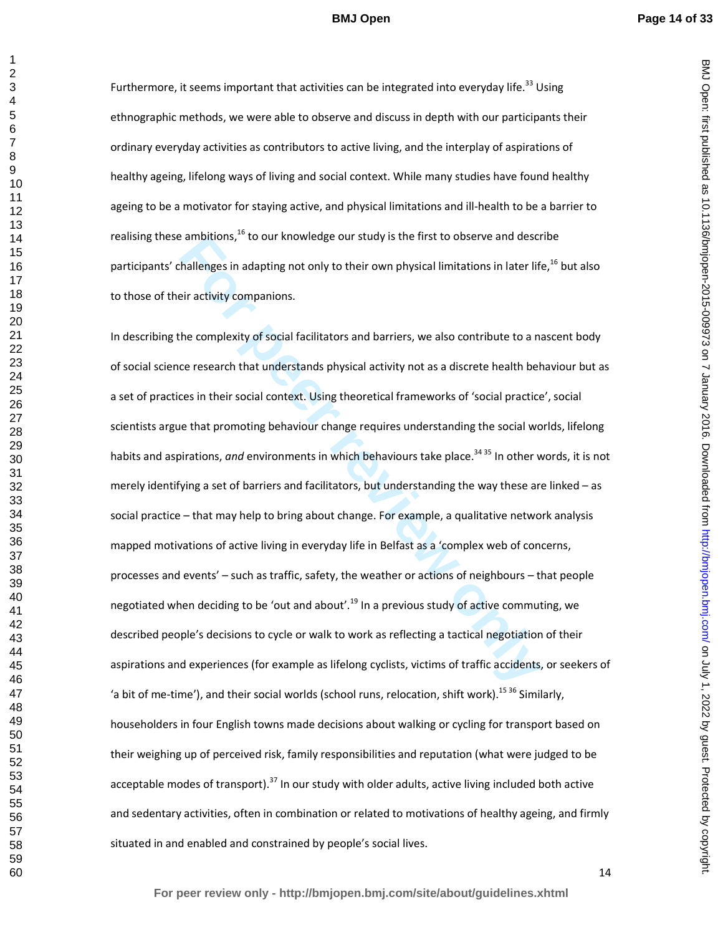BMJ Open: first published as 10.1136/bmjopen-2015-009973 on 7 January 2016. Downloaded from http://bmjopen.bmj.com/ on July 1, 2022 by guest. Protected by copyright on July 1, 2022 by guest. Protected by copyright. <http://bmjopen.bmj.com/> BMJ Open: first published as 10.1136/bmjopen-2015-009973 on 7 January 2016. Downloaded from

Furthermore, it seems important that activities can be integrated into everyday life.<sup>33</sup> Using ethnographic methods, we were able to observe and discuss in depth with our participants their ordinary everyday activities as contributors to active living, and the interplay of aspirations of healthy ageing, lifelong ways of living and social context. While many studies have found healthy ageing to be a motivator for staying active, and physical limitations and ill-health to be a barrier to realising these ambitions, $^{16}$  to our knowledge our study is the first to observe and describe participants' challenges in adapting not only to their own physical limitations in later life,<sup>16</sup> but also to those of their activity companions.

**For all the set of the set of the set of the set of the set of the set of the set of the set of the set of the set of the set of the set of the set of the set of the set of the set of the set of the complexity of social f** In describing the complexity of social facilitators and barriers, we also contribute to a nascent body of social science research that understands physical activity not as a discrete health behaviour but as a set of practices in their social context. Using theoretical frameworks of 'social practice', social scientists argue that promoting behaviour change requires understanding the social worlds, lifelong habits and aspirations, *and* environments in which behaviours take place.<sup>34 35</sup> In other words, it is not merely identifying a set of barriers and facilitators, but understanding the way these are linked – as social practice – that may help to bring about change. For example, a qualitative network analysis mapped motivations of active living in everyday life in Belfast as a 'complex web of concerns, processes and events' – such as traffic, safety, the weather or actions of neighbours – that people negotiated when deciding to be 'out and about'.<sup>19</sup> In a previous study of active commuting, we described people's decisions to cycle or walk to work as reflecting a tactical negotiation of their aspirations and experiences (for example as lifelong cyclists, victims of traffic accidents, or seekers of 'a bit of me-time'), and their social worlds (school runs, relocation, shift work).<sup>15 36</sup> Similarly, householders in four English towns made decisions about walking or cycling for transport based on their weighing up of perceived risk, family responsibilities and reputation (what were judged to be acceptable modes of transport).<sup>37</sup> In our study with older adults, active living included both active and sedentary activities, often in combination or related to motivations of healthy ageing, and firmly situated in and enabled and constrained by people's social lives.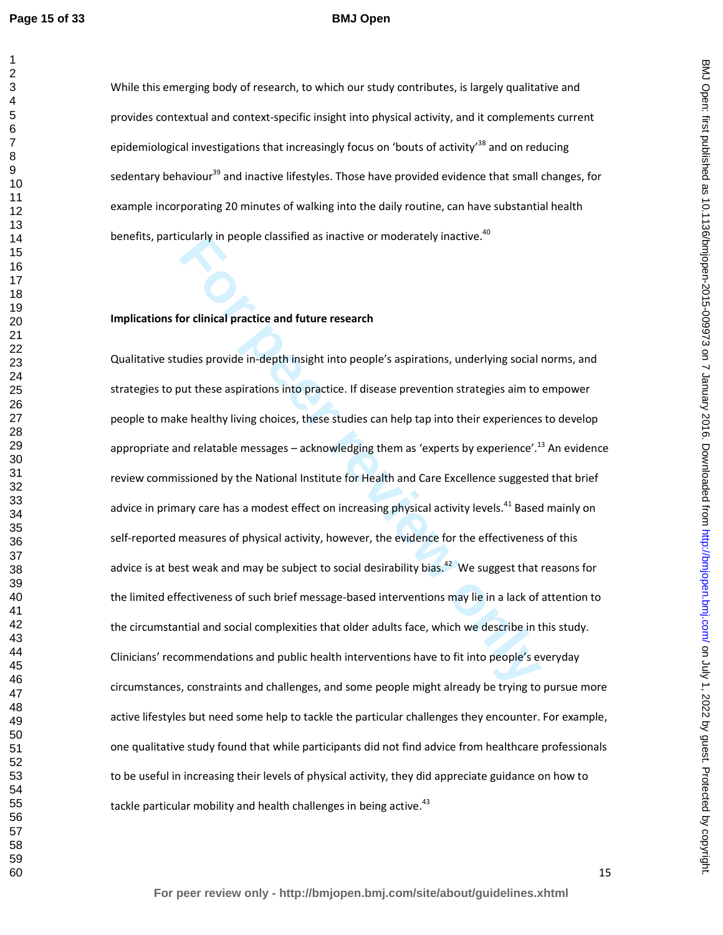#### **BMJ Open**

While this emerging body of research, to which our study contributes, is largely qualitative and provides contextual and context-specific insight into physical activity, and it complements current epidemiological investigations that increasingly focus on 'bouts of activity<sup>38</sup> and on reducing sedentary behaviour<sup>39</sup> and inactive lifestyles. Those have provided evidence that small changes, for example incorporating 20 minutes of walking into the daily routine, can have substantial health benefits, particularly in people classified as inactive or moderately inactive.<sup>40</sup>

## **Implications for clinical practice and future research**

cularly in people classified as inactive or moderately inactive.<sup>..</sup><br> **For clinical practice and future research**<br>
Idies provide in-depth insight into people's aspirations, underlying social in<br>
Just these aspirations into Qualitative studies provide in-depth insight into people's aspirations, underlying social norms, and strategies to put these aspirations into practice. If disease prevention strategies aim to empower people to make healthy living choices, these studies can help tap into their experiences to develop appropriate and relatable messages – acknowledging them as 'experts by experience'.<sup>13</sup> An evidence review commissioned by the National Institute for Health and Care Excellence suggested that brief advice in primary care has a modest effect on increasing physical activity levels.<sup>41</sup> Based mainly on self-reported measures of physical activity, however, the evidence for the effectiveness of this advice is at best weak and may be subject to social desirability bias.<sup>42</sup> We suggest that reasons for the limited effectiveness of such brief message-based interventions may lie in a lack of attention to the circumstantial and social complexities that older adults face, which we describe in this study. Clinicians' recommendations and public health interventions have to fit into people's everyday circumstances, constraints and challenges, and some people might already be trying to pursue more active lifestyles but need some help to tackle the particular challenges they encounter. For example, one qualitative study found that while participants did not find advice from healthcare professionals to be useful in increasing their levels of physical activity, they did appreciate guidance on how to tackle particular mobility and health challenges in being active.<sup>43</sup>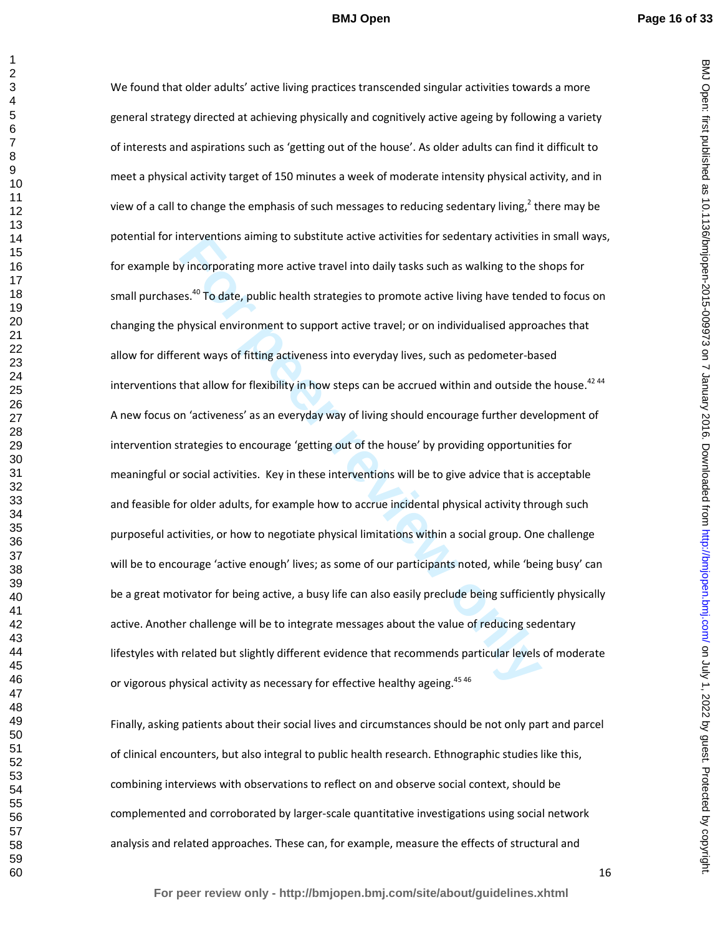BMJ Open: first published as 10.1136/bmjopen-2015-009973 on 7 January 2016. Downloaded from http://bmjopen.bmj.com/ on July 1, 2022 by guest. Protected by copyright on July 1, 2022 by guest. Protected by copyright. <http://bmjopen.bmj.com/> BMJ Open: first published as 10.1136/bmjopen-2015-009973 on 7 January 2016. Downloaded from

nterventions aiming to substitute active activities for sedentary activities y incorporating more active travel into daily tasks such as walking to the ses.<sup>40</sup> To date, public health strategies to promote active living ha We found that older adults' active living practices transcended singular activities towards a more general strategy directed at achieving physically and cognitively active ageing by following a variety of interests and aspirations such as 'getting out of the house'. As older adults can find it difficult to meet a physical activity target of 150 minutes a week of moderate intensity physical activity, and in view of a call to change the emphasis of such messages to reducing sedentary living,<sup>2</sup> there may be potential for interventions aiming to substitute active activities for sedentary activities in small ways, for example by incorporating more active travel into daily tasks such as walking to the shops for small purchases.<sup>40</sup> To date, public health strategies to promote active living have tended to focus on changing the physical environment to support active travel; or on individualised approaches that allow for different ways of fitting activeness into everyday lives, such as pedometer-based interventions that allow for flexibility in how steps can be accrued within and outside the house.<sup>42 44</sup> A new focus on 'activeness' as an everyday way of living should encourage further development of intervention strategies to encourage 'getting out of the house' by providing opportunities for meaningful or social activities. Key in these interventions will be to give advice that is acceptable and feasible for older adults, for example how to accrue incidental physical activity through such purposeful activities, or how to negotiate physical limitations within a social group. One challenge will be to encourage 'active enough' lives; as some of our participants noted, while 'being busy' can be a great motivator for being active, a busy life can also easily preclude being sufficiently physically active. Another challenge will be to integrate messages about the value of reducing sedentary lifestyles with related but slightly different evidence that recommends particular levels of moderate or vigorous physical activity as necessary for effective healthy ageing.<sup>45 46</sup>

Finally, asking patients about their social lives and circumstances should be not only part and parcel of clinical encounters, but also integral to public health research. Ethnographic studies like this, combining interviews with observations to reflect on and observe social context, should be complemented and corroborated by larger-scale quantitative investigations using social network analysis and related approaches. These can, for example, measure the effects of structural and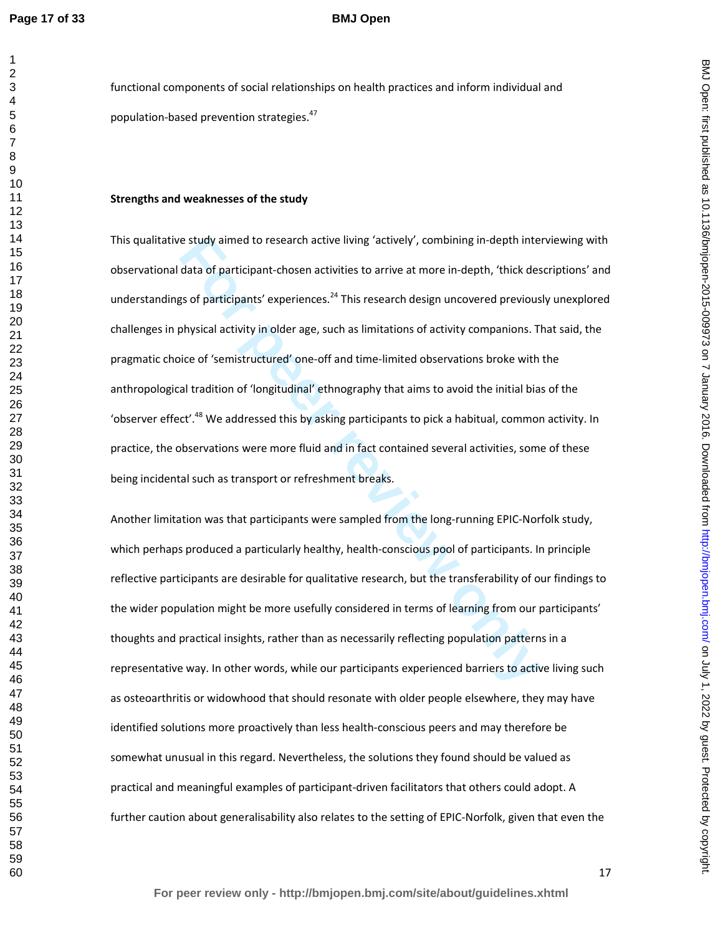## **BMJ Open**

functional components of social relationships on health practices and inform individual and population-based prevention strategies.<sup>47</sup>

#### **Strengths and weaknesses of the study**

e study aimed to research active living 'actively', combining in-depth interdata of participant-chosen activities to arrive at more in-depth, 'thick despote that of participants' experiences.<sup>24</sup> This research design uncov This qualitative study aimed to research active living 'actively', combining in-depth interviewing with observational data of participant-chosen activities to arrive at more in-depth, 'thick descriptions' and understandings of participants' experiences.<sup>24</sup> This research design uncovered previously unexplored challenges in physical activity in older age, such as limitations of activity companions. That said, the pragmatic choice of 'semistructured' one-off and time-limited observations broke with the anthropological tradition of 'longitudinal' ethnography that aims to avoid the initial bias of the 'observer effect'.<sup>48</sup> We addressed this by asking participants to pick a habitual, common activity. In practice, the observations were more fluid and in fact contained several activities, some of these being incidental such as transport or refreshment breaks.

Another limitation was that participants were sampled from the long-running EPIC-Norfolk study, which perhaps produced a particularly healthy, health-conscious pool of participants. In principle reflective participants are desirable for qualitative research, but the transferability of our findings to the wider population might be more usefully considered in terms of learning from our participants' thoughts and practical insights, rather than as necessarily reflecting population patterns in a representative way. In other words, while our participants experienced barriers to active living such as osteoarthritis or widowhood that should resonate with older people elsewhere, they may have identified solutions more proactively than less health-conscious peers and may therefore be somewhat unusual in this regard. Nevertheless, the solutions they found should be valued as practical and meaningful examples of participant-driven facilitators that others could adopt. A further caution about generalisability also relates to the setting of EPIC-Norfolk, given that even the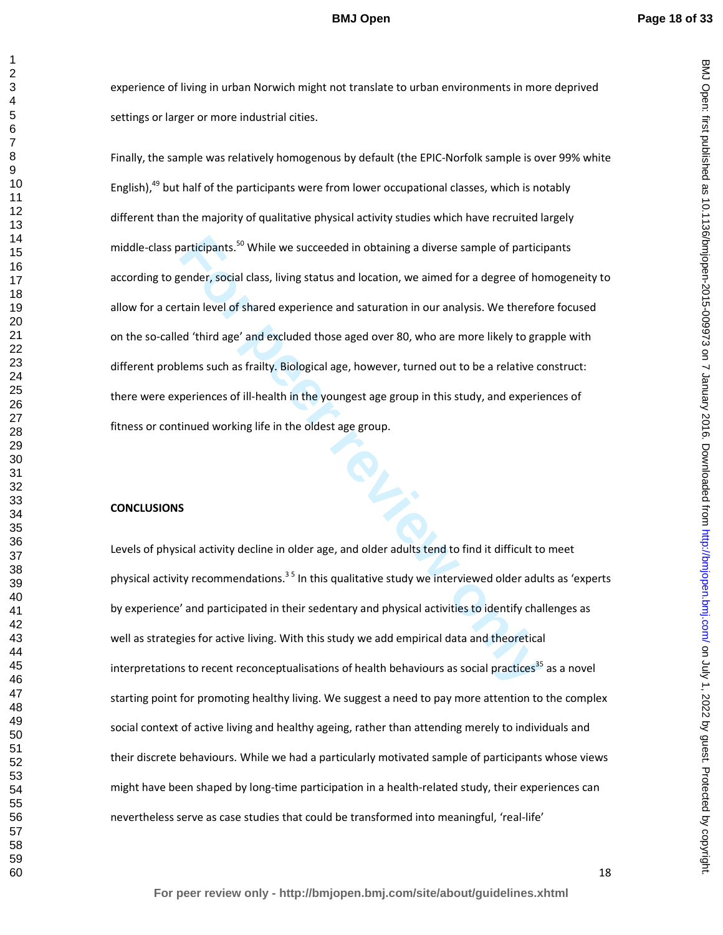BMJ Open: first published as 10.1136/bmjopen-2015-009973 on 7 January 2016. Downloaded from http://bmjopen.bmj.com/ on July 1, 2022 by guest. Protected by copyright on July 1, 2022 by guest. Protected by copyright. <http://bmjopen.bmj.com/> BMJ Open: first published as 10.1136/bmjopen-2015-009973 on 7 January 2016. Downloaded from

#### **BMJ Open**

 

> experience of living in urban Norwich might not translate to urban environments in more deprived settings or larger or more industrial cities.

iarticipants.<sup>50</sup> While we succeeded in obtaining a diverse sample of particiender, social class, living status and location, we aimed for a degree of hotain level of shared experience and saturation in our analysis. We th Finally, the sample was relatively homogenous by default (the EPIC-Norfolk sample is over 99% white English), but half of the participants were from lower occupational classes, which is notably different than the majority of qualitative physical activity studies which have recruited largely middle-class participants.<sup>50</sup> While we succeeded in obtaining a diverse sample of participants according to gender, social class, living status and location, we aimed for a degree of homogeneity to allow for a certain level of shared experience and saturation in our analysis. We therefore focused on the so-called 'third age' and excluded those aged over 80, who are more likely to grapple with different problems such as frailty. Biological age, however, turned out to be a relative construct: there were experiences of ill-health in the youngest age group in this study, and experiences of fitness or continued working life in the oldest age group.

# **CONCLUSIONS**

Levels of physical activity decline in older age, and older adults tend to find it difficult to meet physical activity recommendations.<sup>35</sup> In this qualitative study we interviewed older adults as 'experts' by experience' and participated in their sedentary and physical activities to identify challenges as well as strategies for active living. With this study we add empirical data and theoretical interpretations to recent reconceptualisations of health behaviours as social practices<sup>35</sup> as a novel starting point for promoting healthy living. We suggest a need to pay more attention to the complex social context of active living and healthy ageing, rather than attending merely to individuals and their discrete behaviours. While we had a particularly motivated sample of participants whose views might have been shaped by long-time participation in a health-related study, their experiences can nevertheless serve as case studies that could be transformed into meaningful, 'real-life'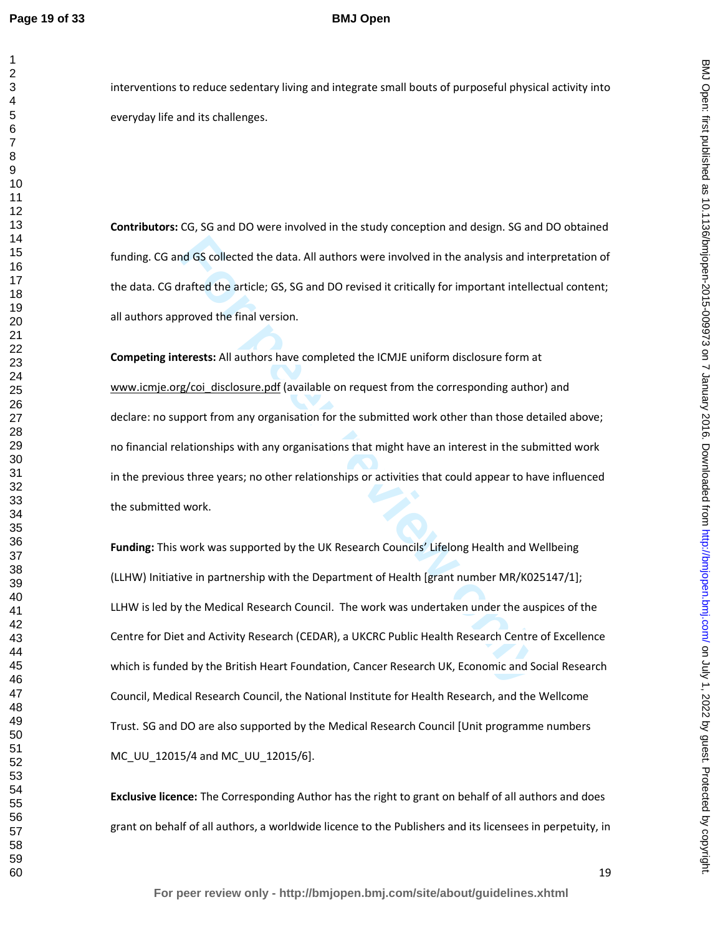# **BMJ Open**

**Contributors:** CG, SG and DO were involved in the study conception and design. SG and DO obtained funding. CG and GS collected the data. All authors were involved in the analysis and interpretation of the data. CG drafted the article; GS, SG and DO revised it critically for important intellectual content; all authors approved the final version.

**For the descript of the Branch Control of the State of the Branch State State of the Branch State State of the Branch State State Information State State Incorrect the final version.<br>
<b>Forests:** All authors have completed **Competing interests:** All authors have completed the ICMJE uniform disclosure form at www.icmje.org/coi\_disclosure.pdf (available on request from the corresponding author) and declare: no support from any organisation for the submitted work other than those detailed above; no financial relationships with any organisations that might have an interest in the submitted work in the previous three years; no other relationships or activities that could appear to have influenced the submitted work.

**Funding:** This work was supported by the UK Research Councils' Lifelong Health and Wellbeing (LLHW) Initiative in partnership with the Department of Health [grant number MR/K025147/1]; LLHW is led by the Medical Research Council. The work was undertaken under the auspices of the Centre for Diet and Activity Research (CEDAR), a UKCRC Public Health Research Centre of Excellence which is funded by the British Heart Foundation, Cancer Research UK, Economic and Social Research Council, Medical Research Council, the National Institute for Health Research, and the Wellcome Trust. SG and DO are also supported by the Medical Research Council [Unit programme numbers MC UU 12015/4 and MC UU 12015/6].

**Exclusive licence:** The Corresponding Author has the right to grant on behalf of all authors and does grant on behalf of all authors, a worldwide licence to the Publishers and its licensees in perpetuity, in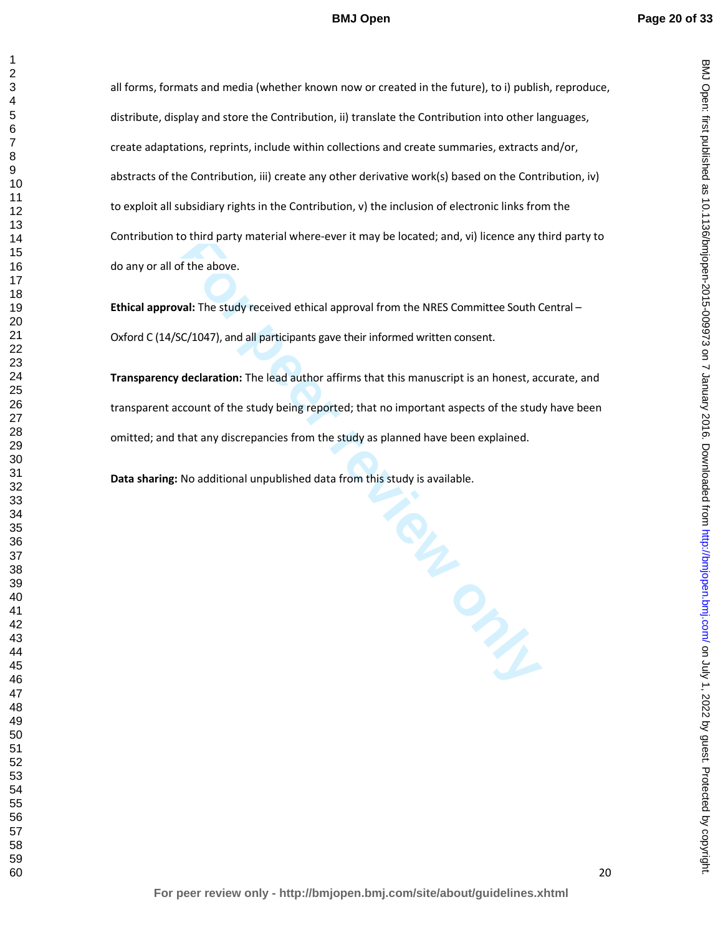all forms, formats and media (whether known now or created in the future), to i) publish, reproduce, distribute, display and store the Contribution, ii) translate the Contribution into other languages, create adaptations, reprints, include within collections and create summaries, extracts and/or, abstracts of the Contribution, iii) create any other derivative work(s) based on the Contribution, iv) to exploit all subsidiary rights in the Contribution, v) the inclusion of electronic links from the Contribution to third party material where-ever it may be located; and, vi) licence any third party to do any or all of the above.

**Ethical approval:** The study received ethical approval from the NRES Committee South Central – Oxford C (14/SC/1047), and all participants gave their informed written consent.

**Transparency declaration:** The lead author affirms that this manuscript is an honest, accurate, and transparent account of the study being reported; that no important aspects of the study have been omitted; and that any discrepancies from the study as planned have been explained.

**Data sharing:** No additional unpublished data from this study is available.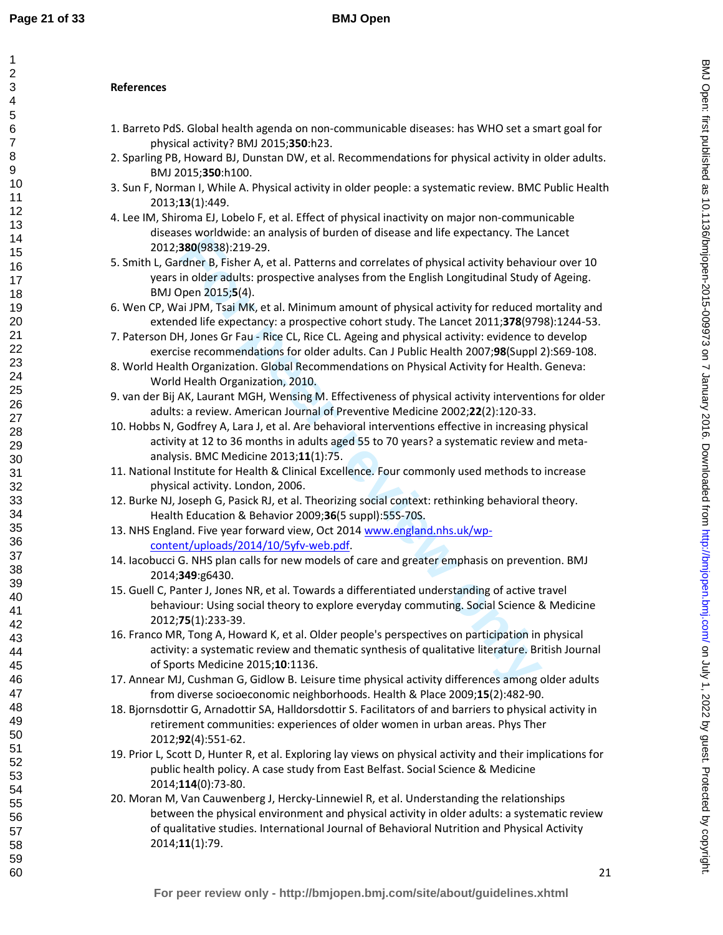# **References**

- 1. Barreto PdS. Global health agenda on non-communicable diseases: has WHO set a smart goal for physical activity? BMJ 2015;**350**:h23.
- 2. Sparling PB, Howard BJ, Dunstan DW, et al. Recommendations for physical activity in older adults. BMJ 2015;**350**:h100.
- 3. Sun F, Norman I, While A. Physical activity in older people: a systematic review. BMC Public Health 2013;**13**(1):449.
- 4. Lee IM, Shiroma EJ, Lobelo F, et al. Effect of physical inactivity on major non-communicable diseases worldwide: an analysis of burden of disease and life expectancy. The Lancet 2012;**380**(9838):219-29.
- 5. Smith L, Gardner B, Fisher A, et al. Patterns and correlates of physical activity behaviour over 10 years in older adults: prospective analyses from the English Longitudinal Study of Ageing. BMJ Open 2015;**5**(4).
- 6. Wen CP, Wai JPM, Tsai MK, et al. Minimum amount of physical activity for reduced mortality and extended life expectancy: a prospective cohort study. The Lancet 2011;**378**(9798):1244-53.
- 7. Paterson DH, Jones Gr Fau Rice CL, Rice CL. Ageing and physical activity: evidence to develop exercise recommendations for older adults. Can J Public Health 2007;**98**(Suppl 2):S69-108.
- 8. World Health Organization. Global Recommendations on Physical Activity for Health. Geneva: World Health Organization, 2010.
- 9. van der Bij AK, Laurant MGH, Wensing M. Effectiveness of physical activity interventions for older adults: a review. American Journal of Preventive Medicine 2002;**22**(2):120-33.
- 10. Hobbs N, Godfrey A, Lara J, et al. Are behavioral interventions effective in increasing physical activity at 12 to 36 months in adults aged 55 to 70 years? a systematic review and metaanalysis. BMC Medicine 2013;**11**(1):75.
- 11. National Institute for Health & Clinical Excellence. Four commonly used methods to increase physical activity. London, 2006.
- 12. Burke NJ, Joseph G, Pasick RJ, et al. Theorizing social context: rethinking behavioral theory. Health Education & Behavior 2009;**36**(5 suppl):55S-70S.
- 13. NHS England. Five year forward view, Oct 2014 www.england.nhs.uk/wpcontent/uploads/2014/10/5yfv-web.pdf.
- 14. Iacobucci G. NHS plan calls for new models of care and greater emphasis on prevention. BMJ 2014;**349**:g6430.
- 15. Guell C, Panter J, Jones NR, et al. Towards a differentiated understanding of active travel behaviour: Using social theory to explore everyday commuting. Social Science & Medicine 2012;**75**(1):233-39.
- **Example 10**<br>**For performation** and the specific strate in the specifical activity behavior and product on marking in pole and the radiativity behavior pene 2015;56(4).<br> **For performation** in the Faulth Expose of the Fault 16. Franco MR, Tong A, Howard K, et al. Older people's perspectives on participation in physical activity: a systematic review and thematic synthesis of qualitative literature. British Journal of Sports Medicine 2015;**10**:1136.
- 17. Annear MJ, Cushman G, Gidlow B. Leisure time physical activity differences among older adults from diverse socioeconomic neighborhoods. Health & Place 2009;**15**(2):482-90.
- 18. Bjornsdottir G, Arnadottir SA, Halldorsdottir S. Facilitators of and barriers to physical activity in retirement communities: experiences of older women in urban areas. Phys Ther 2012;**92**(4):551-62.
- 19. Prior L, Scott D, Hunter R, et al. Exploring lay views on physical activity and their implications for public health policy. A case study from East Belfast. Social Science & Medicine 2014;**114**(0):73-80.
- 20. Moran M, Van Cauwenberg J, Hercky-Linnewiel R, et al. Understanding the relationships between the physical environment and physical activity in older adults: a systematic review of qualitative studies. International Journal of Behavioral Nutrition and Physical Activity 2014;**11**(1):79.

BMJ Open: first published as 10.1136/bmjopen-2015-009973 on 7 January 2016. Downloaded from http://bmjopen.bmj.com/ on July 1, 2022 by guest. Protected by copyright on July 1, 2022 by guest. Protected by copyright. <http://bmjopen.bmj.com/> BMJ Open: first published as 10.1136/bmjopen-2015-009973 on 7 January 2016. Downloaded from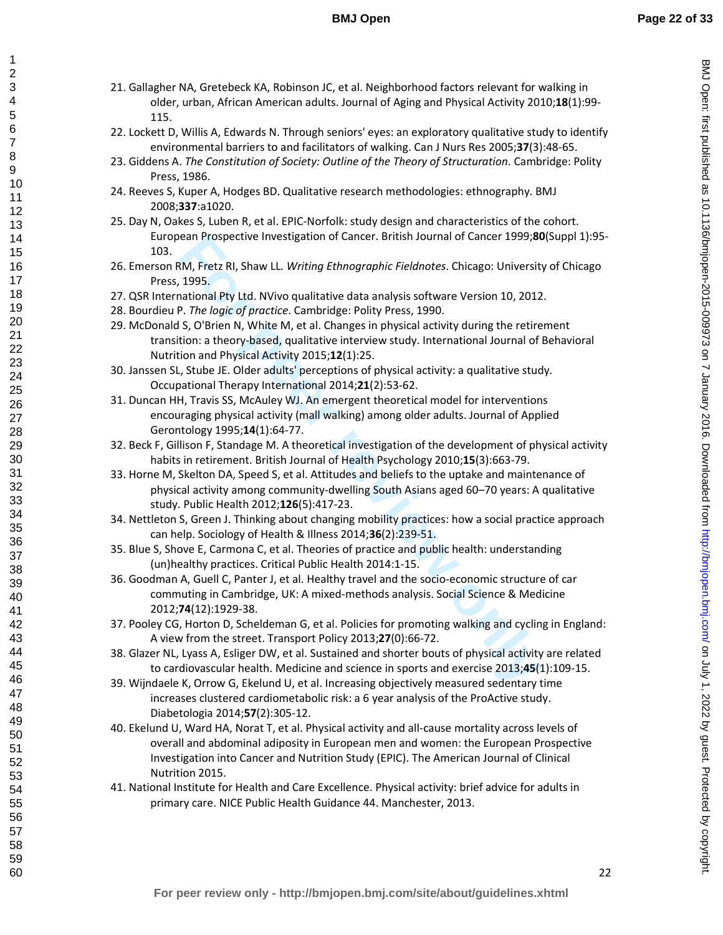- 21. Gallagher NA, Gretebeck KA, Robinson JC, et al. Neighborhood factors relevant for walking in older, urban, African American adults. Journal of Aging and Physical Activity 2010;**18**(1):99- 115.
- 22. Lockett D, Willis A, Edwards N. Through seniors' eyes: an exploratory qualitative study to identify environmental barriers to and facilitators of walking. Can J Nurs Res 2005;**37**(3):48-65.
- 23. Giddens A. *The Constitution of Society: Outline of the Theory of Structuration*. Cambridge: Polity Press, 1986.
- 24. Reeves S, Kuper A, Hodges BD. Qualitative research methodologies: ethnography. BMJ 2008;**337**:a1020.
- 25. Day N, Oakes S, Luben R, et al. EPIC-Norfolk: study design and characteristics of the cohort. European Prospective Investigation of Cancer. British Journal of Cancer 1999;**80**(Suppl 1):95- 103.
- 26. Emerson RM, Fretz RI, Shaw LL. *Writing Ethnographic Fieldnotes*. Chicago: University of Chicago Press, 1995.
- 27. QSR International Pty Ltd. NVivo qualitative data analysis software Version 10, 2012.
- 28. Bourdieu P. *The logic of practice*. Cambridge: Polity Press, 1990.

- ean Prospective Investigation of Cancer. British Journal of Cancer 1999;80<br>
IM, Fretz RI, Shaw LL. Writing *Ethnographic Fieldnotes*. Chicago: Universit<br>
1995.<br>
For performance and a mate analysis software Version 10, 2012 29. McDonald S, O'Brien N, White M, et al. Changes in physical activity during the retirement transition: a theory-based, qualitative interview study. International Journal of Behavioral Nutrition and Physical Activity 2015;**12**(1):25.
- 30. Janssen SL, Stube JE. Older adults' perceptions of physical activity: a qualitative study. Occupational Therapy International 2014;**21**(2):53-62.
- 31. Duncan HH, Travis SS, McAuley WJ. An emergent theoretical model for interventions encouraging physical activity (mall walking) among older adults. Journal of Applied Gerontology 1995;**14**(1):64-77.
- 32. Beck F, Gillison F, Standage M. A theoretical investigation of the development of physical activity habits in retirement. British Journal of Health Psychology 2010;**15**(3):663-79.
- 33. Horne M, Skelton DA, Speed S, et al. Attitudes and beliefs to the uptake and maintenance of physical activity among community-dwelling South Asians aged 60–70 years: A qualitative study. Public Health 2012;**126**(5):417-23.
- 34. Nettleton S, Green J. Thinking about changing mobility practices: how a social practice approach can help. Sociology of Health & Illness 2014;**36**(2):239-51.
- 35. Blue S, Shove E, Carmona C, et al. Theories of practice and public health: understanding (un)healthy practices. Critical Public Health 2014:1-15.
- 36. Goodman A, Guell C, Panter J, et al. Healthy travel and the socio-economic structure of car commuting in Cambridge, UK: A mixed-methods analysis. Social Science & Medicine 2012;**74**(12):1929-38.
- 37. Pooley CG, Horton D, Scheldeman G, et al. Policies for promoting walking and cycling in England: A view from the street. Transport Policy 2013;**27**(0):66-72.
- 38. Glazer NL, Lyass A, Esliger DW, et al. Sustained and shorter bouts of physical activity are related to cardiovascular health. Medicine and science in sports and exercise 2013;**45**(1):109-15.
- 39. Wijndaele K, Orrow G, Ekelund U, et al. Increasing objectively measured sedentary time increases clustered cardiometabolic risk: a 6 year analysis of the ProActive study. Diabetologia 2014;**57**(2):305-12.
- 40. Ekelund U, Ward HA, Norat T, et al. Physical activity and all-cause mortality across levels of overall and abdominal adiposity in European men and women: the European Prospective Investigation into Cancer and Nutrition Study (EPIC). The American Journal of Clinical Nutrition 2015.
- 41. National Institute for Health and Care Excellence. Physical activity: brief advice for adults in primary care. NICE Public Health Guidance 44. Manchester, 2013.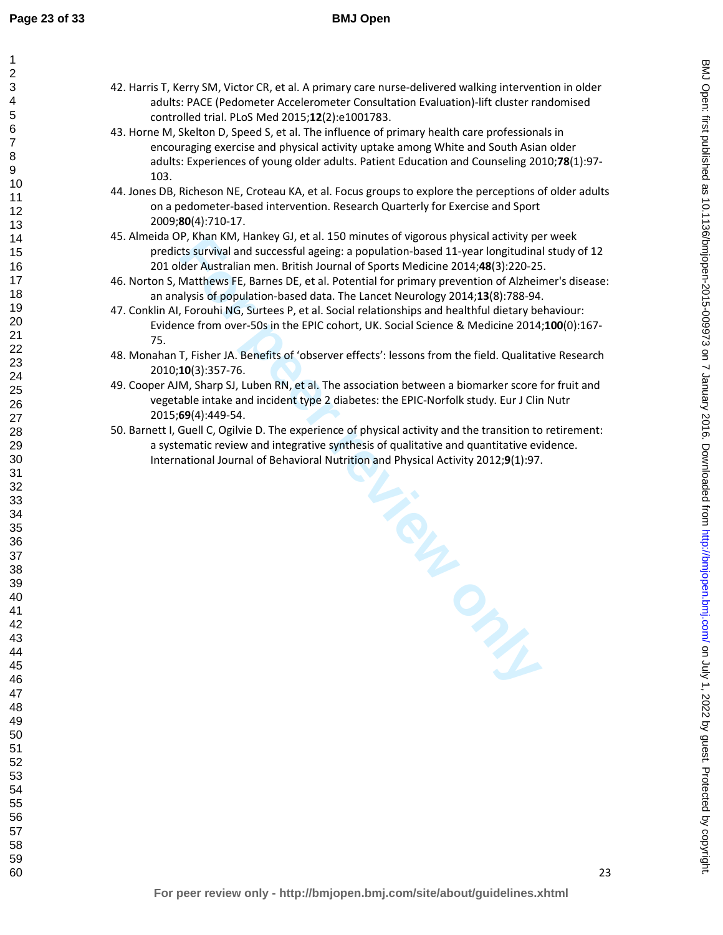- 42. Harris T, Kerry SM, Victor CR, et al. A primary care nurse-delivered walking intervention in older adults: PACE (Pedometer Accelerometer Consultation Evaluation)-lift cluster randomised controlled trial. PLoS Med 2015;**12**(2):e1001783.
- 43. Horne M, Skelton D, Speed S, et al. The influence of primary health care professionals in encouraging exercise and physical activity uptake among White and South Asian older adults: Experiences of young older adults. Patient Education and Counseling 2010;**78**(1):97- 103.
- 44. Jones DB, Richeson NE, Croteau KA, et al. Focus groups to explore the perceptions of older adults on a pedometer-based intervention. Research Quarterly for Exercise and Sport 2009;**80**(4):710-17.
- 45. Almeida OP, Khan KM, Hankey GJ, et al. 150 minutes of vigorous physical activity per week predicts survival and successful ageing: a population-based 11-year longitudinal study of 12 201 older Australian men. British Journal of Sports Medicine 2014;**48**(3):220-25.
- 46. Norton S, Matthews FE, Barnes DE, et al. Potential for primary prevention of Alzheimer's disease: an analysis of population-based data. The Lancet Neurology 2014;**13**(8):788-94.
- 47. Conklin AI, Forouhi NG, Surtees P, et al. Social relationships and healthful dietary behaviour: Evidence from over-50s in the EPIC cohort, UK. Social Science & Medicine 2014;**100**(0):167- 75.
- 48. Monahan T, Fisher JA. Benefits of 'observer effects': lessons from the field. Qualitative Research 2010;**10**(3):357-76.
- 49. Cooper AJM, Sharp SJ, Luben RN, et al. The association between a biomarker score for fruit and vegetable intake and incident type 2 diabetes: the EPIC-Norfolk study. Eur J Clin Nutr 2015;**69**(4):449-54.
- 50. Barnett I, Guell C, Ogilvie D. The experience of physical activity and the transition to retirement: a systematic review and integrative synthesis of qualitative and quantitative evidence. International Journal of Behavioral Nutrition and Physical Activity 2012;**9**(1):97.

BMJ Open: first published as 10.1136/bmjopen-2015-009973 on 7 January 2016. Downloaded from http://bmjopen.bmj.com/ on July 1, 2022 by guest. Protected by copyright on July 1, 2022 by guest. Protected by copyright. <http://bmjopen.bmj.com/> BMJ Open: first published as 10.1136/bmjopen-2015-009973 on 7 January 2016. Downloaded from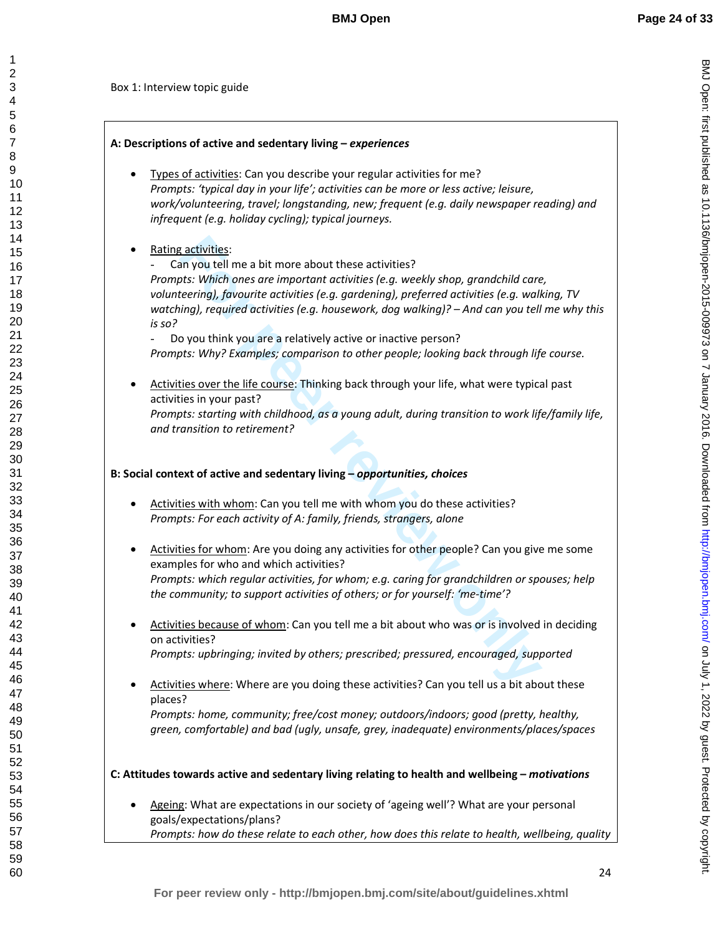BMJ Open: first published as 10.1136/bmjopen-2015-009973 on 7 January 2016. Downloaded from http://bmjopen.bmj.com/ on July 1, 2022 by guest. Protected by copyright on July 1, 2022 by guest. Protected by copyright. <http://bmjopen.bmj.com/> BMJ Open: first published as 10.1136/bmjopen-2015-009973 on 7 January 2016. Downloaded from

1 2

Box 1: Interview topic guide

# **A: Descriptions of active and sedentary living –** *experiences*

- Types of activities: Can you describe your regular activities for me? *Prompts: 'typical day in your life'; activities can be more or less active; leisure, work/volunteering, travel; longstanding, new; frequent (e.g. daily newspaper reading) and infrequent (e.g. holiday cycling); typical journeys.*
- Rating activities:

**Follogy and the seal in the seal in the seal in the seal in the seal in the seal in the seal in the seal in the seal in the seal in the seal in the seal in the seal in the seal in the seal in the seal in the seal in the s** Can you tell me a bit more about these activities? *Prompts: Which ones are important activities (e.g. weekly shop, grandchild care, volunteering), favourite activities (e.g. gardening), preferred activities (e.g. walking, TV watching), required activities (e.g. housework, dog walking)? – And can you tell me why this is so?* 

Do you think you are a relatively active or inactive person? *Prompts: Why? Examples; comparison to other people; looking back through life course.* 

• Activities over the life course: Thinking back through your life, what were typical past activities in your past? *Prompts: starting with childhood, as a young adult, during transition to work life/family life, and transition to retirement?* 

# **B: Social context of active and sedentary living –** *opportunities, choices*

- Activities with whom: Can you tell me with whom you do these activities? *Prompts: For each activity of A: family, friends, strangers, alone*
- Activities for whom: Are you doing any activities for other people? Can you give me some examples for who and which activities? *Prompts: which regular activities, for whom; e.g. caring for grandchildren or spouses; help the community; to support activities of others; or for yourself: 'me-time'?*
- Activities because of whom: Can you tell me a bit about who was or is involved in deciding on activities? *Prompts: upbringing; invited by others; prescribed; pressured, encouraged, supported*
- Activities where: Where are you doing these activities? Can you tell us a bit about these places?

*Prompts: home, community; free/cost money; outdoors/indoors; good (pretty, healthy, green, comfortable) and bad (ugly, unsafe, grey, inadequate) environments/places/spaces* 

**C: Attitudes towards active and sedentary living relating to health and wellbeing –** *motivations*

Ageing: What are expectations in our society of 'ageing well'? What are your personal goals/expectations/plans? *Prompts: how do these relate to each other, how does this relate to health, wellbeing, quality*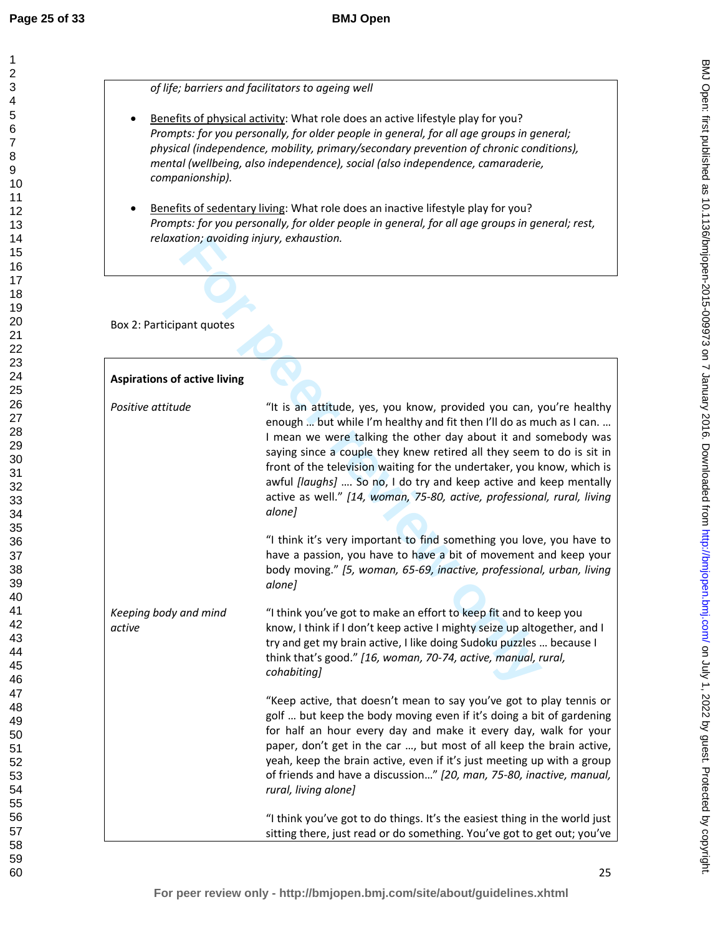*of life; barriers and facilitators to ageing well*

- Benefits of physical activity: What role does an active lifestyle play for you? *Prompts: for you personally, for older people in general, for all age groups in general; physical (independence, mobility, primary/secondary prevention of chronic conditions), mental (wellbeing, also independence), social (also independence, camaraderie, companionship).*
- Benefits of sedentary living: What role does an inactive lifestyle play for you? *Prompts: for you personally, for older people in general, for all age groups in general; rest, relaxation; avoiding injury, exhaustion.*

| relaxation; avoiding injury, exhaustion. |                                                                                                                                                                                                                                                                                                                                                                                                                                                                                                                                                                                                    |
|------------------------------------------|----------------------------------------------------------------------------------------------------------------------------------------------------------------------------------------------------------------------------------------------------------------------------------------------------------------------------------------------------------------------------------------------------------------------------------------------------------------------------------------------------------------------------------------------------------------------------------------------------|
| Box 2: Participant quotes                |                                                                                                                                                                                                                                                                                                                                                                                                                                                                                                                                                                                                    |
| <b>Aspirations of active living</b>      |                                                                                                                                                                                                                                                                                                                                                                                                                                                                                                                                                                                                    |
| Positive attitude                        | "It is an attitude, yes, you know, provided you can, you're healthy<br>enough  but while I'm healthy and fit then I'll do as much as I can.<br>I mean we were talking the other day about it and somebody was<br>saying since a couple they knew retired all they seem to do is sit in<br>front of the television waiting for the undertaker, you know, which is<br>awful [laughs]  So no, I do try and keep active and keep mentally<br>active as well." [14, woman, 75-80, active, professional, rural, living<br>alone]<br>"I think it's very important to find something you love, you have to |
|                                          | have a passion, you have to have a bit of movement and keep your<br>body moving." [5, woman, 65-69, inactive, professional, urban, living<br>alone]                                                                                                                                                                                                                                                                                                                                                                                                                                                |
| Keeping body and mind<br>active          | "I think you've got to make an effort to keep fit and to keep you<br>know, I think if I don't keep active I mighty seize up altogether, and I<br>try and get my brain active, I like doing Sudoku puzzles  because I<br>think that's good." [16, woman, 70-74, active, manual, rural,<br>cohabiting]                                                                                                                                                                                                                                                                                               |
|                                          | "Keep active, that doesn't mean to say you've got to play tennis or<br>golf  but keep the body moving even if it's doing a bit of gardening<br>for half an hour every day and make it every day, walk for your<br>paper, don't get in the car , but most of all keep the brain active,<br>yeah, keep the brain active, even if it's just meeting up with a group<br>of friends and have a discussion" [20, man, 75-80, inactive, manual,<br>rural, living alone]                                                                                                                                   |
|                                          | "I think you've got to do things. It's the easiest thing in the world just<br>sitting there, just read or do something. You've got to get out; you've                                                                                                                                                                                                                                                                                                                                                                                                                                              |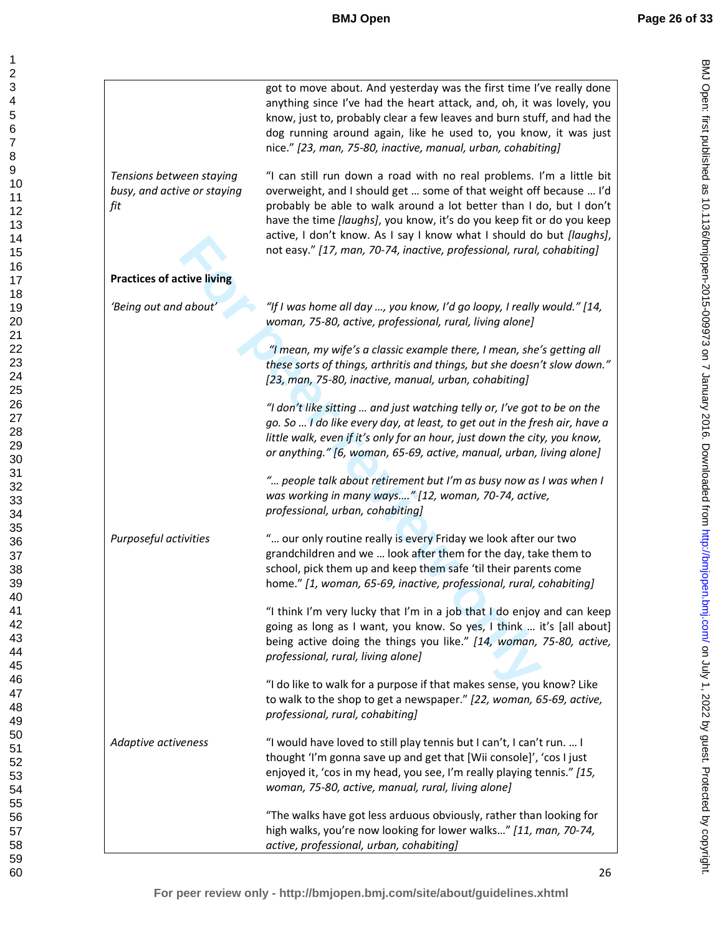| Tensions between staying<br>busy, and active or staying | got to move about. And yesterday was the first time I've really done<br>anything since I've had the heart attack, and, oh, it was lovely, you<br>know, just to, probably clear a few leaves and burn stuff, and had the<br>dog running around again, like he used to, you know, it was just<br>nice." [23, man, 75-80, inactive, manual, urban, cohabiting]<br>"I can still run down a road with no real problems. I'm a little bit<br>overweight, and I should get  some of that weight off because  I'd |
|---------------------------------------------------------|-----------------------------------------------------------------------------------------------------------------------------------------------------------------------------------------------------------------------------------------------------------------------------------------------------------------------------------------------------------------------------------------------------------------------------------------------------------------------------------------------------------|
| fit                                                     | probably be able to walk around a lot better than I do, but I don't<br>have the time [laughs], you know, it's do you keep fit or do you keep<br>active, I don't know. As I say I know what I should do but [laughs],<br>not easy." [17, man, 70-74, inactive, professional, rural, cohabiting]                                                                                                                                                                                                            |
| <b>Practices of active living</b>                       |                                                                                                                                                                                                                                                                                                                                                                                                                                                                                                           |
| 'Being out and about'                                   | "If I was home all day , you know, I'd go loopy, I really would." [14,<br>woman, 75-80, active, professional, rural, living alone]                                                                                                                                                                                                                                                                                                                                                                        |
|                                                         | "I mean, my wife's a classic example there, I mean, she's getting all<br>these sorts of things, arthritis and things, but she doesn't slow down."<br>[23, man, 75-80, inactive, manual, urban, cohabiting]                                                                                                                                                                                                                                                                                                |
|                                                         | "I don't like sitting  and just watching telly or, I've got to be on the<br>go. So  I do like every day, at least, to get out in the fresh air, have a<br>little walk, even if it's only for an hour, just down the city, you know,<br>or anything." [6, woman, 65-69, active, manual, urban, living alone]                                                                                                                                                                                               |
|                                                         | " people talk about retirement but I'm as busy now as I was when I<br>was working in many ways" [12, woman, 70-74, active,<br>professional, urban, cohabiting]                                                                                                                                                                                                                                                                                                                                            |
| Purposeful activities                                   | " our only routine really is every Friday we look after our two<br>grandchildren and we  look after them for the day, take them to<br>school, pick them up and keep them safe 'til their parents come<br>home." [1, woman, 65-69, inactive, professional, rural, cohabiting]                                                                                                                                                                                                                              |
|                                                         | "I think I'm very lucky that I'm in a job that I do enjoy and can keep<br>going as long as I want, you know. So yes, I think  it's [all about]<br>being active doing the things you like." [14, woman, 75-80, active,<br>professional, rural, living alone]                                                                                                                                                                                                                                               |
|                                                         | "I do like to walk for a purpose if that makes sense, you know? Like<br>to walk to the shop to get a newspaper." [22, woman, 65-69, active,<br>professional, rural, cohabiting]                                                                                                                                                                                                                                                                                                                           |
| Adaptive activeness                                     | "I would have loved to still play tennis but I can't, I can't run.  I<br>thought 'I'm gonna save up and get that [Wii console]', 'cos I just<br>enjoyed it, 'cos in my head, you see, I'm really playing tennis." [15,<br>woman, 75-80, active, manual, rural, living alone]                                                                                                                                                                                                                              |
|                                                         | "The walks have got less arduous obviously, rather than looking for<br>high walks, you're now looking for lower walks" [11, man, 70-74,<br>active, professional, urban, cohabiting]                                                                                                                                                                                                                                                                                                                       |

BMJ Open: first published as 10.1136/bmjopen-2015-009973 on 7 January 2016. Downloaded from http://bmjopen.bmj.com/ on July 1, 2022 by guest. Protected by copyright. on July 1, 2022 by guest. Protected by copyright. <http://bmjopen.bmj.com/> BMJ Open: first published as 10.1136/bmjopen-2015-009973 on 7 January 2016. Downloaded from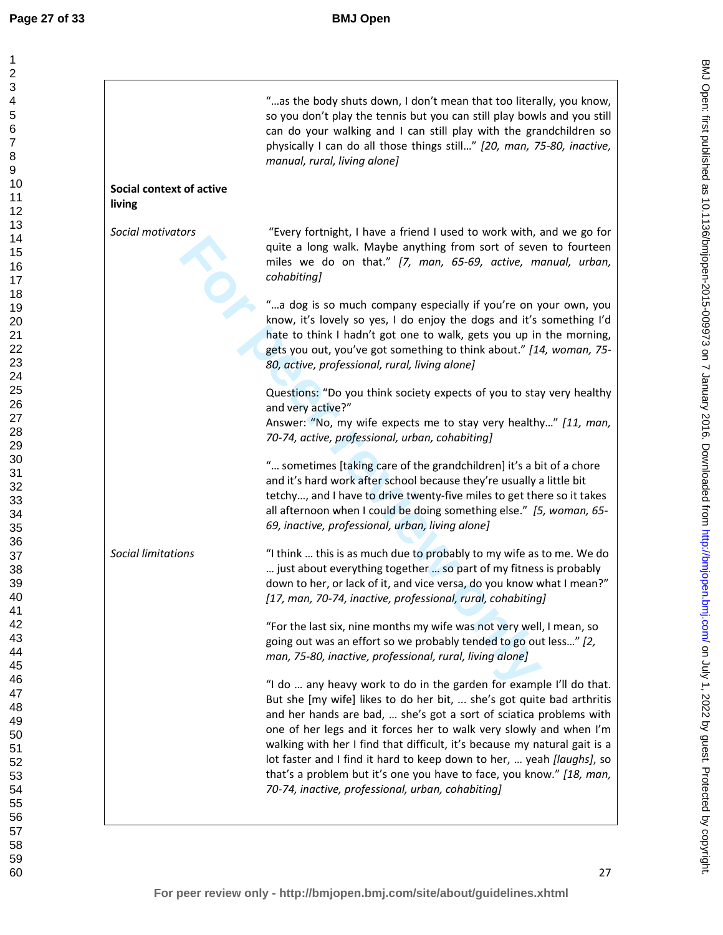|                                    | "as the body shuts down, I don't mean that too literally, you know,<br>so you don't play the tennis but you can still play bowls and you still<br>can do your walking and I can still play with the grandchildren so<br>physically I can do all those things still" [20, man, 75-80, inactive,<br>manual, rural, living alone]                                                                                                                                                                                                                                              |
|------------------------------------|-----------------------------------------------------------------------------------------------------------------------------------------------------------------------------------------------------------------------------------------------------------------------------------------------------------------------------------------------------------------------------------------------------------------------------------------------------------------------------------------------------------------------------------------------------------------------------|
| Social context of active<br>living |                                                                                                                                                                                                                                                                                                                                                                                                                                                                                                                                                                             |
| Social motivators                  | "Every fortnight, I have a friend I used to work with, and we go for<br>quite a long walk. Maybe anything from sort of seven to fourteen<br>miles we do on that." [7, man, 65-69, active, manual, urban,<br>cohabiting]                                                                                                                                                                                                                                                                                                                                                     |
|                                    | "a dog is so much company especially if you're on your own, you<br>know, it's lovely so yes, I do enjoy the dogs and it's something I'd<br>hate to think I hadn't got one to walk, gets you up in the morning,<br>gets you out, you've got something to think about." [14, woman, 75-<br>80, active, professional, rural, living alone]                                                                                                                                                                                                                                     |
|                                    | Questions: "Do you think society expects of you to stay very healthy<br>and very active?"<br>Answer: "No, my wife expects me to stay very healthy" [11, man,<br>70-74, active, professional, urban, cohabiting]                                                                                                                                                                                                                                                                                                                                                             |
|                                    | " sometimes [taking care of the grandchildren] it's a bit of a chore<br>and it's hard work after school because they're usually a little bit<br>tetchy, and I have to drive twenty-five miles to get there so it takes<br>all afternoon when I could be doing something else." [5, woman, 65-<br>69, inactive, professional, urban, living alone]                                                                                                                                                                                                                           |
| <b>Social limitations</b>          | "I think  this is as much due to probably to my wife as to me. We do<br>just about everything together  so part of my fitness is probably<br>down to her, or lack of it, and vice versa, do you know what I mean?"<br>[17, man, 70-74, inactive, professional, rural, cohabiting]                                                                                                                                                                                                                                                                                           |
|                                    | "For the last six, nine months my wife was not very well, I mean, so<br>going out was an effort so we probably tended to go out less" [2,<br>man, 75-80, inactive, professional, rural, living alone]                                                                                                                                                                                                                                                                                                                                                                       |
|                                    | "I do  any heavy work to do in the garden for example I'll do that.<br>But she [my wife] likes to do her bit,  she's got quite bad arthritis<br>and her hands are bad,  she's got a sort of sciatica problems with<br>one of her legs and it forces her to walk very slowly and when I'm<br>walking with her I find that difficult, it's because my natural gait is a<br>lot faster and I find it hard to keep down to her,  yeah [laughs], so<br>that's a problem but it's one you have to face, you know." [18, man,<br>70-74, inactive, professional, urban, cohabiting] |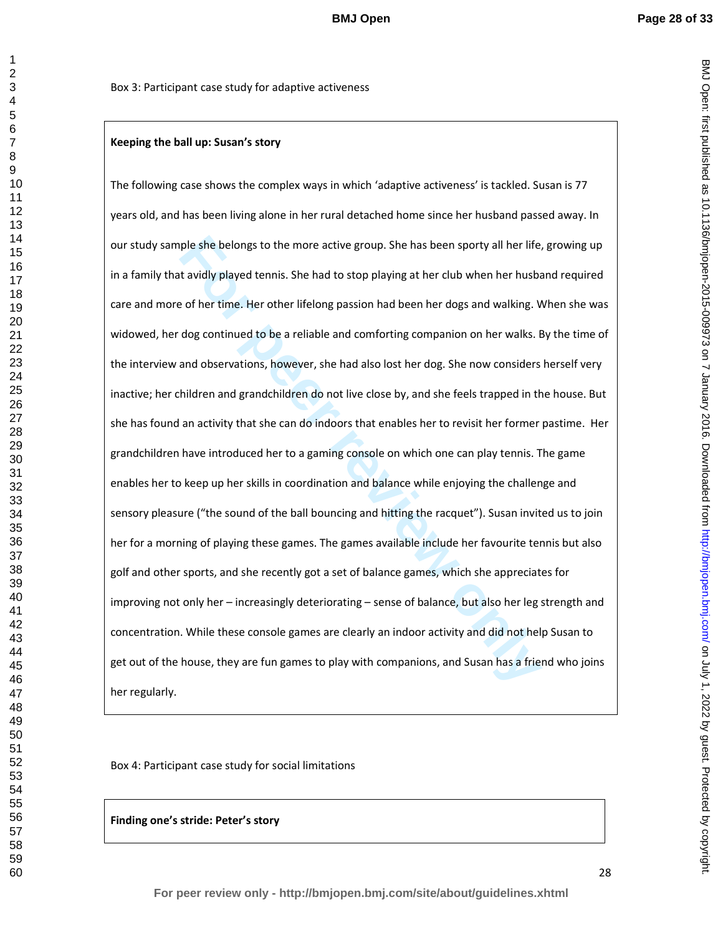BMJ Open: first published as 10.1136/bmjopen-2015-009973 on 7 January 2016. Downloaded from http://bmjopen.bmj.com/ on July 1, 2022 by guest. Protected by copyright on July 1, 2022 by guest. Protected by copyright. <http://bmjopen.bmj.com/> BMJ Open: first published as 10.1136/bmjopen-2015-009973 on 7 January 2016. Downloaded from

Box 3: Participant case study for adaptive activeness

# **Keeping the ball up: Susan's story**

ple she belongs to the more active group. She has been sporty all her life, it avidly played tennis. She had to stop playing at her club when her husbare of her time. Her other lifelong passion had been her dogs and walkin The following case shows the complex ways in which 'adaptive activeness' is tackled. Susan is 77 years old, and has been living alone in her rural detached home since her husband passed away. In our study sample she belongs to the more active group. She has been sporty all her life, growing up in a family that avidly played tennis. She had to stop playing at her club when her husband required care and more of her time. Her other lifelong passion had been her dogs and walking. When she was widowed, her dog continued to be a reliable and comforting companion on her walks. By the time of the interview and observations, however, she had also lost her dog. She now considers herself very inactive; her children and grandchildren do not live close by, and she feels trapped in the house. But she has found an activity that she can do indoors that enables her to revisit her former pastime. Her grandchildren have introduced her to a gaming console on which one can play tennis. The game enables her to keep up her skills in coordination and balance while enjoying the challenge and sensory pleasure ("the sound of the ball bouncing and hitting the racquet"). Susan invited us to join her for a morning of playing these games. The games available include her favourite tennis but also golf and other sports, and she recently got a set of balance games, which she appreciates for improving not only her – increasingly deteriorating – sense of balance, but also her leg strength and concentration. While these console games are clearly an indoor activity and did not help Susan to get out of the house, they are fun games to play with companions, and Susan has a friend who joins her regularly.

Box 4: Participant case study for social limitations

**Finding one's stride: Peter's story**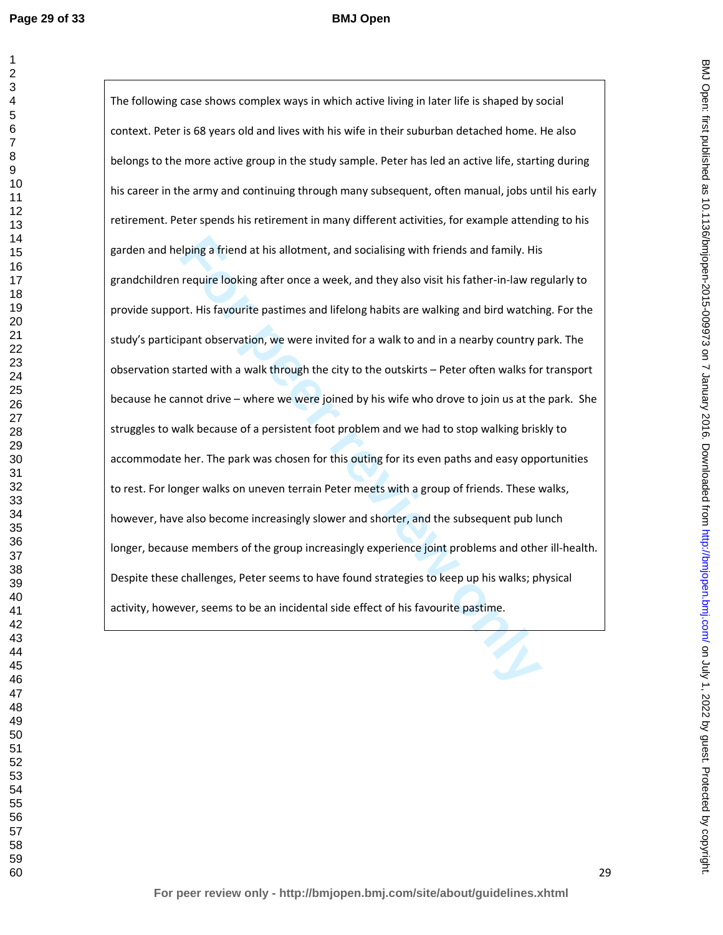**Example 1** First and this allotment, and socialising with friends and family. His require looking after once a week, and they also visit his father-in-law require looking after once a week, and they also visit his father-The following case shows complex ways in which active living in later life is shaped by social context. Peter is 68 years old and lives with his wife in their suburban detached home. He also belongs to the more active group in the study sample. Peter has led an active life, starting during his career in the army and continuing through many subsequent, often manual, jobs until his early retirement. Peter spends his retirement in many different activities, for example attending to his garden and helping a friend at his allotment, and socialising with friends and family. His grandchildren require looking after once a week, and they also visit his father-in-law regularly to provide support. His favourite pastimes and lifelong habits are walking and bird watching. For the study's participant observation, we were invited for a walk to and in a nearby country park. The observation started with a walk through the city to the outskirts – Peter often walks for transport because he cannot drive – where we were joined by his wife who drove to join us at the park. She struggles to walk because of a persistent foot problem and we had to stop walking briskly to accommodate her. The park was chosen for this outing for its even paths and easy opportunities to rest. For longer walks on uneven terrain Peter meets with a group of friends. These walks, however, have also become increasingly slower and shorter, and the subsequent pub lunch longer, because members of the group increasingly experience joint problems and other ill-health. Despite these challenges, Peter seems to have found strategies to keep up his walks; physical activity, however, seems to be an incidental side effect of his favourite pastime.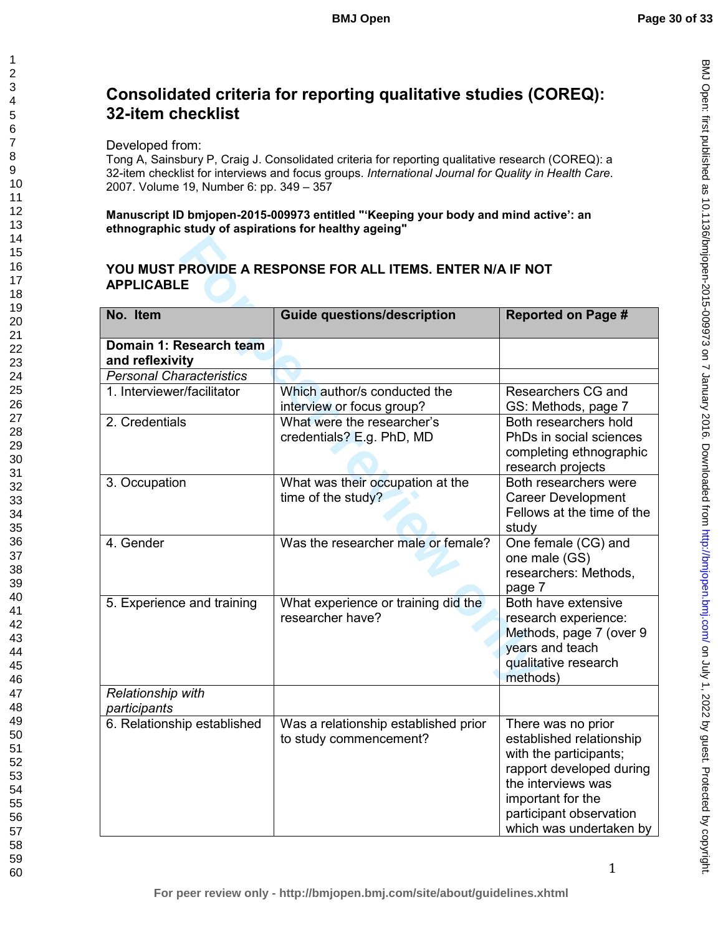BMJ Open: first published as 10.1136/bmjopen-2015-009973 on 7 January 2016. Downloaded from http://bmjopen.bmj.com/ on July 1, 2022 by guest. Protected by copyright on July 1, 2022 by guest. Protected by copyright. <http://bmjopen.bmj.com/> BMJ Open: first published as 10.1136/bmjopen-2015-009973 on 7 January 2016. Downloaded from

# **Consolidated criteria for reporting qualitative studies (COREQ): 32-item checklist**

Developed from:

Tong A, Sainsbury P, Craig J. Consolidated criteria for reporting qualitative research (COREQ): a 32-item checklist for interviews and focus groups. *International Journal for Quality in Health Care*. 2007. Volume 19, Number 6: pp. 349 – 357

**Manuscript ID bmjopen-2015-009973 entitled "'Keeping your body and mind active': an ethnographic study of aspirations for healthy ageing"** 

# **YOU MUST PROVIDE A RESPONSE FOR ALL ITEMS. ENTER N/A IF NOT APPLICABLE**

| YOU MUST PROVIDE A RESPONSE FOR ALL ITEMS. ENTER N/A IF NOT<br><b>APPLICABLE</b> |                                                                |                                                                                                                                                                                                       |  |  |
|----------------------------------------------------------------------------------|----------------------------------------------------------------|-------------------------------------------------------------------------------------------------------------------------------------------------------------------------------------------------------|--|--|
|                                                                                  |                                                                |                                                                                                                                                                                                       |  |  |
| Domain 1: Research team<br>and reflexivity                                       |                                                                |                                                                                                                                                                                                       |  |  |
| <b>Personal Characteristics</b>                                                  |                                                                |                                                                                                                                                                                                       |  |  |
| 1. Interviewer/facilitator                                                       | Which author/s conducted the<br>interview or focus group?      | Researchers CG and<br>GS: Methods, page 7                                                                                                                                                             |  |  |
| 2. Credentials                                                                   | What were the researcher's<br>credentials? E.g. PhD, MD        | Both researchers hold<br>PhDs in social sciences<br>completing ethnographic<br>research projects                                                                                                      |  |  |
| 3. Occupation                                                                    | What was their occupation at the<br>time of the study?         | Both researchers were<br><b>Career Development</b><br>Fellows at the time of the<br>study                                                                                                             |  |  |
| 4. Gender                                                                        | Was the researcher male or female?                             | One female (CG) and<br>one male (GS)<br>researchers: Methods,<br>page 7                                                                                                                               |  |  |
| 5. Experience and training                                                       | What experience or training did the<br>researcher have?        | Both have extensive<br>research experience:<br>Methods, page 7 (over 9<br>years and teach<br>qualitative research<br>methods)                                                                         |  |  |
| Relationship with<br>participants                                                |                                                                |                                                                                                                                                                                                       |  |  |
| 6. Relationship established                                                      | Was a relationship established prior<br>to study commencement? | There was no prior<br>established relationship<br>with the participants;<br>rapport developed during<br>the interviews was<br>important for the<br>participant observation<br>which was undertaken by |  |  |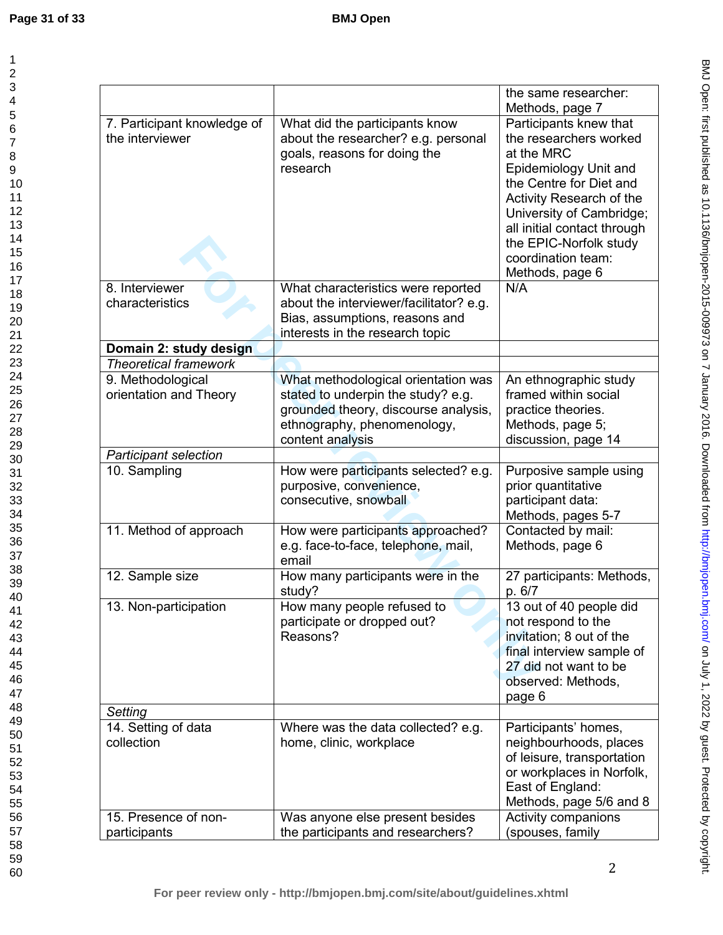| 1                                |
|----------------------------------|
|                                  |
| 23456.                           |
|                                  |
|                                  |
|                                  |
|                                  |
| 7<br>8                           |
| $\frac{1}{9}$                    |
|                                  |
| 10                               |
| 1<br>1                           |
|                                  |
|                                  |
|                                  |
|                                  |
|                                  |
|                                  |
|                                  |
|                                  |
|                                  |
|                                  |
|                                  |
|                                  |
|                                  |
|                                  |
|                                  |
|                                  |
|                                  |
|                                  |
|                                  |
|                                  |
|                                  |
| 31<br>32                         |
| $\frac{2}{3}$                    |
|                                  |
|                                  |
| 33<br>34<br>35<br>36<br>37<br>38 |
|                                  |
|                                  |
|                                  |
| .<br>39                          |
| 40                               |
| 41                               |
| 42                               |
| 43                               |
| 44                               |
| 45                               |
| 46                               |
| 47                               |
| 48                               |
| 49                               |
| 50                               |
| 5<br>1                           |
| 52                               |
|                                  |
| 53<br>ξ                          |
| 54                               |
| 55                               |
| 56                               |
| 57<br>58                         |
| ś                                |
| 59                               |
| 60                               |

|                                                |                                                                                                                   | the same researcher:                                                                                                                                                                                                                                                         |
|------------------------------------------------|-------------------------------------------------------------------------------------------------------------------|------------------------------------------------------------------------------------------------------------------------------------------------------------------------------------------------------------------------------------------------------------------------------|
|                                                |                                                                                                                   | Methods, page 7                                                                                                                                                                                                                                                              |
| 7. Participant knowledge of<br>the interviewer | What did the participants know<br>about the researcher? e.g. personal<br>goals, reasons for doing the<br>research | Participants knew that<br>the researchers worked<br>at the MRC<br>Epidemiology Unit and<br>the Centre for Diet and<br>Activity Research of the<br>University of Cambridge;<br>all initial contact through<br>the EPIC-Norfolk study<br>coordination team:<br>Methods, page 6 |
| 8. Interviewer                                 | What characteristics were reported                                                                                | N/A                                                                                                                                                                                                                                                                          |
| characteristics                                | about the interviewer/facilitator? e.g.                                                                           |                                                                                                                                                                                                                                                                              |
|                                                | Bias, assumptions, reasons and                                                                                    |                                                                                                                                                                                                                                                                              |
|                                                | interests in the research topic                                                                                   |                                                                                                                                                                                                                                                                              |
| Domain 2: study design                         |                                                                                                                   |                                                                                                                                                                                                                                                                              |
| <b>Theoretical framework</b>                   |                                                                                                                   |                                                                                                                                                                                                                                                                              |
| 9. Methodological                              | What methodological orientation was                                                                               | An ethnographic study                                                                                                                                                                                                                                                        |
| orientation and Theory                         | stated to underpin the study? e.g.                                                                                | framed within social                                                                                                                                                                                                                                                         |
|                                                | grounded theory, discourse analysis,                                                                              | practice theories.                                                                                                                                                                                                                                                           |
|                                                | ethnography, phenomenology,<br>content analysis                                                                   | Methods, page 5;<br>discussion, page 14                                                                                                                                                                                                                                      |
| <b>Participant selection</b>                   |                                                                                                                   |                                                                                                                                                                                                                                                                              |
| 10. Sampling                                   | How were participants selected? e.g.                                                                              | Purposive sample using                                                                                                                                                                                                                                                       |
|                                                | purposive, convenience,                                                                                           | prior quantitative                                                                                                                                                                                                                                                           |
|                                                | consecutive, snowball                                                                                             | participant data:                                                                                                                                                                                                                                                            |
|                                                |                                                                                                                   | Methods, pages 5-7                                                                                                                                                                                                                                                           |
| 11. Method of approach                         | How were participants approached?                                                                                 | Contacted by mail:                                                                                                                                                                                                                                                           |
|                                                | e.g. face-to-face, telephone, mail,                                                                               | Methods, page 6                                                                                                                                                                                                                                                              |
|                                                | email                                                                                                             |                                                                                                                                                                                                                                                                              |
| 12. Sample size                                | How many participants were in the<br>study?                                                                       | 27 participants: Methods,<br>p. 6/7                                                                                                                                                                                                                                          |
| 13. Non-participation                          | How many people refused to                                                                                        | 13 out of 40 people did                                                                                                                                                                                                                                                      |
|                                                | participate or dropped out?                                                                                       | not respond to the                                                                                                                                                                                                                                                           |
|                                                | Reasons?                                                                                                          | invitation; 8 out of the                                                                                                                                                                                                                                                     |
|                                                |                                                                                                                   | final interview sample of                                                                                                                                                                                                                                                    |
|                                                |                                                                                                                   | 27 did not want to be                                                                                                                                                                                                                                                        |
|                                                |                                                                                                                   | observed: Methods,                                                                                                                                                                                                                                                           |
|                                                |                                                                                                                   | page 6                                                                                                                                                                                                                                                                       |
| Setting                                        |                                                                                                                   |                                                                                                                                                                                                                                                                              |
| 14. Setting of data<br>collection              | Where was the data collected? e.g.                                                                                | Participants' homes,                                                                                                                                                                                                                                                         |
|                                                | home, clinic, workplace                                                                                           | neighbourhoods, places<br>of leisure, transportation                                                                                                                                                                                                                         |
|                                                |                                                                                                                   | or workplaces in Norfolk,                                                                                                                                                                                                                                                    |
|                                                |                                                                                                                   | East of England:                                                                                                                                                                                                                                                             |
|                                                |                                                                                                                   | Methods, page 5/6 and 8                                                                                                                                                                                                                                                      |
| 15. Presence of non-                           | Was anyone else present besides                                                                                   | Activity companions                                                                                                                                                                                                                                                          |
| participants                                   | the participants and researchers?                                                                                 | (spouses, family                                                                                                                                                                                                                                                             |
|                                                |                                                                                                                   |                                                                                                                                                                                                                                                                              |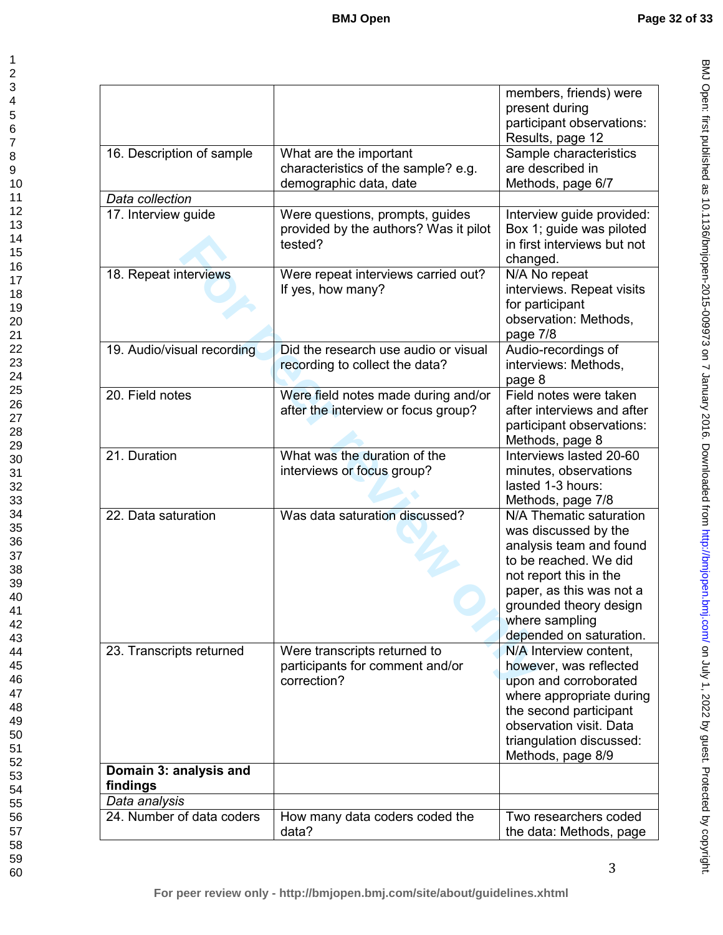|                                    |                                                                                         | members, friends) were<br>present during<br>participant observations:<br>Results, page 12                                                                                                                                        |
|------------------------------------|-----------------------------------------------------------------------------------------|----------------------------------------------------------------------------------------------------------------------------------------------------------------------------------------------------------------------------------|
| 16. Description of sample          | What are the important<br>characteristics of the sample? e.g.<br>demographic data, date | Sample characteristics<br>are described in<br>Methods, page 6/7                                                                                                                                                                  |
| Data collection                    |                                                                                         |                                                                                                                                                                                                                                  |
| 17. Interview guide                | Were questions, prompts, guides<br>provided by the authors? Was it pilot<br>tested?     | Interview guide provided:<br>Box 1; guide was piloted<br>in first interviews but not<br>changed.                                                                                                                                 |
| 18. Repeat interviews              | Were repeat interviews carried out?<br>If yes, how many?                                | N/A No repeat<br>interviews. Repeat visits<br>for participant<br>observation: Methods,<br>page 7/8                                                                                                                               |
| 19. Audio/visual recording         | Did the research use audio or visual<br>recording to collect the data?                  | Audio-recordings of<br>interviews: Methods,<br>page 8                                                                                                                                                                            |
| 20. Field notes                    | Were field notes made during and/or<br>after the interview or focus group?              | Field notes were taken<br>after interviews and after<br>participant observations:<br>Methods, page 8                                                                                                                             |
| 21. Duration                       | What was the duration of the<br>interviews or focus group?                              | Interviews lasted 20-60<br>minutes, observations<br>lasted 1-3 hours:<br>Methods, page 7/8                                                                                                                                       |
| 22. Data saturation                | Was data saturation discussed?                                                          | N/A Thematic saturation<br>was discussed by the<br>analysis team and found<br>to be reached. We did<br>not report this in the<br>paper, as this was not a<br>grounded theory design<br>where sampling<br>depended on saturation. |
| 23. Transcripts returned           | Were transcripts returned to<br>participants for comment and/or<br>correction?          | N/A Interview content,<br>however, was reflected<br>upon and corroborated<br>where appropriate during<br>the second participant<br>observation visit. Data<br>triangulation discussed:<br>Methods, page 8/9                      |
| Domain 3: analysis and<br>findings |                                                                                         |                                                                                                                                                                                                                                  |
| Data analysis                      |                                                                                         |                                                                                                                                                                                                                                  |
| 24. Number of data coders          | How many data coders coded the<br>data?                                                 | Two researchers coded<br>the data: Methods, page                                                                                                                                                                                 |